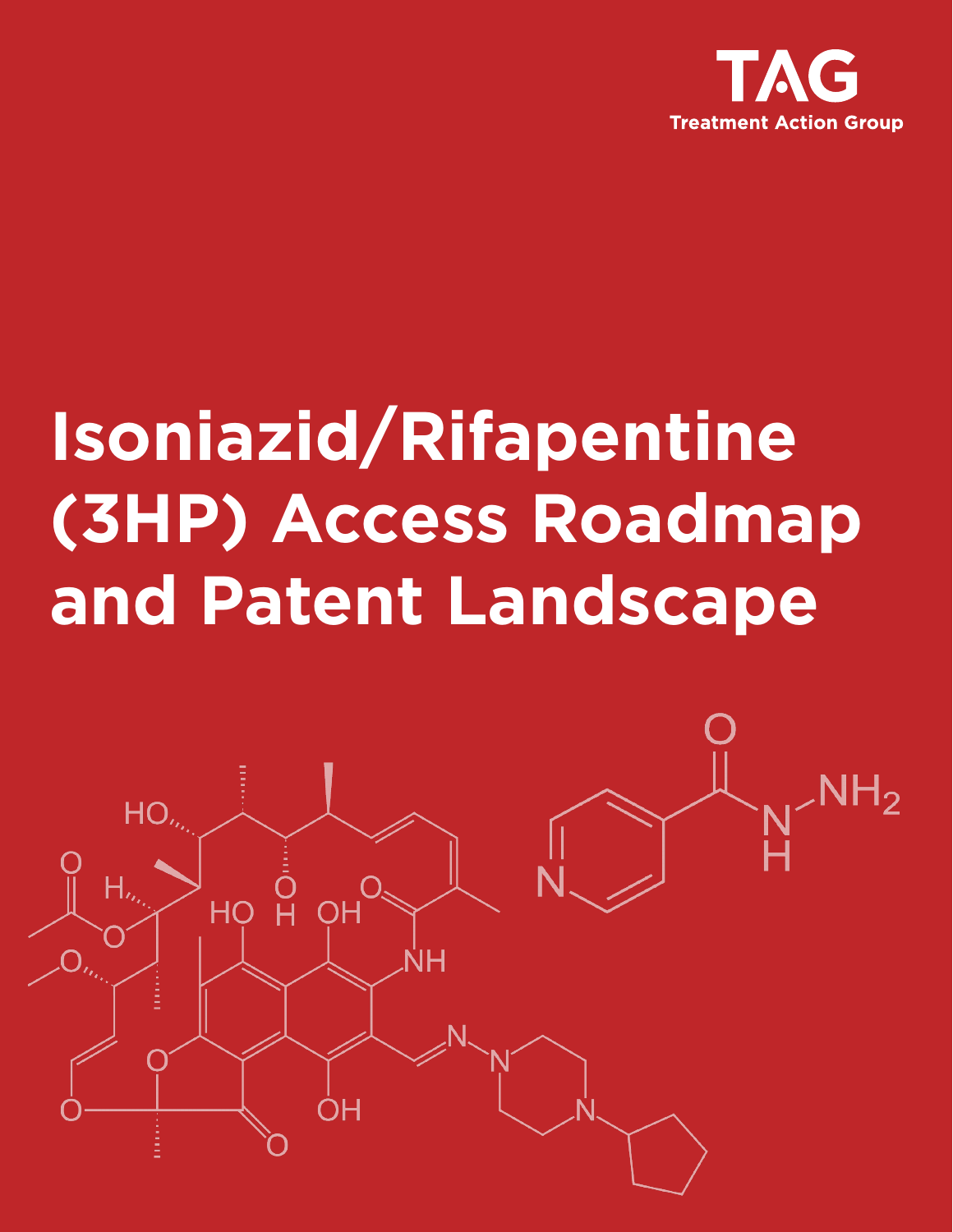

# **Isoniazid/Rifapentine (3HP) Access Roadmap and Patent Landscape**

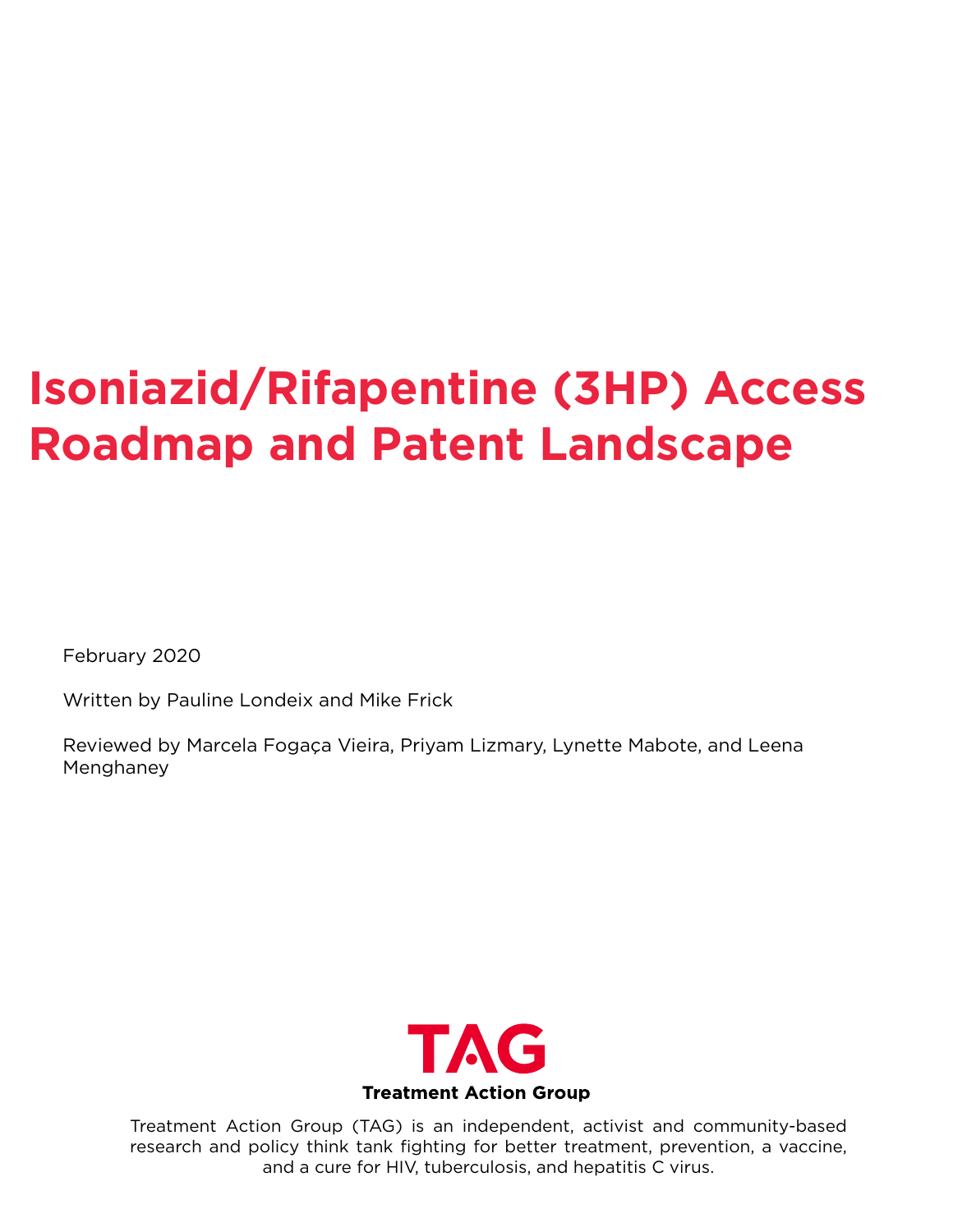# **Isoniazid/Rifapentine (3HP) Access Roadmap and Patent Landscape**

February 2020

Written by Pauline Londeix and Mike Frick

Reviewed by Marcela Fogaça Vieira, Priyam Lizmary, Lynette Mabote, and Leena Menghaney



Treatment Action Group (TAG) is an independent, activist and community-based research and policy think tank fighting for better treatment, prevention, a vaccine, and a cure for HIV, tuberculosis, and hepatitis C virus.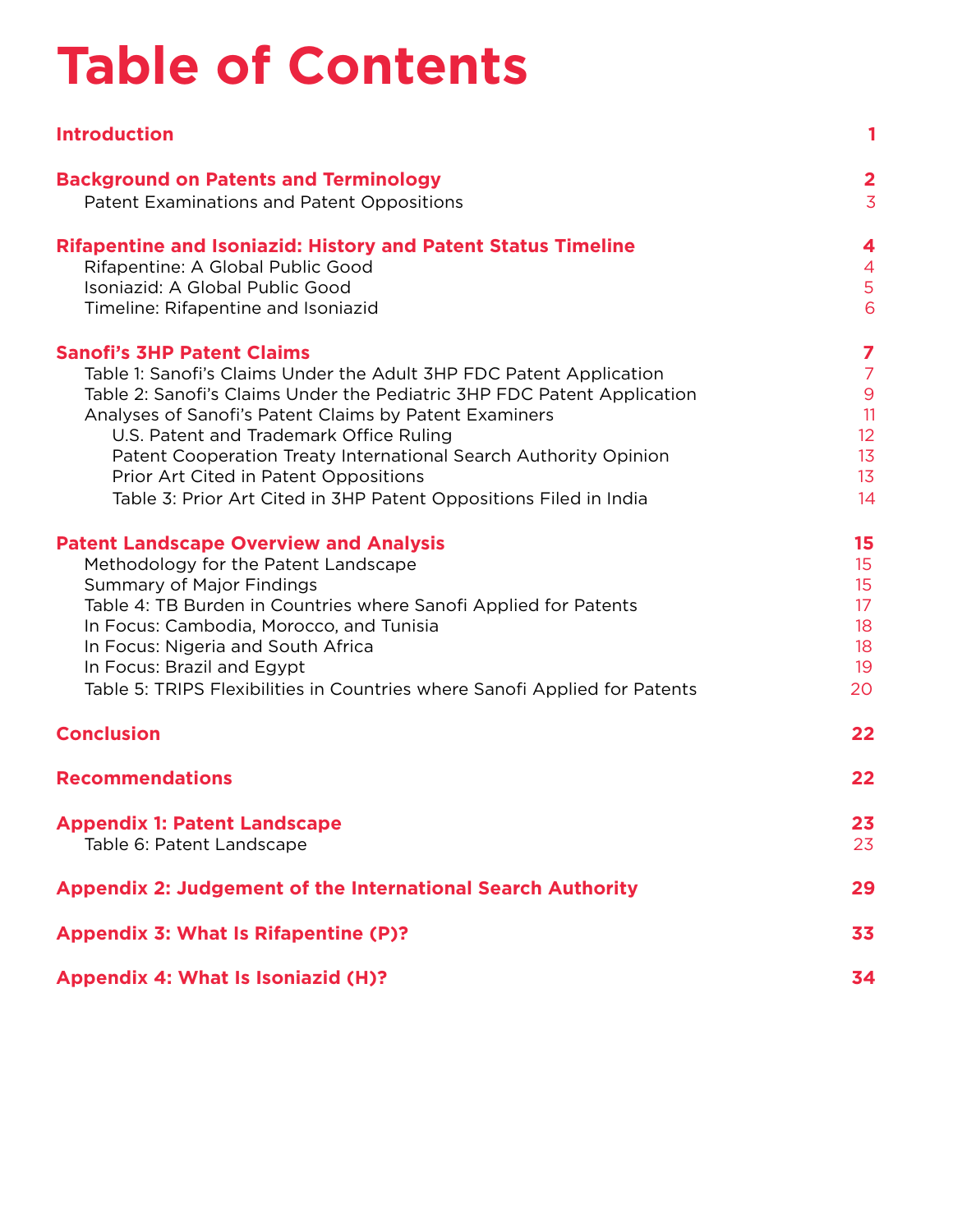# **Table of Contents**

| <b>Introduction</b>                                                                                                                                                                                                                                                                                                                                                                                                                                                        | 1                                                                     |
|----------------------------------------------------------------------------------------------------------------------------------------------------------------------------------------------------------------------------------------------------------------------------------------------------------------------------------------------------------------------------------------------------------------------------------------------------------------------------|-----------------------------------------------------------------------|
| <b>Background on Patents and Terminology</b><br>Patent Examinations and Patent Oppositions                                                                                                                                                                                                                                                                                                                                                                                 | $\overline{\mathbf{2}}$<br>$\overline{3}$                             |
| <b>Rifapentine and Isoniazid: History and Patent Status Timeline</b><br>Rifapentine: A Global Public Good<br>Isoniazid: A Global Public Good<br>Timeline: Rifapentine and Isoniazid                                                                                                                                                                                                                                                                                        | 4<br>$\overline{4}$<br>5<br>6                                         |
| <b>Sanofi's 3HP Patent Claims</b><br>Table 1: Sanofi's Claims Under the Adult 3HP FDC Patent Application<br>Table 2: Sanofi's Claims Under the Pediatric 3HP FDC Patent Application<br>Analyses of Sanofi's Patent Claims by Patent Examiners<br>U.S. Patent and Trademark Office Ruling<br>Patent Cooperation Treaty International Search Authority Opinion<br>Prior Art Cited in Patent Oppositions<br>Table 3: Prior Art Cited in 3HP Patent Oppositions Filed in India | 7<br>$\overline{7}$<br>$\boldsymbol{9}$<br>11<br>12<br>13<br>13<br>14 |
| <b>Patent Landscape Overview and Analysis</b><br>Methodology for the Patent Landscape<br><b>Summary of Major Findings</b><br>Table 4: TB Burden in Countries where Sanofi Applied for Patents<br>In Focus: Cambodia, Morocco, and Tunisia<br>In Focus: Nigeria and South Africa<br>In Focus: Brazil and Egypt<br>Table 5: TRIPS Flexibilities in Countries where Sanofi Applied for Patents                                                                                | 15<br>15<br>15<br>17<br>18<br>18<br>19<br>20                          |
| <b>Conclusion</b>                                                                                                                                                                                                                                                                                                                                                                                                                                                          | 22                                                                    |
| <b>Recommendations</b>                                                                                                                                                                                                                                                                                                                                                                                                                                                     | 22                                                                    |
| <b>Appendix 1: Patent Landscape</b><br>Table 6: Patent Landscape                                                                                                                                                                                                                                                                                                                                                                                                           | 23<br>23                                                              |
| <b>Appendix 2: Judgement of the International Search Authority</b>                                                                                                                                                                                                                                                                                                                                                                                                         | 29                                                                    |
| Appendix 3: What Is Rifapentine (P)?                                                                                                                                                                                                                                                                                                                                                                                                                                       | 33                                                                    |
| <b>Appendix 4: What Is Isoniazid (H)?</b>                                                                                                                                                                                                                                                                                                                                                                                                                                  | 34                                                                    |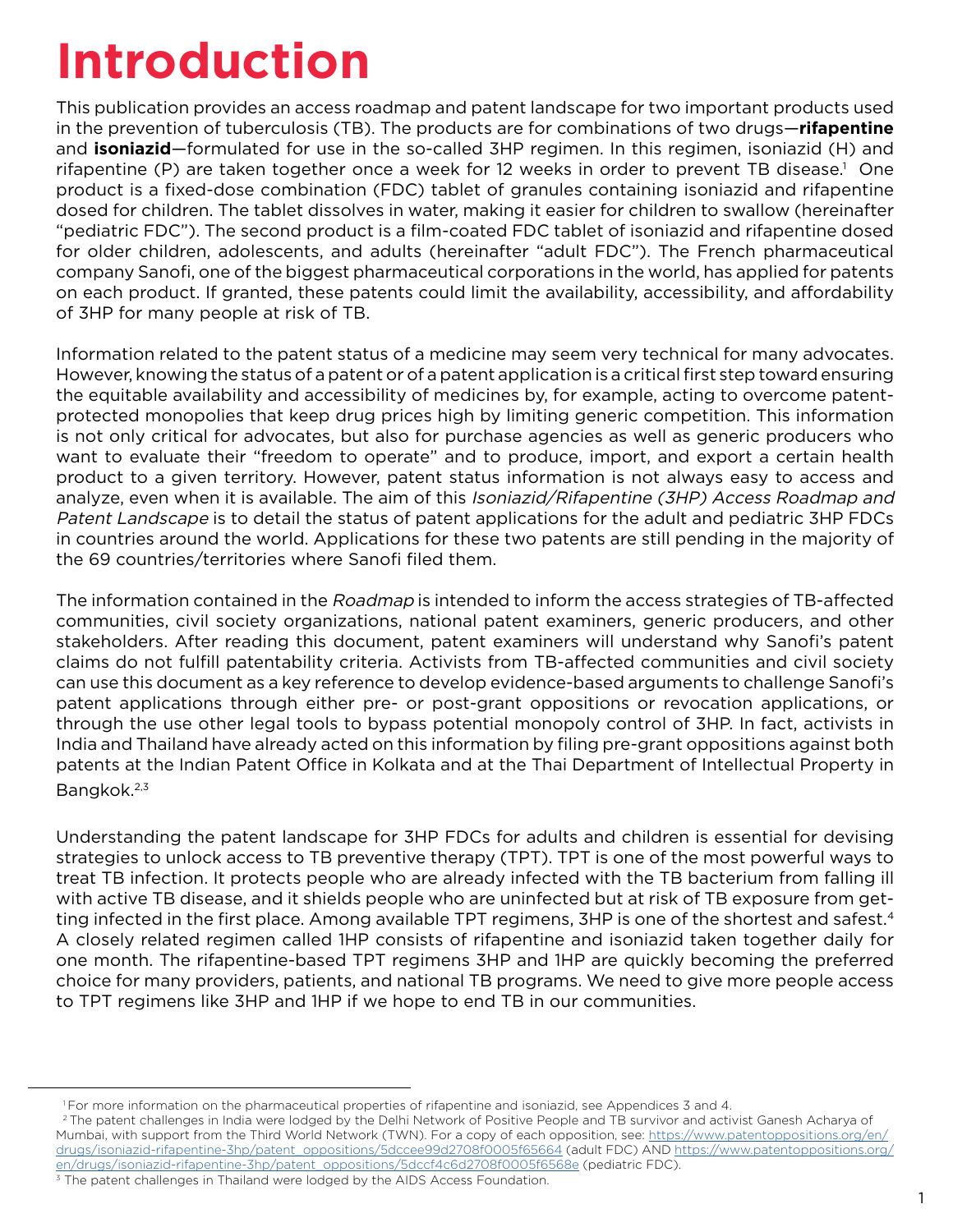# **Introduction**

This publication provides an access roadmap and patent landscape for two important products used in the prevention of tuberculosis (TB). The products are for combinations of two drugs—**rifapentine** and **isoniazid**—formulated for use in the so-called 3HP regimen. In this regimen, isoniazid (H) and rifapentine (P) are taken together once a week for 12 weeks in order to prevent TB disease.<sup>1</sup> One product is a fixed-dose combination (FDC) tablet of granules containing isoniazid and rifapentine dosed for children. The tablet dissolves in water, making it easier for children to swallow (hereinafter "pediatric FDC"). The second product is a film-coated FDC tablet of isoniazid and rifapentine dosed for older children, adolescents, and adults (hereinafter "adult FDC"). The French pharmaceutical company Sanofi, one of the biggest pharmaceutical corporations in the world, has applied for patents on each product. If granted, these patents could limit the availability, accessibility, and affordability of 3HP for many people at risk of TB.

Information related to the patent status of a medicine may seem very technical for many advocates. However, knowing the status of a patent or of a patent application is a critical first step toward ensuring the equitable availability and accessibility of medicines by, for example, acting to overcome patentprotected monopolies that keep drug prices high by limiting generic competition. This information is not only critical for advocates, but also for purchase agencies as well as generic producers who want to evaluate their "freedom to operate" and to produce, import, and export a certain health product to a given territory. However, patent status information is not always easy to access and analyze, even when it is available. The aim of this Isoniazid/Rifapentine (3HP) Access Roadmap and Patent Landscape is to detail the status of patent applications for the adult and pediatric 3HP FDCs in countries around the world. Applications for these two patents are still pending in the majority of the 69 countries/territories where Sanofi filed them.

The information contained in the Roadmap is intended to inform the access strategies of TB-affected communities, civil society organizations, national patent examiners, generic producers, and other stakeholders. After reading this document, patent examiners will understand why Sanofi's patent claims do not fulfill patentability criteria. Activists from TB-affected communities and civil society can use this document as a key reference to develop evidence-based arguments to challenge Sanofi's patent applications through either pre- or post-grant oppositions or revocation applications, or through the use other legal tools to bypass potential monopoly control of 3HP. In fact, activists in India and Thailand have already acted on this information by filing pre-grant oppositions against both patents at the Indian Patent Office in Kolkata and at the Thai Department of Intellectual Property in Bangkok.<sup>2,3</sup>

Understanding the patent landscape for 3HP FDCs for adults and children is essential for devising strategies to unlock access to TB preventive therapy (TPT). TPT is one of the most powerful ways to treat TB infection. It protects people who are already infected with the TB bacterium from falling ill with active TB disease, and it shields people who are uninfected but at risk of TB exposure from getting infected in the first place. Among available TPT regimens, 3HP is one of the shortest and safest.<sup>4</sup> A closely related regimen called 1HP consists of rifapentine and isoniazid taken together daily for one month. The rifapentine-based TPT regimens 3HP and 1HP are quickly becoming the preferred choice for many providers, patients, and national TB programs. We need to give more people access to TPT regimens like 3HP and 1HP if we hope to end TB in our communities.

<sup>2</sup> The patent challenges in India were lodged by the Delhi Network of Positive People and TB survivor and activist Ganesh Acharya of Mumbai, with support from the Third World Network (TWN). For a copy of each opposition, see: [https://www.patentoppositions.org/en/](https://www.patentoppositions.org/en/drugs/isoniazid-rifapentine-3hp/patent_oppositions/5dccee99d2708f0005f65664) [drugs/isoniazid-rifapentine-3hp/patent\\_oppositions/5dccee99d2708f0005f65664](https://www.patentoppositions.org/en/drugs/isoniazid-rifapentine-3hp/patent_oppositions/5dccee99d2708f0005f65664) (adult FDC) AND [https://www.patentoppositions.org/](https://www.patentoppositions.org/en/drugs/isoniazid-rifapentine-3hp/patent_oppositions/5dccf4c6d2708f0005f6568e) [en/drugs/isoniazid-rifapentine-3hp/patent\\_oppositions/5dccf4c6d2708f0005f6568e](https://www.patentoppositions.org/en/drugs/isoniazid-rifapentine-3hp/patent_oppositions/5dccf4c6d2708f0005f6568e) (pediatric FDC).

<sup>1</sup> For more information on the pharmaceutical properties of rifapentine and isoniazid, see Appendices 3 and 4.

<sup>&</sup>lt;sup>3</sup> The patent challenges in Thailand were lodged by the AIDS Access Foundation.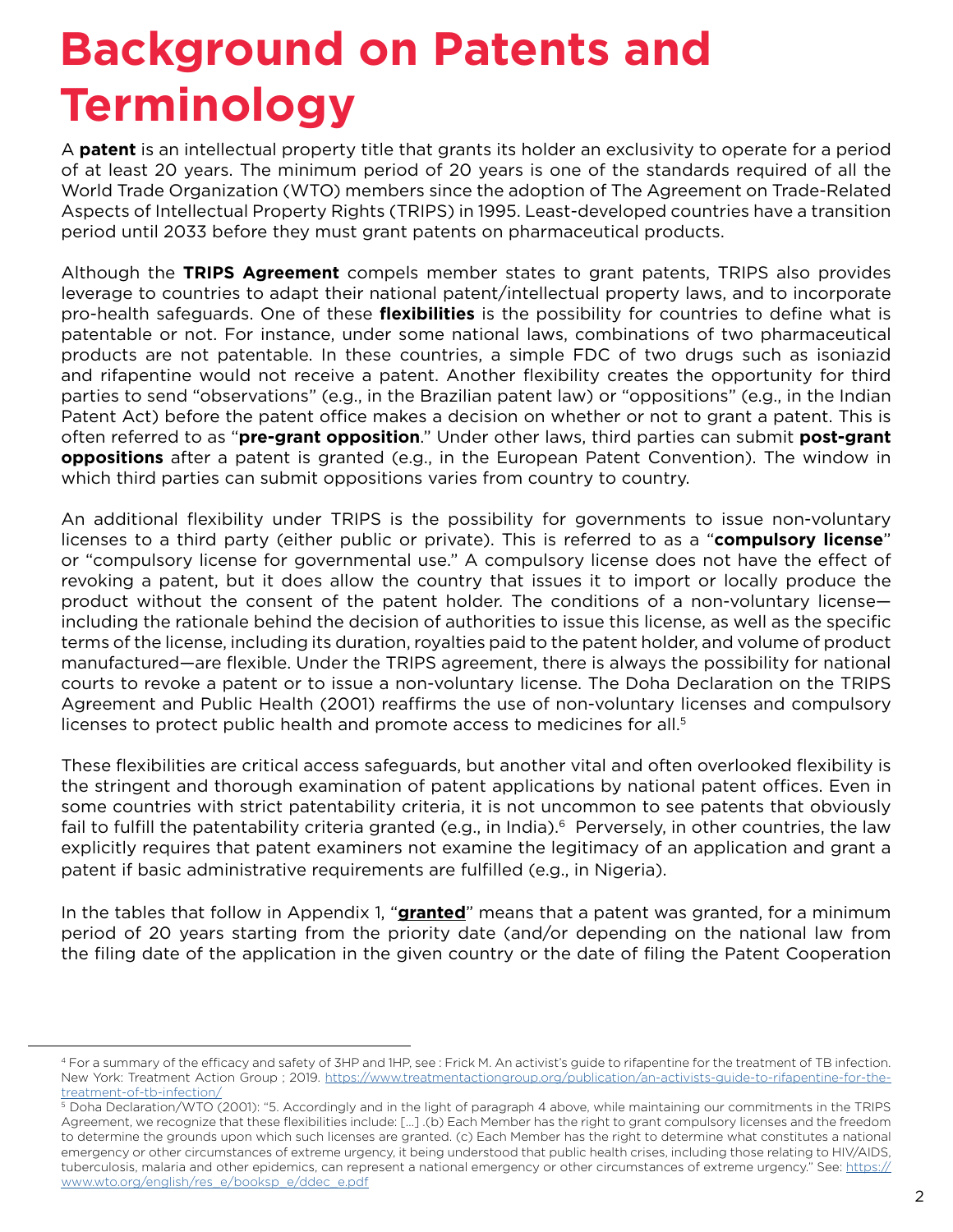# **Background on Patents and Terminology**

A **patent** is an intellectual property title that grants its holder an exclusivity to operate for a period of at least 20 years. The minimum period of 20 years is one of the standards required of all the World Trade Organization (WTO) members since the adoption of The Agreement on Trade-Related Aspects of Intellectual Property Rights (TRIPS) in 1995. Least-developed countries have a transition period until 2033 before they must grant patents on pharmaceutical products.

Although the **TRIPS Agreement** compels member states to grant patents, TRIPS also provides leverage to countries to adapt their national patent/intellectual property laws, and to incorporate pro-health safeguards. One of these **flexibilities** is the possibility for countries to define what is patentable or not. For instance, under some national laws, combinations of two pharmaceutical products are not patentable. In these countries, a simple FDC of two drugs such as isoniazid and rifapentine would not receive a patent. Another flexibility creates the opportunity for third parties to send "observations" (e.g., in the Brazilian patent law) or "oppositions" (e.g., in the Indian Patent Act) before the patent office makes a decision on whether or not to grant a patent. This is often referred to as "**pre-grant opposition**." Under other laws, third parties can submit **post-grant oppositions** after a patent is granted (e.g., in the European Patent Convention). The window in which third parties can submit oppositions varies from country to country.

An additional flexibility under TRIPS is the possibility for governments to issue non-voluntary licenses to a third party (either public or private). This is referred to as a "**compulsory license**" or "compulsory license for governmental use." A compulsory license does not have the effect of revoking a patent, but it does allow the country that issues it to import or locally produce the product without the consent of the patent holder. The conditions of a non-voluntary license including the rationale behind the decision of authorities to issue this license, as well as the specific terms of the license, including its duration, royalties paid to the patent holder, and volume of product manufactured—are flexible. Under the TRIPS agreement, there is always the possibility for national courts to revoke a patent or to issue a non-voluntary license. The Doha Declaration on the TRIPS Agreement and Public Health (2001) reaffirms the use of non-voluntary licenses and compulsory licenses to protect public health and promote access to medicines for all.<sup>5</sup>

These flexibilities are critical access safeguards, but another vital and often overlooked flexibility is the stringent and thorough examination of patent applications by national patent offices. Even in some countries with strict patentability criteria, it is not uncommon to see patents that obviously fail to fulfill the patentability criteria granted (e.g., in India).<sup>6</sup> Perversely, in other countries, the law explicitly requires that patent examiners not examine the legitimacy of an application and grant a patent if basic administrative requirements are fulfilled (e.g., in Nigeria).

In the tables that follow in Appendix 1, "**granted**" means that a patent was granted, for a minimum period of 20 years starting from the priority date (and/or depending on the national law from the filing date of the application in the given country or the date of filing the Patent Cooperation

<sup>4</sup> For a summary of the efficacy and safety of 3HP and 1HP, see : Frick M. An activist's guide to rifapentine for the treatment of TB infection. New York: Treatment Action Group ; 2019. [https://www.treatmentactiongroup.org/publication/an-activists-guide-to-rifapentine-for-the](https://www.treatmentactiongroup.org/publication/an-activists-guide-to-rifapentine-for-the-treatment-of-tb-infection/)[treatment-of-tb-infection/](https://www.treatmentactiongroup.org/publication/an-activists-guide-to-rifapentine-for-the-treatment-of-tb-infection/)

<sup>5</sup> Doha Declaration/WTO (2001): "5. Accordingly and in the light of paragraph 4 above, while maintaining our commitments in the TRIPS Agreement, we recognize that these flexibilities include: […] .(b) Each Member has the right to grant compulsory licenses and the freedom to determine the grounds upon which such licenses are granted. (c) Each Member has the right to determine what constitutes a national emergency or other circumstances of extreme urgency, it being understood that public health crises, including those relating to HIV/AIDS, tuberculosis, malaria and other epidemics, can represent a national emergency or other circumstances of extreme urgency." See: [https://](https://www.wto.org/english/res_e/booksp_e/ddec_e.pdf) [www.wto.org/english/res\\_e/booksp\\_e/ddec\\_e.pdf](https://www.wto.org/english/res_e/booksp_e/ddec_e.pdf)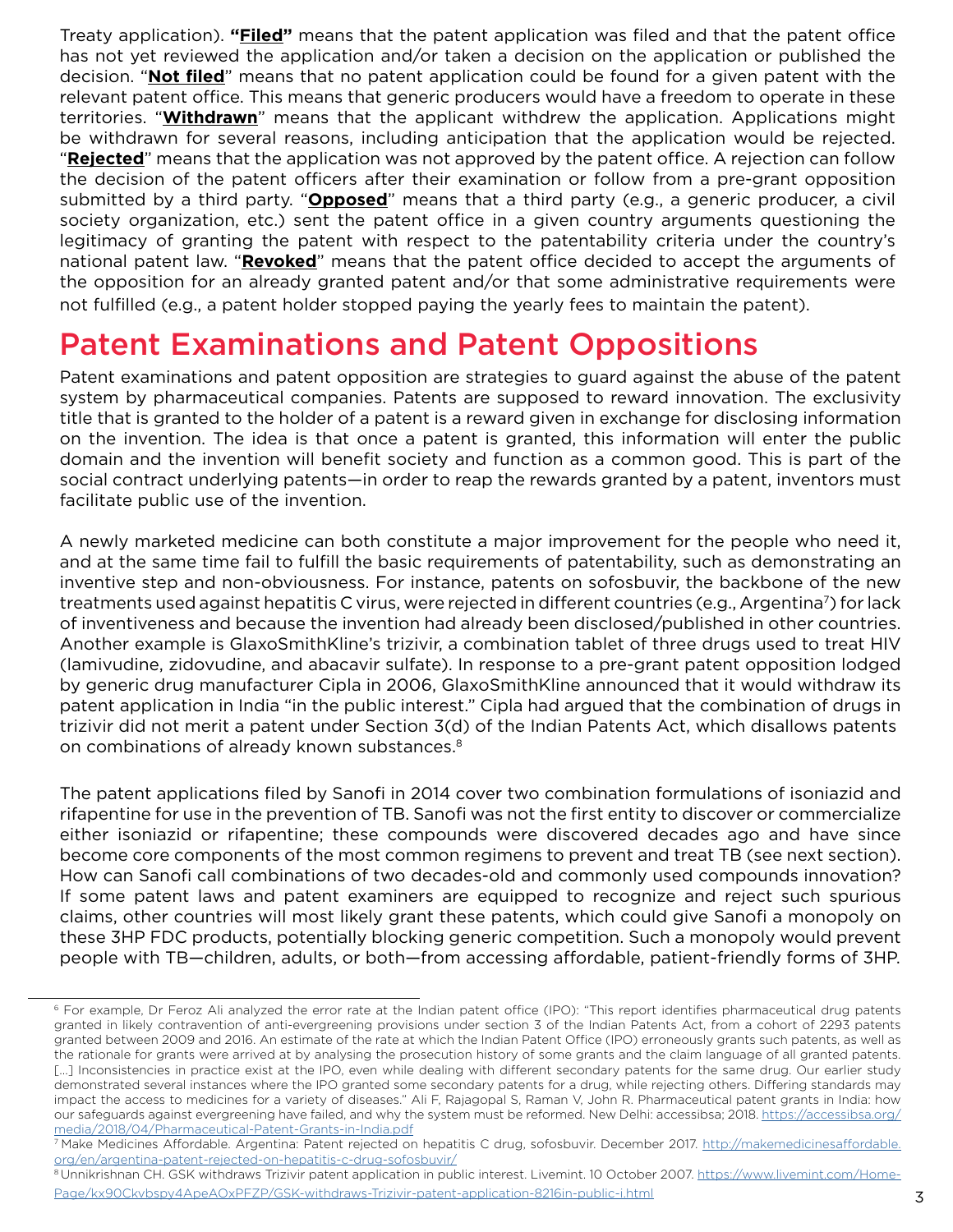Treaty application). **"Filed"** means that the patent application was filed and that the patent office has not yet reviewed the application and/or taken a decision on the application or published the decision. "**Not filed**" means that no patent application could be found for a given patent with the relevant patent office. This means that generic producers would have a freedom to operate in these territories. "**Withdrawn**" means that the applicant withdrew the application. Applications might be withdrawn for several reasons, including anticipation that the application would be rejected. "**Rejected**" means that the application was not approved by the patent office. A rejection can follow the decision of the patent officers after their examination or follow from a pre-grant opposition submitted by a third party. "**Opposed**" means that a third party (e.g., a generic producer, a civil society organization, etc.) sent the patent office in a given country arguments questioning the legitimacy of granting the patent with respect to the patentability criteria under the country's national patent law. "**Revoked**" means that the patent office decided to accept the arguments of the opposition for an already granted patent and/or that some administrative requirements were not fulfilled (e.g., a patent holder stopped paying the yearly fees to maintain the patent).

### Patent Examinations and Patent Oppositions

Patent examinations and patent opposition are strategies to guard against the abuse of the patent system by pharmaceutical companies. Patents are supposed to reward innovation. The exclusivity title that is granted to the holder of a patent is a reward given in exchange for disclosing information on the invention. The idea is that once a patent is granted, this information will enter the public domain and the invention will benefit society and function as a common good. This is part of the social contract underlying patents—in order to reap the rewards granted by a patent, inventors must facilitate public use of the invention.

A newly marketed medicine can both constitute a major improvement for the people who need it, and at the same time fail to fulfill the basic requirements of patentability, such as demonstrating an inventive step and non-obviousness. For instance, patents on sofosbuvir, the backbone of the new treatments used against hepatitis C virus, were rejected in different countries (e.g., Argentina<sup>7</sup>) for lack of inventiveness and because the invention had already been disclosed/published in other countries. Another example is GlaxoSmithKline's trizivir, a combination tablet of three drugs used to treat HIV (lamivudine, zidovudine, and abacavir sulfate). In response to a pre-grant patent opposition lodged by generic drug manufacturer Cipla in 2006, GlaxoSmithKline announced that it would withdraw its patent application in India "in the public interest." Cipla had argued that the combination of drugs in trizivir did not merit a patent under Section 3(d) of the Indian Patents Act, which disallows patents on combinations of already known substances.<sup>8</sup>

The patent applications filed by Sanofi in 2014 cover two combination formulations of isoniazid and rifapentine for use in the prevention of TB. Sanofi was not the first entity to discover or commercialize either isoniazid or rifapentine; these compounds were discovered decades ago and have since become core components of the most common regimens to prevent and treat TB (see next section). How can Sanofi call combinations of two decades-old and commonly used compounds innovation? If some patent laws and patent examiners are equipped to recognize and reject such spurious claims, other countries will most likely grant these patents, which could give Sanofi a monopoly on these 3HP FDC products, potentially blocking generic competition. Such a monopoly would prevent people with TB—children, adults, or both—from accessing affordable, patient-friendly forms of 3HP.

<sup>&</sup>lt;sup>6</sup> For example, Dr Feroz Ali analyzed the error rate at the Indian patent office (IPO): "This report identifies pharmaceutical drug patents granted in likely contravention of anti-evergreening provisions under section 3 of the Indian Patents Act, from a cohort of 2293 patents granted between 2009 and 2016. An estimate of the rate at which the Indian Patent Office (IPO) erroneously grants such patents, as well as the rationale for grants were arrived at by analysing the prosecution history of some grants and the claim language of all granted patents. [...] Inconsistencies in practice exist at the IPO, even while dealing with different secondary patents for the same drug. Our earlier study demonstrated several instances where the IPO granted some secondary patents for a drug, while rejecting others. Differing standards may impact the access to medicines for a variety of diseases." Ali F, Rajagopal S, Raman V, John R. Pharmaceutical patent grants in India: how our safeguards against evergreening have failed, and why the system must be reformed. New Delhi: accessibsa; 2018. [https://accessibsa.org/](https://accessibsa.org/media/2018/04/Pharmaceutical-Patent-Grants-in-India.pdf) [media/2018/04/Pharmaceutical-Patent-Grants-in-India.pdf](https://accessibsa.org/media/2018/04/Pharmaceutical-Patent-Grants-in-India.pdf)

<sup>&</sup>lt;sup>7</sup> Make Medicines Affordable. Argentina: Patent rejected on hepatitis C drug, sofosbuvir. December 2017. [http://makemedicinesaffordable.](http://makemedicinesaffordable.org/en/argentina-patent-rejected-on-hepatitis-c-drug-sofosbuvir/) [org/en/argentina-patent-rejected-on-hepatitis-c-drug-sofosbuvir/](http://makemedicinesaffordable.org/en/argentina-patent-rejected-on-hepatitis-c-drug-sofosbuvir/)

<sup>8</sup> Unnikrishnan CH. GSK withdraws Trizivir patent application in public interest. Livemint. 10 October 2007. [https://www.livemint.com/Home-](https://www.livemint.com/Home-Page/kx90Ckvbspy4ApeAOxPFZP/GSK-withdraws-Trizivir-patent-application-8216in-public-i.html)[Page/kx90Ckvbspy4ApeAOxPFZP/GSK-withdraws-Trizivir-patent-application-8216in-public-i.html](https://www.livemint.com/Home-Page/kx90Ckvbspy4ApeAOxPFZP/GSK-withdraws-Trizivir-patent-application-8216in-public-i.html)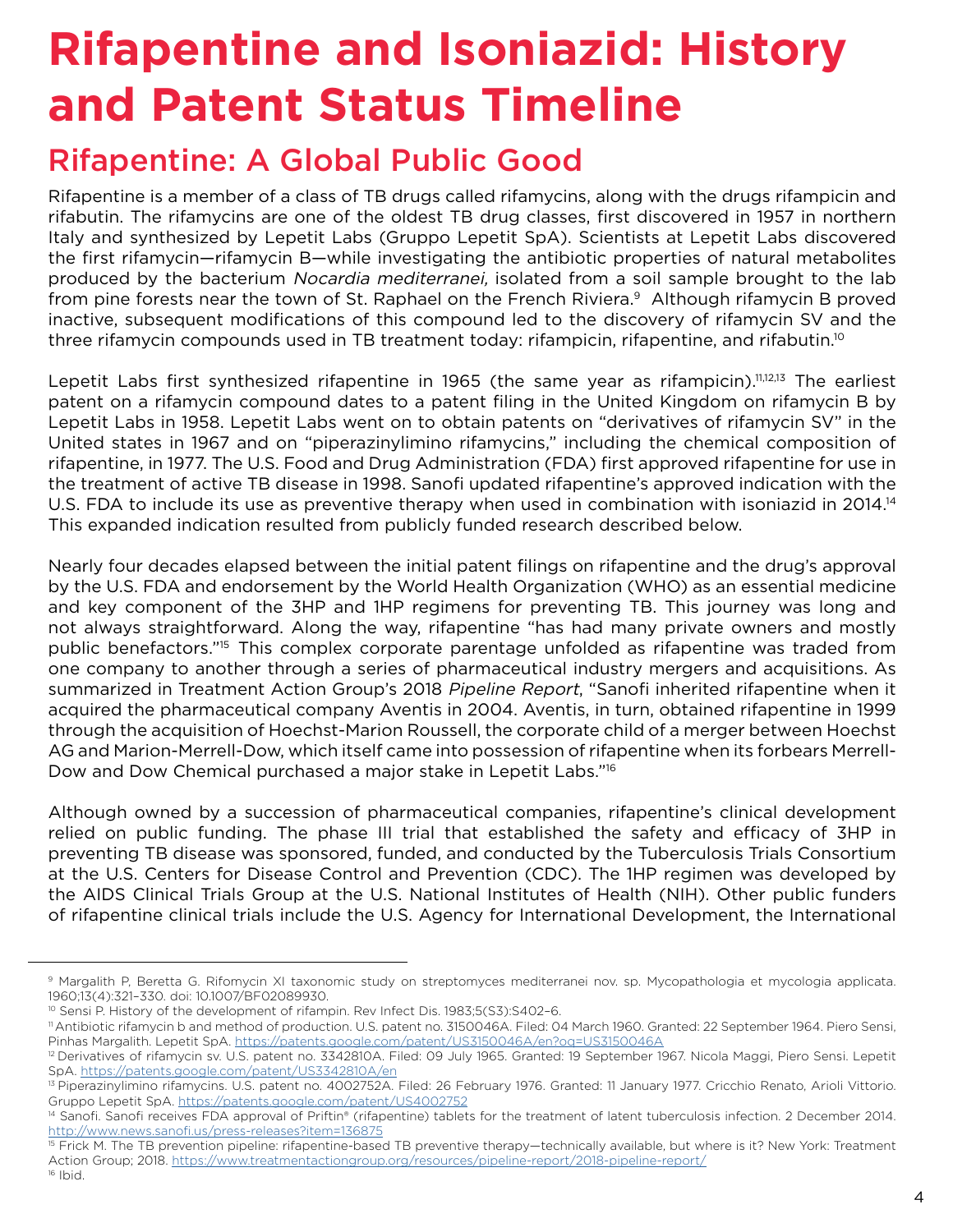# **Rifapentine and Isoniazid: History and Patent Status Timeline**

### Rifapentine: A Global Public Good

Rifapentine is a member of a class of TB drugs called rifamycins, along with the drugs rifampicin and rifabutin. The rifamycins are one of the oldest TB drug classes, first discovered in 1957 in northern Italy and synthesized by Lepetit Labs (Gruppo Lepetit SpA). Scientists at Lepetit Labs discovered the first rifamycin—rifamycin B—while investigating the antibiotic properties of natural metabolites produced by the bacterium Nocardia mediterranei, isolated from a soil sample brought to the lab from pine forests near the town of St. Raphael on the French Riviera.<sup>9</sup> Although rifamycin B proved inactive, subsequent modifications of this compound led to the discovery of rifamycin SV and the three rifamycin compounds used in TB treatment today: rifampicin, rifapentine, and rifabutin.<sup>10</sup>

Lepetit Labs first synthesized rifapentine in 1965 (the same year as rifampicin).<sup>11,12,13</sup> The earliest patent on a rifamycin compound dates to a patent filing in the United Kingdom on rifamycin B by Lepetit Labs in 1958. Lepetit Labs went on to obtain patents on "derivatives of rifamycin SV" in the United states in 1967 and on "piperazinylimino rifamycins," including the chemical composition of rifapentine, in 1977. The U.S. Food and Drug Administration (FDA) first approved rifapentine for use in the treatment of active TB disease in 1998. Sanofi updated rifapentine's approved indication with the U.S. FDA to include its use as preventive therapy when used in combination with isoniazid in 2014.<sup>14</sup> This expanded indication resulted from publicly funded research described below.

Nearly four decades elapsed between the initial patent filings on rifapentine and the drug's approval by the U.S. FDA and endorsement by the World Health Organization (WHO) as an essential medicine and key component of the 3HP and 1HP regimens for preventing TB. This journey was long and not always straightforward. Along the way, rifapentine "has had many private owners and mostly public benefactors."15 This complex corporate parentage unfolded as rifapentine was traded from one company to another through a series of pharmaceutical industry mergers and acquisitions. As summarized in Treatment Action Group's 2018 Pipeline Report, "Sanofi inherited rifapentine when it acquired the pharmaceutical company Aventis in 2004. Aventis, in turn, obtained rifapentine in 1999 through the acquisition of Hoechst-Marion Roussell, the corporate child of a merger between Hoechst AG and Marion-Merrell-Dow, which itself came into possession of rifapentine when its forbears Merrell-Dow and Dow Chemical purchased a major stake in Lepetit Labs."16

Although owned by a succession of pharmaceutical companies, rifapentine's clinical development relied on public funding. The phase III trial that established the safety and efficacy of 3HP in preventing TB disease was sponsored, funded, and conducted by the Tuberculosis Trials Consortium at the U.S. Centers for Disease Control and Prevention (CDC). The 1HP regimen was developed by the AIDS Clinical Trials Group at the U.S. National Institutes of Health (NIH). Other public funders of rifapentine clinical trials include the U.S. Agency for International Development, the International

<sup>9</sup> Margalith P, Beretta G. Rifomycin XI taxonomic study on streptomyces mediterranei nov. sp. Mycopathologia et mycologia applicata. 1960;13(4):321–330. doi: 10.1007/BF02089930.

<sup>&</sup>lt;sup>10</sup> Sensi P. History of the development of rifampin. Rev Infect Dis. 1983;5(S3):S402-6.

<sup>11</sup> Antibiotic rifamycin b and method of production. U.S. patent no. 3150046A. Filed: 04 March 1960. Granted: 22 September 1964. Piero Sensi, Pinhas Margalith. Lepetit SpA.<https://patents.google.com/patent/US3150046A/en?oq=US3150046A>

<sup>&</sup>lt;sup>12</sup> Derivatives of rifamycin sv. U.S. patent no. 3342810A. Filed: 09 July 1965. Granted: 19 September 1967. Nicola Maggi, Piero Sensi. Lepetit SpA. <https://patents.google.com/patent/US3342810A/en>

<sup>&</sup>lt;sup>13</sup> Piperazinylimino rifamycins. U.S. patent no. 4002752A. Filed: 26 February 1976. Granted: 11 January 1977. Cricchio Renato, Arioli Vittorio. Gruppo Lepetit SpA. <https://patents.google.com/patent/US4002752>

<sup>&</sup>lt;sup>14</sup> Sanofi. Sanofi receives FDA approval of Priftin® (rifapentine) tablets for the treatment of latent tuberculosis infection. 2 December 2014. <http://www.news.sanofi.us/press-releases?item=136875>

<sup>&</sup>lt;sup>15</sup> Frick M. The TB prevention pipeline: rifapentine-based TB preventive therapy—technically available, but where is it? New York: Treatment Action Group; 2018. <https://www.treatmentactiongroup.org/resources/pipeline-report/2018-pipeline-report/> 16 Ibid.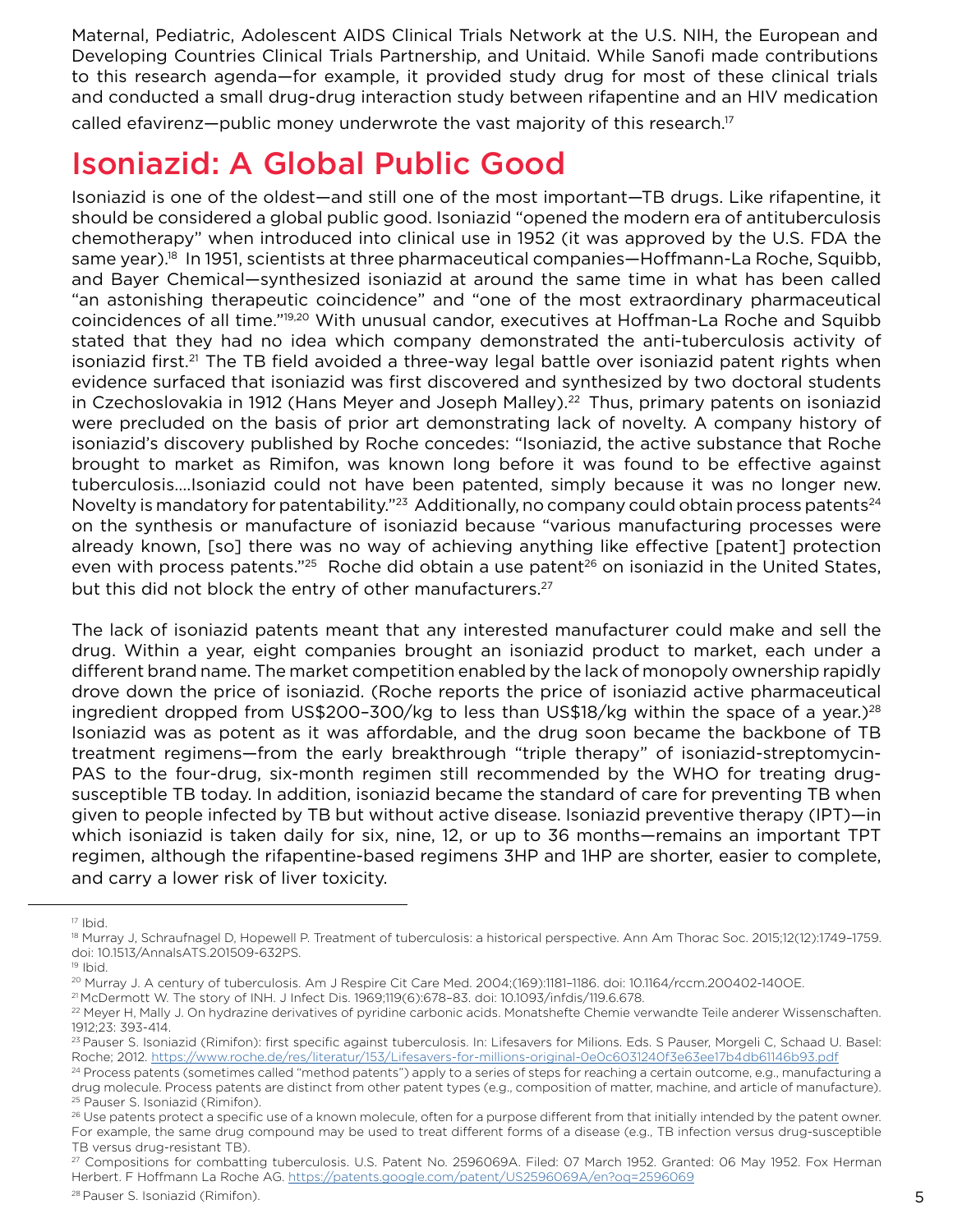Maternal, Pediatric, Adolescent AIDS Clinical Trials Network at the U.S. NIH, the European and Developing Countries Clinical Trials Partnership, and Unitaid. While Sanofi made contributions to this research agenda—for example, it provided study drug for most of these clinical trials and conducted a small drug-drug interaction study between rifapentine and an HIV medication called efavirenz—public money underwrote the vast majority of this research.<sup>17</sup>

# Isoniazid: A Global Public Good

Isoniazid is one of the oldest—and still one of the most important—TB drugs. Like rifapentine, it should be considered a global public good. Isoniazid "opened the modern era of antituberculosis chemotherapy" when introduced into clinical use in 1952 (it was approved by the U.S. FDA the same year).<sup>18</sup> In 1951, scientists at three pharmaceutical companies—Hoffmann-La Roche, Squibb, and Bayer Chemical—synthesized isoniazid at around the same time in what has been called "an astonishing therapeutic coincidence" and "one of the most extraordinary pharmaceutical coincidences of all time."19,20 With unusual candor, executives at Hoffman-La Roche and Squibb stated that they had no idea which company demonstrated the anti-tuberculosis activity of isoniazid first.<sup>21</sup> The TB field avoided a three-way legal battle over isoniazid patent rights when evidence surfaced that isoniazid was first discovered and synthesized by two doctoral students in Czechoslovakia in 1912 (Hans Meyer and Joseph Malley).<sup>22</sup> Thus, primary patents on isoniazid were precluded on the basis of prior art demonstrating lack of novelty. A company history of isoniazid's discovery published by Roche concedes: "Isoniazid, the active substance that Roche brought to market as Rimifon, was known long before it was found to be effective against tuberculosis….Isoniazid could not have been patented, simply because it was no longer new. Novelty is mandatory for patentability."<sup>23</sup> Additionally, no company could obtain process patents<sup>24</sup> on the synthesis or manufacture of isoniazid because "various manufacturing processes were already known, [so] there was no way of achieving anything like effective [patent] protection even with process patents."<sup>25</sup> Roche did obtain a use patent<sup>26</sup> on isoniazid in the United States, but this did not block the entry of other manufacturers.<sup>27</sup>

The lack of isoniazid patents meant that any interested manufacturer could make and sell the drug. Within a year, eight companies brought an isoniazid product to market, each under a different brand name. The market competition enabled by the lack of monopoly ownership rapidly drove down the price of isoniazid. (Roche reports the price of isoniazid active pharmaceutical ingredient dropped from US\$200-300/kg to less than US\$18/kg within the space of a year.)<sup>28</sup> Isoniazid was as potent as it was affordable, and the drug soon became the backbone of TB treatment regimens—from the early breakthrough "triple therapy" of isoniazid-streptomycin-PAS to the four-drug, six-month regimen still recommended by the WHO for treating drugsusceptible TB today. In addition, isoniazid became the standard of care for preventing TB when given to people infected by TB but without active disease. Isoniazid preventive therapy (IPT)—in which isoniazid is taken daily for six, nine, 12, or up to 36 months—remains an important TPT regimen, although the rifapentine-based regimens 3HP and 1HP are shorter, easier to complete, and carry a lower risk of liver toxicity.

 $17$  Ibid.

<sup>18</sup> Murray J, Schraufnagel D, Hopewell P. Treatment of tuberculosis: a historical perspective. Ann Am Thorac Soc. 2015;12(12):1749-1759. doi: 10.1513/AnnalsATS.201509-632PS.

<sup>19</sup> Ibid.

<sup>&</sup>lt;sup>20</sup> Murray J. A century of tuberculosis. Am J Respire Cit Care Med. 2004;(169):1181-1186. doi: 10.1164/rccm.200402-1400E.

<sup>21</sup> McDermott W. The story of INH. J Infect Dis. 1969;119(6):678–83. doi: 10.1093/infdis/119.6.678.

<sup>&</sup>lt;sup>22</sup> Meyer H, Mally J. On hydrazine derivatives of pyridine carbonic acids. Monatshefte Chemie verwandte Teile anderer Wissenschaften. 1912;23: 393-414.

<sup>&</sup>lt;sup>23</sup> Pauser S. Isoniazid (Rimifon): first specific against tuberculosis. In: Lifesavers for Milions. Eds. S Pauser, Morgeli C, Schaad U. Basel: Roche; 2012.<https://www.roche.de/res/literatur/153/Lifesavers-for-millions-original-0e0c6031240f3e63ee17b4db61146b93.pdf>

<sup>&</sup>lt;sup>24</sup> Process patents (sometimes called "method patents") apply to a series of steps for reaching a certain outcome, e.g., manufacturing a drug molecule. Process patents are distinct from other patent types (e.g., composition of matter, machine, and article of manufacture). 25 Pauser S. Isoniazid (Rimifon).

<sup>&</sup>lt;sup>26</sup> Use patents protect a specific use of a known molecule, often for a purpose different from that initially intended by the patent owner. For example, the same drug compound may be used to treat different forms of a disease (e.g., TB infection versus drug-susceptible TB versus drug-resistant TB).

<sup>27</sup> Compositions for combatting tuberculosis. U.S. Patent No. 2596069A. Filed: 07 March 1952. Granted: 06 May 1952. Fox Herman Herbert. F Hoffmann La Roche AG.<https://patents.google.com/patent/US2596069A/en?oq=2596069>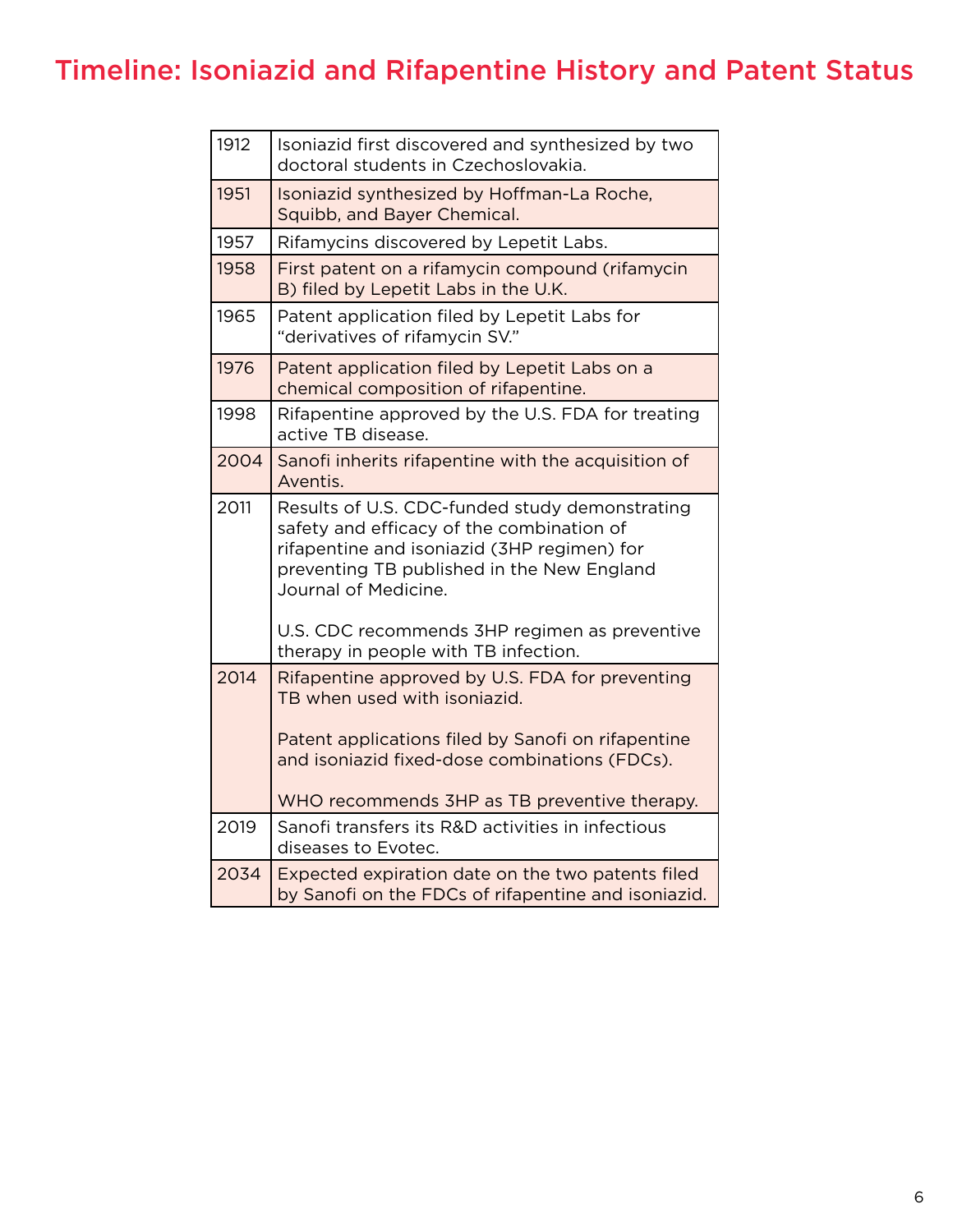# Timeline: Isoniazid and Rifapentine History and Patent Status

| 1912 | Isoniazid first discovered and synthesized by two<br>doctoral students in Czechoslovakia.                                                                                                                                                                         |
|------|-------------------------------------------------------------------------------------------------------------------------------------------------------------------------------------------------------------------------------------------------------------------|
| 1951 | Isoniazid synthesized by Hoffman-La Roche,<br>Squibb, and Bayer Chemical.                                                                                                                                                                                         |
| 1957 | Rifamycins discovered by Lepetit Labs.                                                                                                                                                                                                                            |
| 1958 | First patent on a rifamycin compound (rifamycin<br>B) filed by Lepetit Labs in the U.K.                                                                                                                                                                           |
| 1965 | Patent application filed by Lepetit Labs for<br>"derivatives of rifamycin SV."                                                                                                                                                                                    |
| 1976 | Patent application filed by Lepetit Labs on a<br>chemical composition of rifapentine.                                                                                                                                                                             |
| 1998 | Rifapentine approved by the U.S. FDA for treating<br>active TB disease.                                                                                                                                                                                           |
| 2004 | Sanofi inherits rifapentine with the acquisition of<br>Aventis.                                                                                                                                                                                                   |
| 2011 | Results of U.S. CDC-funded study demonstrating<br>safety and efficacy of the combination of<br>rifapentine and isoniazid (3HP regimen) for<br>preventing TB published in the New England<br>Journal of Medicine.<br>U.S. CDC recommends 3HP regimen as preventive |
|      | therapy in people with TB infection.                                                                                                                                                                                                                              |
| 2014 | Rifapentine approved by U.S. FDA for preventing<br>TB when used with isoniazid.                                                                                                                                                                                   |
|      | Patent applications filed by Sanofi on rifapentine<br>and isoniazid fixed-dose combinations (FDCs).                                                                                                                                                               |
|      | WHO recommends 3HP as TB preventive therapy.                                                                                                                                                                                                                      |
| 2019 | Sanofi transfers its R&D activities in infectious<br>diseases to Evotec.                                                                                                                                                                                          |
| 2034 | Expected expiration date on the two patents filed<br>by Sanofi on the FDCs of rifapentine and isoniazid.                                                                                                                                                          |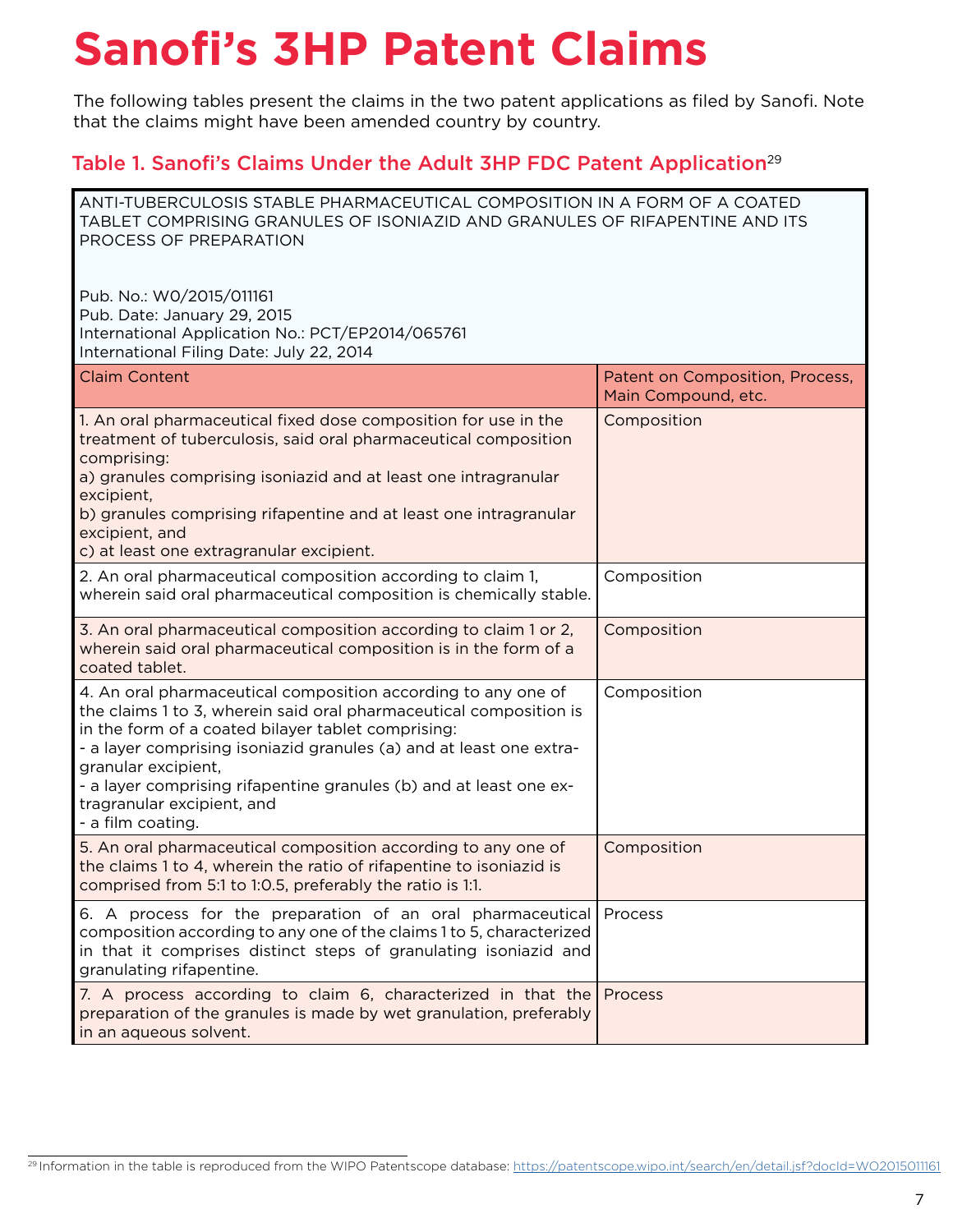# **Sanofi's 3HP Patent Claims**

The following tables present the claims in the two patent applications as filed by Sanofi. Note that the claims might have been amended country by country.

#### Table 1. Sanofi's Claims Under the Adult 3HP FDC Patent Application<sup>29</sup>

| ANTI-TUBERCULOSIS STABLE PHARMACEUTICAL COMPOSITION IN A FORM OF A COATED<br>TABLET COMPRISING GRANULES OF ISONIAZID AND GRANULES OF RIFAPENTINE AND ITS<br>PROCESS OF PREPARATION                                                                                                                                                                                                                               |                                                        |
|------------------------------------------------------------------------------------------------------------------------------------------------------------------------------------------------------------------------------------------------------------------------------------------------------------------------------------------------------------------------------------------------------------------|--------------------------------------------------------|
| Pub. No.: W0/2015/011161<br>Pub. Date: January 29, 2015<br>International Application No.: PCT/EP2014/065761<br>International Filing Date: July 22, 2014                                                                                                                                                                                                                                                          |                                                        |
| <b>Claim Content</b>                                                                                                                                                                                                                                                                                                                                                                                             | Patent on Composition, Process,<br>Main Compound, etc. |
| 1. An oral pharmaceutical fixed dose composition for use in the<br>treatment of tuberculosis, said oral pharmaceutical composition<br>comprising:<br>a) granules comprising isoniazid and at least one intragranular<br>excipient,<br>b) granules comprising rifapentine and at least one intragranular<br>excipient, and<br>c) at least one extragranular excipient.                                            | Composition                                            |
| 2. An oral pharmaceutical composition according to claim 1,<br>wherein said oral pharmaceutical composition is chemically stable.                                                                                                                                                                                                                                                                                | Composition                                            |
| 3. An oral pharmaceutical composition according to claim 1 or 2,<br>wherein said oral pharmaceutical composition is in the form of a<br>coated tablet.                                                                                                                                                                                                                                                           | Composition                                            |
| 4. An oral pharmaceutical composition according to any one of<br>the claims 1 to 3, wherein said oral pharmaceutical composition is<br>in the form of a coated bilayer tablet comprising:<br>- a layer comprising isoniazid granules (a) and at least one extra-<br>granular excipient,<br>- a layer comprising rifapentine granules (b) and at least one ex-<br>tragranular excipient, and<br>- a film coating. | Composition                                            |
| 5. An oral pharmaceutical composition according to any one of<br>the claims 1 to 4, wherein the ratio of rifapentine to isoniazid is<br>comprised from 5:1 to 1:0.5, preferably the ratio is 1:1.                                                                                                                                                                                                                | Composition                                            |
| 6. A process for the preparation of an oral pharmaceutical<br>composition according to any one of the claims 1 to 5, characterized<br>in that it comprises distinct steps of granulating isoniazid and<br>granulating rifapentine.                                                                                                                                                                               | Process                                                |
| 7. A process according to claim 6, characterized in that the<br>preparation of the granules is made by wet granulation, preferably<br>in an aqueous solvent.                                                                                                                                                                                                                                                     | Process                                                |

<sup>29</sup> Information in the table is reproduced from the WIPO Patentscope database: [https://patentscope.wipo.int/search/en/detail.jsf?docId=WO2015011161](https://patentscope.wipo.int/search/en/detail.jsf?docId=WO2015011161&tab=PCTBIBLIO)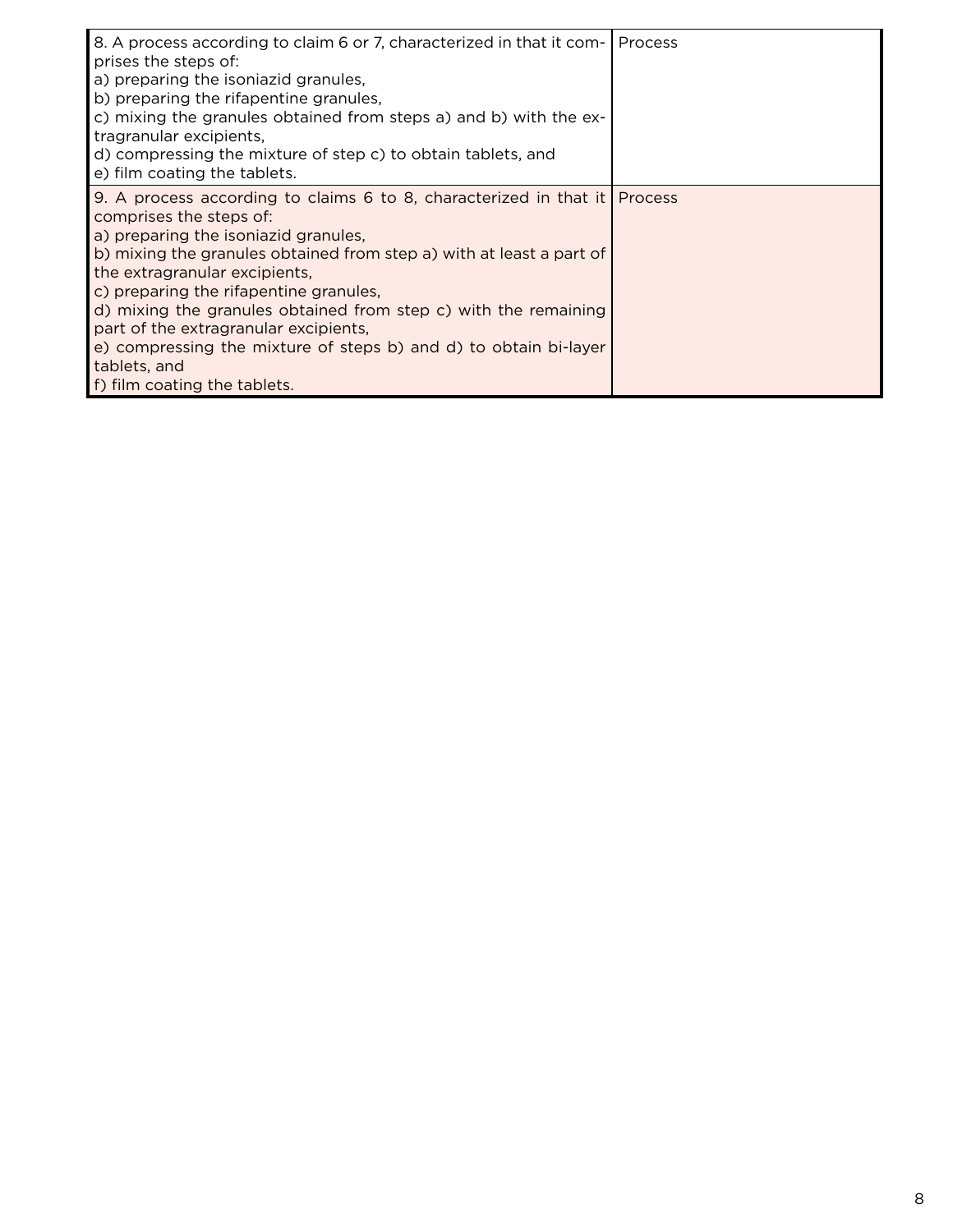| 8. A process according to claim 6 or 7, characterized in that it com-<br>prises the steps of:<br>a) preparing the isoniazid granules,<br>b) preparing the rifapentine granules,<br>c) mixing the granules obtained from steps a) and b) with the ex-<br>tragranular excipients,<br>d) compressing the mixture of step c) to obtain tablets, and<br>e) film coating the tablets.                                                                                                                                                 | Process |
|---------------------------------------------------------------------------------------------------------------------------------------------------------------------------------------------------------------------------------------------------------------------------------------------------------------------------------------------------------------------------------------------------------------------------------------------------------------------------------------------------------------------------------|---------|
| 9. A process according to claims 6 to 8, characterized in that it Process<br>comprises the steps of:<br>a) preparing the isoniazid granules,<br>b) mixing the granules obtained from step a) with at least a part of<br>the extragranular excipients,<br>c) preparing the rifapentine granules,<br>d) mixing the granules obtained from step c) with the remaining<br>part of the extragranular excipients,<br>e) compressing the mixture of steps b) and d) to obtain bi-layer<br>tablets, and<br>f) film coating the tablets. |         |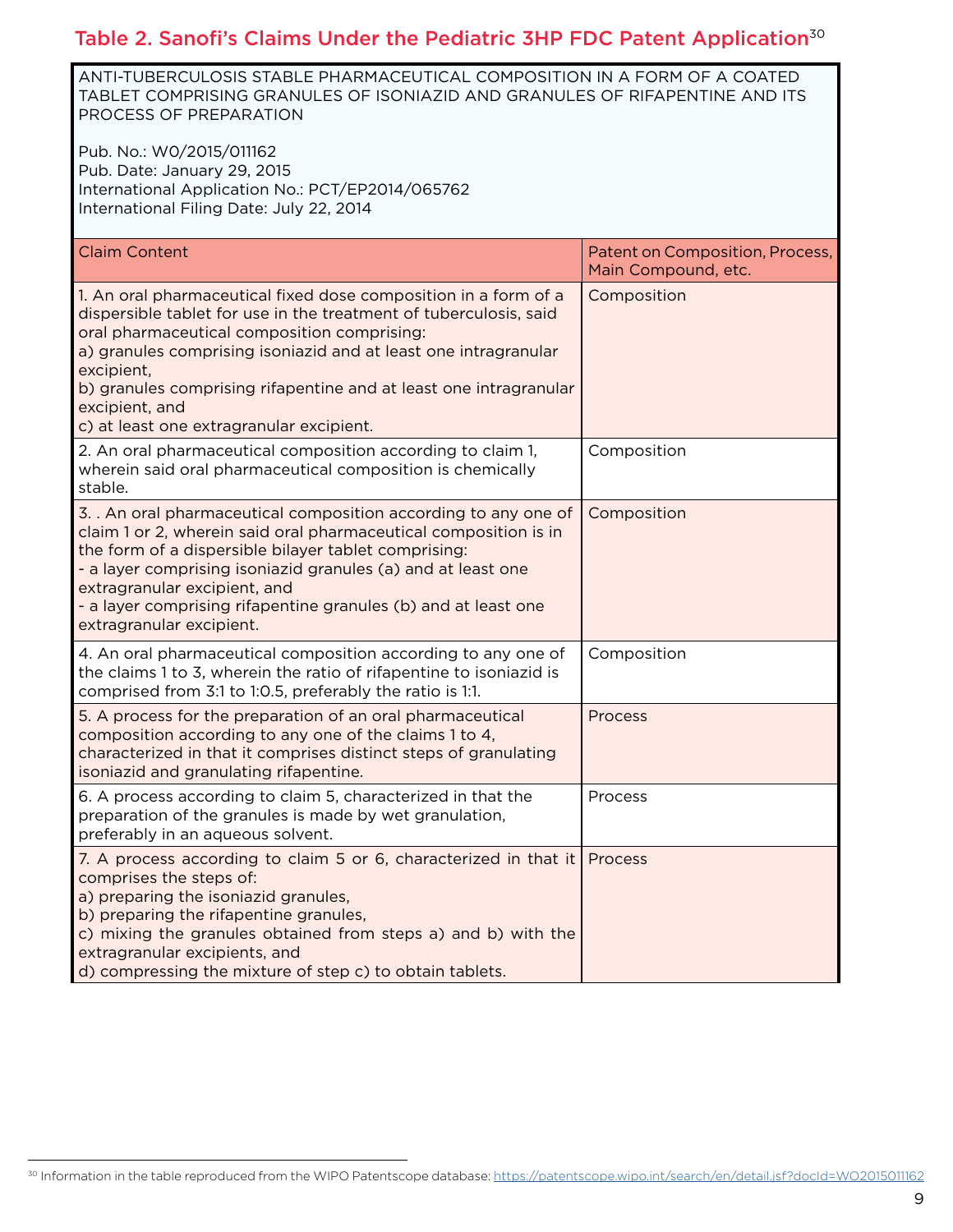#### Table 2. Sanofi's Claims Under the Pediatric 3HP FDC Patent Application<sup>30</sup>

ANTI-TUBERCULOSIS STABLE PHARMACEUTICAL COMPOSITION IN A FORM OF A COATED TABLET COMPRISING GRANULES OF ISONIAZID AND GRANULES OF RIFAPENTINE AND ITS PROCESS OF PREPARATION

Pub. No.: W0/2015/011162 Pub. Date: January 29, 2015 International Application No.: PCT/EP2014/065762 International Filing Date: July 22, 2014

| <b>Claim Content</b>                                                                                                                                                                                                                                                                                                                                                                                    | Patent on Composition, Process,<br>Main Compound, etc. |
|---------------------------------------------------------------------------------------------------------------------------------------------------------------------------------------------------------------------------------------------------------------------------------------------------------------------------------------------------------------------------------------------------------|--------------------------------------------------------|
| 1. An oral pharmaceutical fixed dose composition in a form of a<br>dispersible tablet for use in the treatment of tuberculosis, said<br>oral pharmaceutical composition comprising:<br>a) granules comprising isoniazid and at least one intragranular<br>excipient,<br>b) granules comprising rifapentine and at least one intragranular<br>excipient, and<br>c) at least one extragranular excipient. | Composition                                            |
| 2. An oral pharmaceutical composition according to claim 1,<br>wherein said oral pharmaceutical composition is chemically<br>stable.                                                                                                                                                                                                                                                                    | Composition                                            |
| 3. . An oral pharmaceutical composition according to any one of<br>claim 1 or 2, wherein said oral pharmaceutical composition is in<br>the form of a dispersible bilayer tablet comprising:<br>- a layer comprising isoniazid granules (a) and at least one<br>extragranular excipient, and<br>- a layer comprising rifapentine granules (b) and at least one<br>extragranular excipient.               | Composition                                            |
| 4. An oral pharmaceutical composition according to any one of<br>the claims 1 to 3, wherein the ratio of rifapentine to isoniazid is<br>comprised from 3:1 to 1:0.5, preferably the ratio is 1:1.                                                                                                                                                                                                       | Composition                                            |
| 5. A process for the preparation of an oral pharmaceutical<br>composition according to any one of the claims 1 to 4,<br>characterized in that it comprises distinct steps of granulating<br>isoniazid and granulating rifapentine.                                                                                                                                                                      | Process                                                |
| 6. A process according to claim 5, characterized in that the<br>preparation of the granules is made by wet granulation,<br>preferably in an aqueous solvent.                                                                                                                                                                                                                                            | Process                                                |
| 7. A process according to claim 5 or 6, characterized in that it<br>comprises the steps of:<br>a) preparing the isoniazid granules,<br>b) preparing the rifapentine granules,<br>c) mixing the granules obtained from steps a) and b) with the<br>extragranular excipients, and<br>d) compressing the mixture of step c) to obtain tablets.                                                             | Process                                                |

30 Information in the table reproduced from the WIPO Patentscope database:<https://patentscope.wipo.int/search/en/detail.jsf?docId=WO2015011162>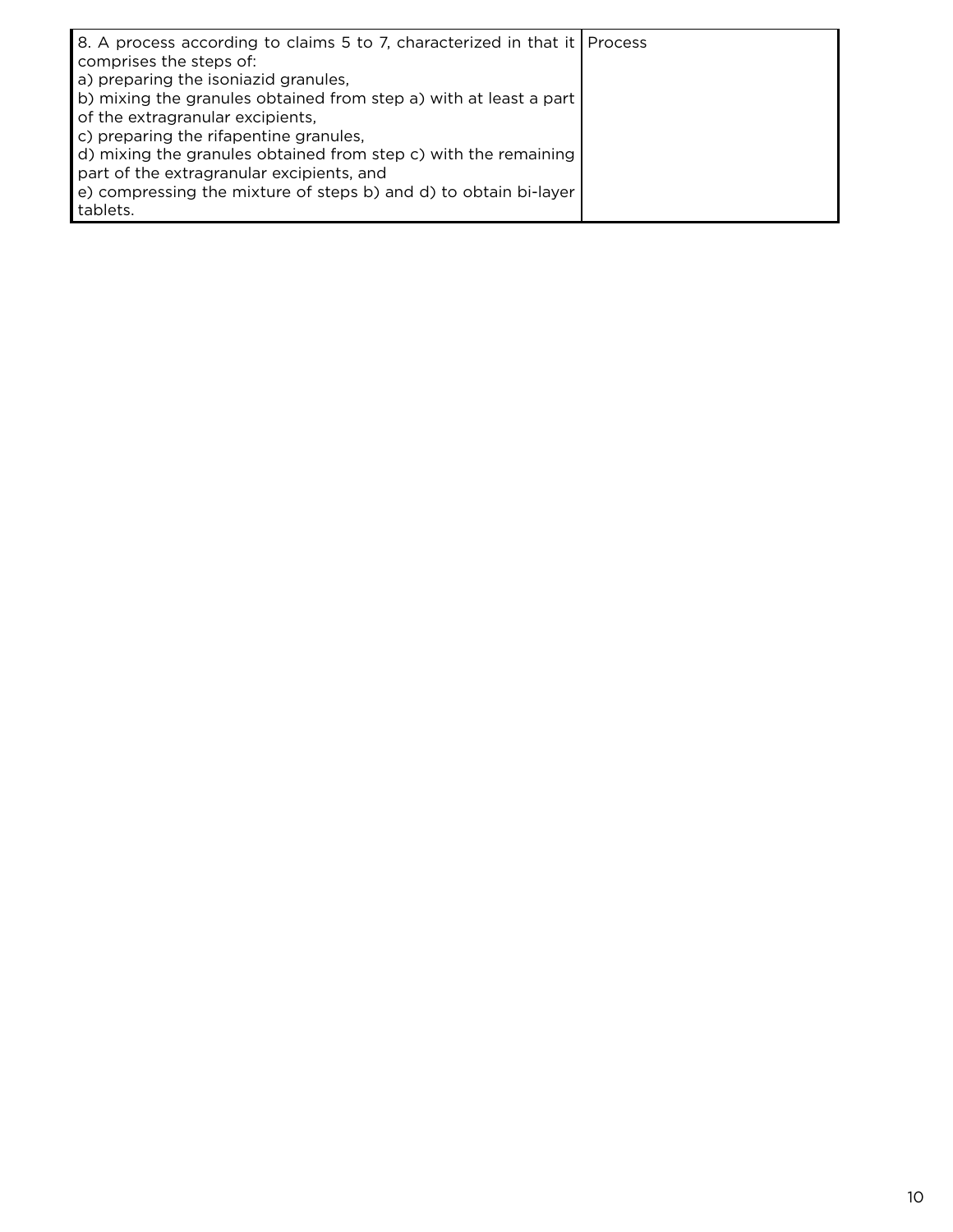| 8. A process according to claims 5 to 7, characterized in that it   Process<br>comprises the steps of: |  |
|--------------------------------------------------------------------------------------------------------|--|
| a) preparing the isoniazid granules,                                                                   |  |
| b) mixing the granules obtained from step a) with at least a part                                      |  |
| of the extragranular excipients,                                                                       |  |
| c) preparing the rifapentine granules,                                                                 |  |
| d) mixing the granules obtained from step c) with the remaining                                        |  |
| part of the extragranular excipients, and                                                              |  |
| e) compressing the mixture of steps b) and d) to obtain bi-layer                                       |  |
| tablets.                                                                                               |  |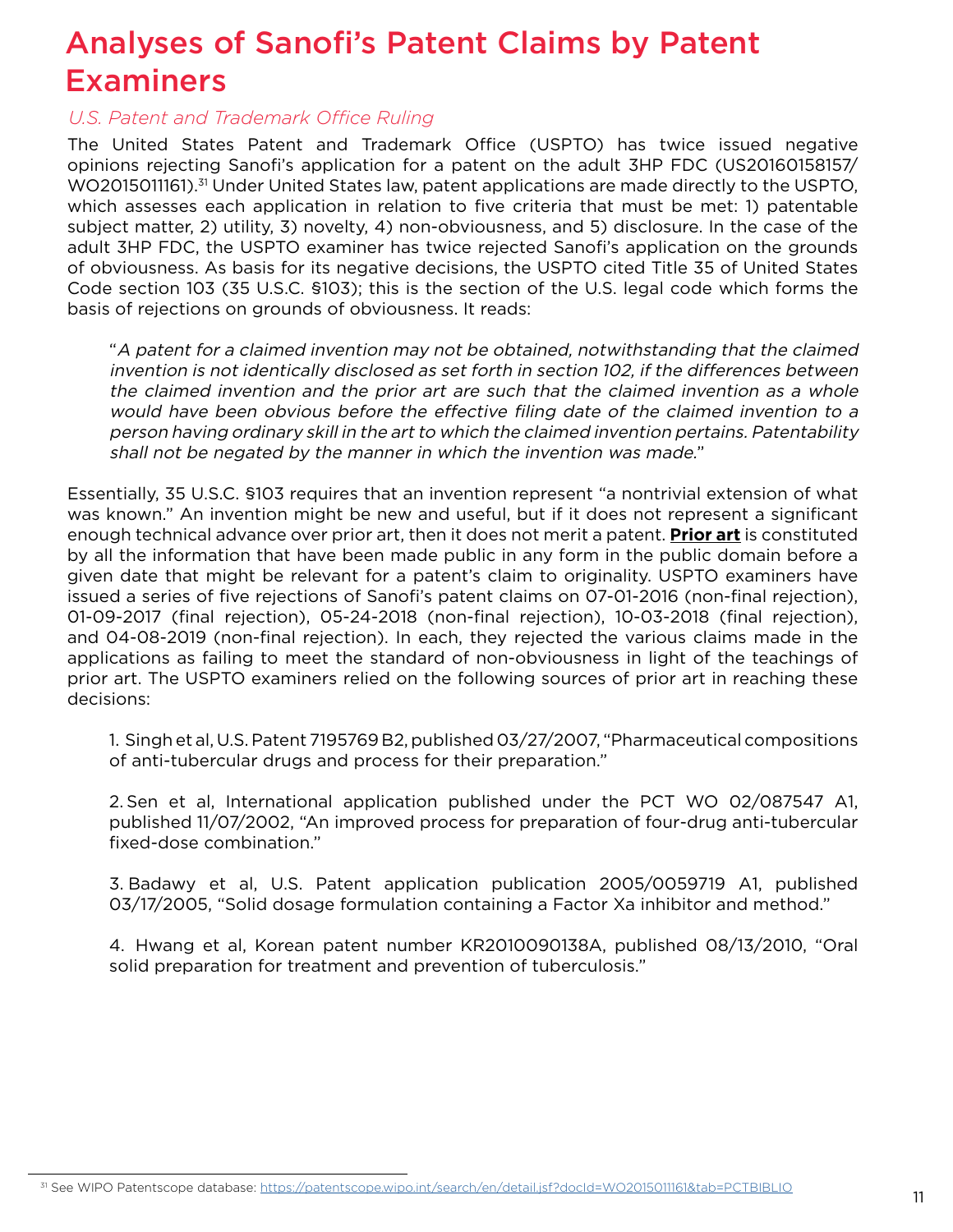# Analyses of Sanofi's Patent Claims by Patent Examiners

#### *U.S. Patent and Trademark Office Ruling*

The United States Patent and Trademark Office (USPTO) has twice issued negative opinions rejecting Sanofi's application for a patent on the adult 3HP FDC (US20160158157/ WO2015011161).<sup>31</sup> Under United States law, patent applications are made directly to the USPTO, which assesses each application in relation to five criteria that must be met: 1) patentable subject matter, 2) utility, 3) novelty, 4) non-obviousness, and 5) disclosure. In the case of the adult 3HP FDC, the USPTO examiner has twice rejected Sanofi's application on the grounds of obviousness. As basis for its negative decisions, the USPTO cited Title 35 of United States Code section 103 (35 U.S.C. §103); this is the section of the U.S. legal code which forms the basis of rejections on grounds of obviousness. It reads:

"A patent for a claimed invention may not be obtained, notwithstanding that the claimed invention is not identically disclosed as set forth in section 102, if the differences between the claimed invention and the prior art are such that the claimed invention as a whole would have been obvious before the effective filing date of the claimed invention to a person having ordinary skill in the art to which the claimed invention pertains. Patentability shall not be negated by the manner in which the invention was made."

Essentially, 35 U.S.C. §103 requires that an invention represent "a nontrivial extension of what was known." An invention might be new and useful, but if it does not represent a significant enough technical advance over prior art, then it does not merit a patent. **Prior art** is constituted by all the information that have been made public in any form in the public domain before a given date that might be relevant for a patent's claim to originality. USPTO examiners have issued a series of five rejections of Sanofi's patent claims on 07-01-2016 (non-final rejection), 01-09-2017 (final rejection), 05-24-2018 (non-final rejection), 10-03-2018 (final rejection), and 04-08-2019 (non-final rejection). In each, they rejected the various claims made in the applications as failing to meet the standard of non-obviousness in light of the teachings of prior art. The USPTO examiners relied on the following sources of prior art in reaching these decisions:

1. Singh et al, U.S. Patent 7195769 B2, published 03/27/2007, "Pharmaceutical compositions of anti-tubercular drugs and process for their preparation."

2. Sen et al, International application published under the PCT WO 02/087547 A1, published 11/07/2002, "An improved process for preparation of four-drug anti-tubercular fixed-dose combination."

3. Badawy et al, U.S. Patent application publication 2005/0059719 A1, published 03/17/2005, "Solid dosage formulation containing a Factor Xa inhibitor and method."

4.  Hwang et al, Korean patent number KR2010090138A, published 08/13/2010, "Oral solid preparation for treatment and prevention of tuberculosis."

<sup>&</sup>lt;sup>31</sup> See WIPO Patentscope database:<https://patentscope.wipo.int/search/en/detail.jsf?docId=WO2015011161&tab=PCTBIBLIO>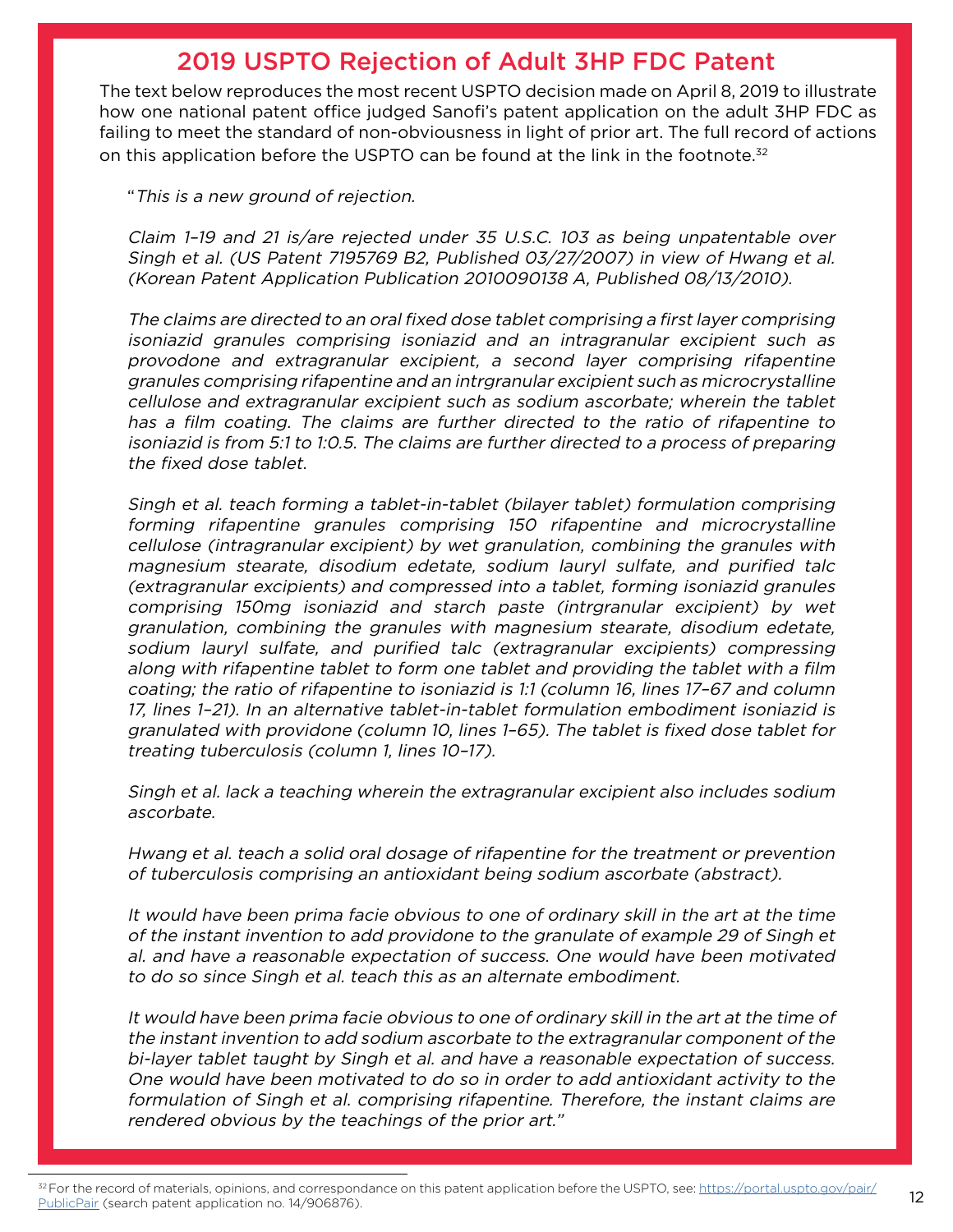#### 2019 USPTO Rejection of Adult 3HP FDC Patent

The text below reproduces the most recent USPTO decision made on April 8, 2019 to illustrate how one national patent office judged Sanofi's patent application on the adult 3HP FDC as failing to meet the standard of non-obviousness in light of prior art. The full record of actions on this application before the USPTO can be found at the link in the footnote. $32$ 

"This is a new ground of rejection.

Claim 1–19 and 21 is/are rejected under 35 U.S.C. 103 as being unpatentable over Singh et al. (US Patent 7195769 B2, Published 03/27/2007) in view of Hwang et al. (Korean Patent Application Publication 2010090138 A, Published 08/13/2010).

The claims are directed to an oral fixed dose tablet comprising a first layer comprising isoniazid granules comprising isoniazid and an intragranular excipient such as provodone and extragranular excipient, a second layer comprising rifapentine granules comprising rifapentine and an intrgranular excipient such as microcrystalline cellulose and extragranular excipient such as sodium ascorbate; wherein the tablet has a film coating. The claims are further directed to the ratio of rifapentine to isoniazid is from 5:1 to 1:0.5. The claims are further directed to a process of preparing the fixed dose tablet.

Singh et al. teach forming a tablet-in-tablet (bilayer tablet) formulation comprising forming rifapentine granules comprising 150 rifapentine and microcrystalline cellulose (intragranular excipient) by wet granulation, combining the granules with magnesium stearate, disodium edetate, sodium lauryl sulfate, and purified talc (extragranular excipients) and compressed into a tablet, forming isoniazid granules comprising 150mg isoniazid and starch paste (intrgranular excipient) by wet granulation, combining the granules with magnesium stearate, disodium edetate, sodium lauryl sulfate, and purified talc (extragranular excipients) compressing along with rifapentine tablet to form one tablet and providing the tablet with a film coating; the ratio of rifapentine to isoniazid is 1:1 (column 16, lines 17–67 and column 17, lines 1–21). In an alternative tablet-in-tablet formulation embodiment isoniazid is granulated with providone (column 10, lines 1–65). The tablet is fixed dose tablet for treating tuberculosis (column 1, lines 10–17).

Singh et al. lack a teaching wherein the extragranular excipient also includes sodium ascorbate.

Hwang et al. teach a solid oral dosage of rifapentine for the treatment or prevention of tuberculosis comprising an antioxidant being sodium ascorbate (abstract).

It would have been prima facie obvious to one of ordinary skill in the art at the time of the instant invention to add providone to the granulate of example 29 of Singh et al. and have a reasonable expectation of success. One would have been motivated to do so since Singh et al. teach this as an alternate embodiment.

It would have been prima facie obvious to one of ordinary skill in the art at the time of the instant invention to add sodium ascorbate to the extragranular component of the bi-layer tablet taught by Singh et al. and have a reasonable expectation of success. One would have been motivated to do so in order to add antioxidant activity to the formulation of Singh et al. comprising rifapentine. Therefore, the instant claims are rendered obvious by the teachings of the prior art."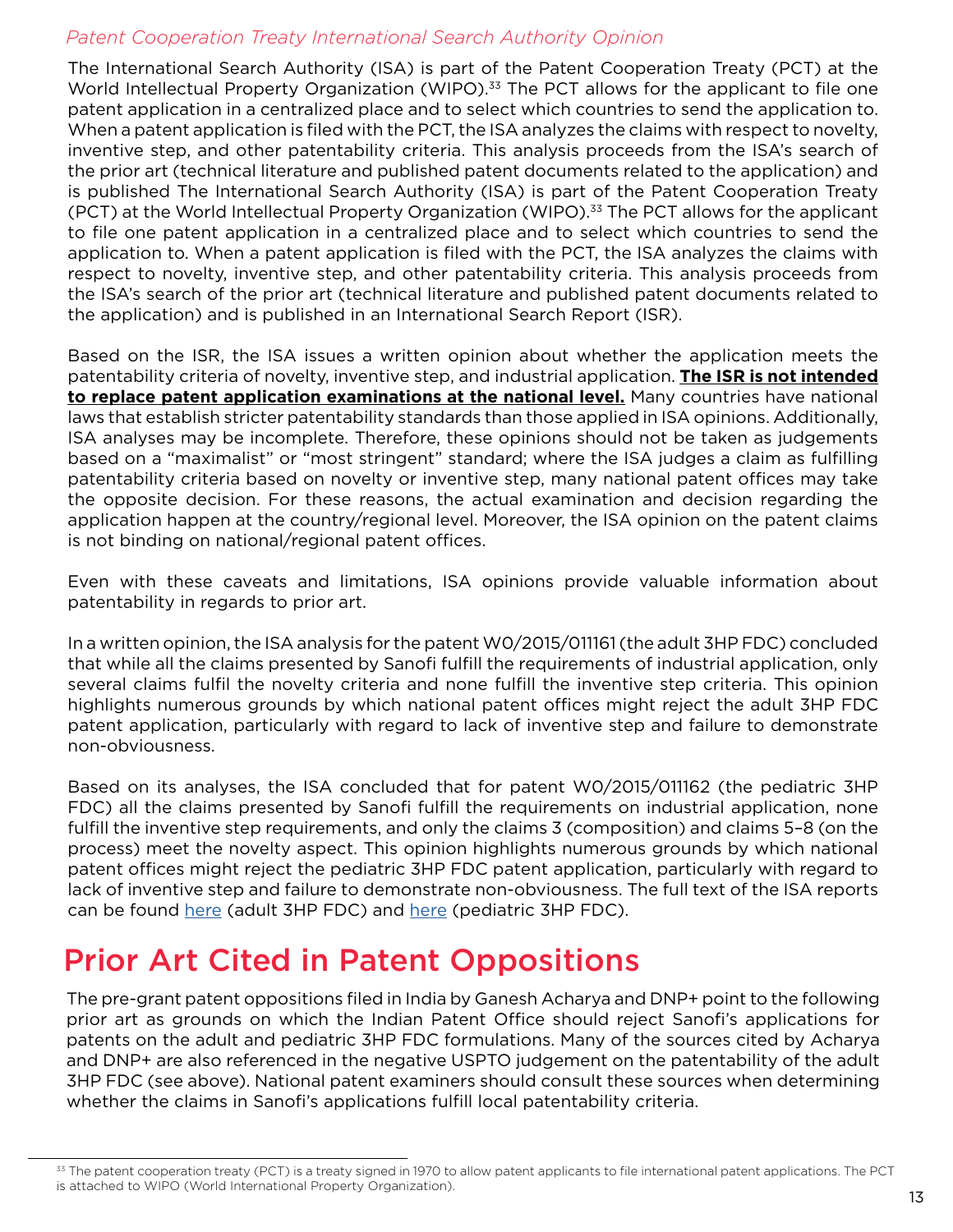#### *Patent Cooperation Treaty International Search Authority Opinion*

The International Search Authority (ISA) is part of the Patent Cooperation Treaty (PCT) at the World Intellectual Property Organization (WIPO).<sup>33</sup> The PCT allows for the applicant to file one patent application in a centralized place and to select which countries to send the application to. When a patent application is filed with the PCT, the ISA analyzes the claims with respect to novelty, inventive step, and other patentability criteria. This analysis proceeds from the ISA's search of the prior art (technical literature and published patent documents related to the application) and is published The International Search Authority (ISA) is part of the Patent Cooperation Treaty (PCT) at the World Intellectual Property Organization (WIPO).<sup>33</sup> The PCT allows for the applicant to file one patent application in a centralized place and to select which countries to send the application to. When a patent application is filed with the PCT, the ISA analyzes the claims with respect to novelty, inventive step, and other patentability criteria. This analysis proceeds from the ISA's search of the prior art (technical literature and published patent documents related to the application) and is published in an International Search Report (ISR).

Based on the ISR, the ISA issues a written opinion about whether the application meets the patentability criteria of novelty, inventive step, and industrial application. **The ISR is not intended to replace patent application examinations at the national level.** Many countries have national laws that establish stricter patentability standards than those applied in ISA opinions. Additionally, ISA analyses may be incomplete. Therefore, these opinions should not be taken as judgements based on a "maximalist" or "most stringent" standard; where the ISA judges a claim as fulfilling patentability criteria based on novelty or inventive step, many national patent offices may take the opposite decision. For these reasons, the actual examination and decision regarding the application happen at the country/regional level. Moreover, the ISA opinion on the patent claims is not binding on national/regional patent offices.

Even with these caveats and limitations, ISA opinions provide valuable information about patentability in regards to prior art.

In a written opinion, the ISA analysis for the patent W0/2015/011161 (the adult 3HP FDC) concluded that while all the claims presented by Sanofi fulfill the requirements of industrial application, only several claims fulfil the novelty criteria and none fulfill the inventive step criteria. This opinion highlights numerous grounds by which national patent offices might reject the adult 3HP FDC patent application, particularly with regard to lack of inventive step and failure to demonstrate non-obviousness.

Based on its analyses, the ISA concluded that for patent W0/2015/011162 (the pediatric 3HP FDC) all the claims presented by Sanofi fulfill the requirements on industrial application, none fulfill the inventive step requirements, and only the claims 3 (composition) and claims 5–8 (on the process) meet the novelty aspect. This opinion highlights numerous grounds by which national patent offices might reject the pediatric 3HP FDC patent application, particularly with regard to lack of inventive step and failure to demonstrate non-obviousness. The full text of the ISA reports can be found [here](https://patentscope.wipo.int/search/fr/detail.jsf?docId=WO2015011161&tab=PCTDOCUMENTS&_cid=P22-K6EV0C-92772-1) (adult 3HP FDC) and [here](https://patentscope.wipo.int/search/en/detail.jsf?docId=WO2015011162&tab=PCTDOCUMENTS&_cid=P22-K6EV3H-94263-1) (pediatric 3HP FDC).

### Prior Art Cited in Patent Oppositions

The pre-grant patent oppositions filed in India by Ganesh Acharya and DNP+ point to the following prior art as grounds on which the Indian Patent Office should reject Sanofi's applications for patents on the adult and pediatric 3HP FDC formulations. Many of the sources cited by Acharya and DNP+ are also referenced in the negative USPTO judgement on the patentability of the adult 3HP FDC (see above). National patent examiners should consult these sources when determining whether the claims in Sanofi's applications fulfill local patentability criteria.

<sup>33</sup> The patent cooperation treaty (PCT) is a treaty signed in 1970 to allow patent applicants to file international patent applications. The PCT is attached to WIPO (World International Property Organization).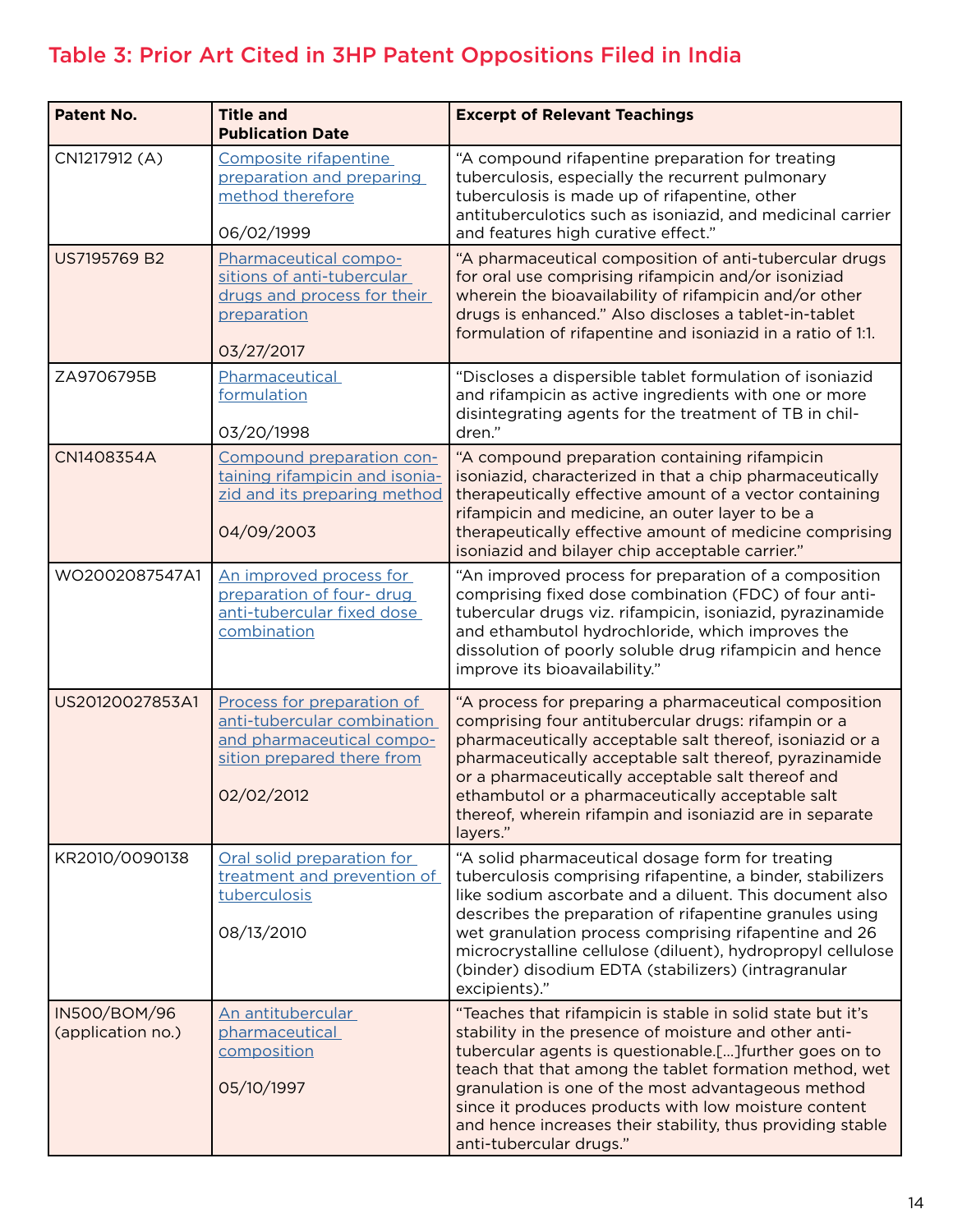#### Table 3: Prior Art Cited in 3HP Patent Oppositions Filed in India

| <b>Patent No.</b>                 | <b>Title and</b><br><b>Publication Date</b>                                                                                        | <b>Excerpt of Relevant Teachings</b>                                                                                                                                                                                                                                                                                                                                                                                                            |  |  |
|-----------------------------------|------------------------------------------------------------------------------------------------------------------------------------|-------------------------------------------------------------------------------------------------------------------------------------------------------------------------------------------------------------------------------------------------------------------------------------------------------------------------------------------------------------------------------------------------------------------------------------------------|--|--|
| CN1217912 (A)                     | Composite rifapentine<br>preparation and preparing<br>method therefore<br>06/02/1999                                               | "A compound rifapentine preparation for treating<br>tuberculosis, especially the recurrent pulmonary<br>tuberculosis is made up of rifapentine, other<br>antituberculotics such as isoniazid, and medicinal carrier<br>and features high curative effect."                                                                                                                                                                                      |  |  |
| US7195769 B2                      | Pharmaceutical compo-<br>sitions of anti-tubercular<br>drugs and process for their<br>preparation<br>03/27/2017                    | "A pharmaceutical composition of anti-tubercular drugs<br>for oral use comprising rifampicin and/or isoniziad<br>wherein the bioavailability of rifampicin and/or other<br>drugs is enhanced." Also discloses a tablet-in-tablet<br>formulation of rifapentine and isoniazid in a ratio of 1:1.                                                                                                                                                 |  |  |
| ZA9706795B                        | Pharmaceutical<br>formulation<br>03/20/1998                                                                                        | "Discloses a dispersible tablet formulation of isoniazid<br>and rifampicin as active ingredients with one or more<br>disintegrating agents for the treatment of TB in chil-<br>dren."                                                                                                                                                                                                                                                           |  |  |
| CN1408354A                        | Compound preparation con-<br>taining rifampicin and isonia-<br>zid and its preparing method<br>04/09/2003                          | "A compound preparation containing rifampicin<br>isoniazid, characterized in that a chip pharmaceutically<br>therapeutically effective amount of a vector containing<br>rifampicin and medicine, an outer layer to be a<br>therapeutically effective amount of medicine comprising<br>isoniazid and bilayer chip acceptable carrier."                                                                                                           |  |  |
| WO2002087547A1                    | An improved process for<br>preparation of four- drug<br>anti-tubercular fixed dose<br>combination                                  | "An improved process for preparation of a composition<br>comprising fixed dose combination (FDC) of four anti-<br>tubercular drugs viz. rifampicin, isoniazid, pyrazinamide<br>and ethambutol hydrochloride, which improves the<br>dissolution of poorly soluble drug rifampicin and hence<br>improve its bioavailability."                                                                                                                     |  |  |
| US20120027853A1                   | Process for preparation of<br>anti-tubercular combination<br>and pharmaceutical compo-<br>sition prepared there from<br>02/02/2012 | "A process for preparing a pharmaceutical composition<br>comprising four antitubercular drugs: rifampin or a<br>pharmaceutically acceptable salt thereof, isoniazid or a<br>pharmaceutically acceptable salt thereof, pyrazinamide<br>or a pharmaceutically acceptable salt thereof and<br>ethambutol or a pharmaceutically acceptable salt<br>thereof, wherein rifampin and isoniazid are in separate<br>layers."                              |  |  |
| KR2010/0090138                    | Oral solid preparation for<br>treatment and prevention of<br>tuberculosis<br>08/13/2010                                            | "A solid pharmaceutical dosage form for treating<br>tuberculosis comprising rifapentine, a binder, stabilizers<br>like sodium ascorbate and a diluent. This document also<br>describes the preparation of rifapentine granules using<br>wet granulation process comprising rifapentine and 26<br>microcrystalline cellulose (diluent), hydropropyl cellulose<br>(binder) disodium EDTA (stabilizers) (intragranular<br>excipients)."            |  |  |
| IN500/BOM/96<br>(application no.) | An antitubercular<br>pharmaceutical<br>composition<br>05/10/1997                                                                   | "Teaches that rifampicin is stable in solid state but it's<br>stability in the presence of moisture and other anti-<br>tubercular agents is questionable.[] further goes on to<br>teach that that among the tablet formation method, wet<br>granulation is one of the most advantageous method<br>since it produces products with low moisture content<br>and hence increases their stability, thus providing stable<br>anti-tubercular drugs." |  |  |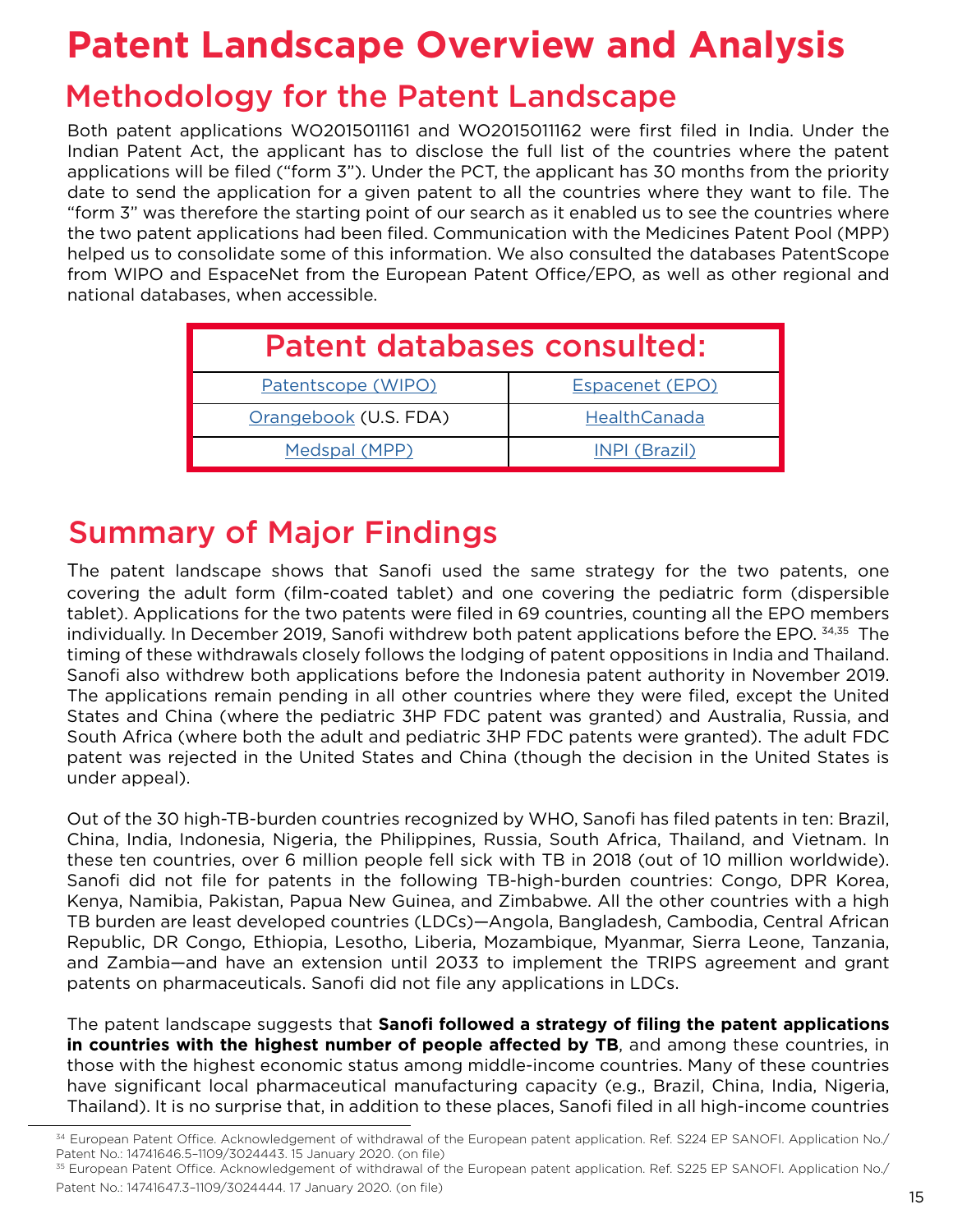# **Patent Landscape Overview and Analysis**

### Methodology for the Patent Landscape

Both patent applications WO2015011161 and WO2015011162 were first filed in India. Under the Indian Patent Act, the applicant has to disclose the full list of the countries where the patent applications will be filed ("form 3"). Under the PCT, the applicant has 30 months from the priority date to send the application for a given patent to all the countries where they want to file. The "form 3" was therefore the starting point of our search as it enabled us to see the countries where the two patent applications had been filed. Communication with the Medicines Patent Pool (MPP) helped us to consolidate some of this information. We also consulted the databases PatentScope from WIPO and EspaceNet from the European Patent Office/EPO, as well as other regional and national databases, when accessible.

| <b>Patent databases consulted:</b> |                 |  |  |  |
|------------------------------------|-----------------|--|--|--|
| Patentscope (WIPO)                 | Espacenet (EPO) |  |  |  |
| Orangebook (U.S. FDA)              | HealthCanada    |  |  |  |
| Medspal (MPP)                      | INPI (Brazil)   |  |  |  |

# Summary of Major Findings

The patent landscape shows that Sanofi used the same strategy for the two patents, one covering the adult form (film-coated tablet) and one covering the pediatric form (dispersible tablet). Applications for the two patents were filed in 69 countries, counting all the EPO members individually. In December 2019, Sanofi withdrew both patent applications before the EPO. 34,35 The timing of these withdrawals closely follows the lodging of patent oppositions in India and Thailand. Sanofi also withdrew both applications before the Indonesia patent authority in November 2019. The applications remain pending in all other countries where they were filed, except the United States and China (where the pediatric 3HP FDC patent was granted) and Australia, Russia, and South Africa (where both the adult and pediatric 3HP FDC patents were granted). The adult FDC patent was rejected in the United States and China (though the decision in the United States is under appeal).

Out of the 30 high-TB-burden countries recognized by WHO, Sanofi has filed patents in ten: Brazil, China, India, Indonesia, Nigeria, the Philippines, Russia, South Africa, Thailand, and Vietnam. In these ten countries, over 6 million people fell sick with TB in 2018 (out of 10 million worldwide). Sanofi did not file for patents in the following TB-high-burden countries: Congo, DPR Korea, Kenya, Namibia, Pakistan, Papua New Guinea, and Zimbabwe. All the other countries with a high TB burden are least developed countries (LDCs)—Angola, Bangladesh, Cambodia, Central African Republic, DR Congo, Ethiopia, Lesotho, Liberia, Mozambique, Myanmar, Sierra Leone, Tanzania, and Zambia—and have an extension until 2033 to implement the TRIPS agreement and grant patents on pharmaceuticals. Sanofi did not file any applications in LDCs.

The patent landscape suggests that **Sanofi followed a strategy of filing the patent applications in countries with the highest number of people affected by TB**, and among these countries, in those with the highest economic status among middle-income countries. Many of these countries have significant local pharmaceutical manufacturing capacity (e.g., Brazil, China, India, Nigeria, Thailand). It is no surprise that, in addition to these places, Sanofi filed in all high-income countries

<sup>34</sup> European Patent Office. Acknowledgement of withdrawal of the European patent application. Ref. S224 EP SANOFI. Application No./ Patent No.: 14741646.5–1109/3024443. 15 January 2020. (on file)

<sup>35</sup> European Patent Office. Acknowledgement of withdrawal of the European patent application. Ref. S225 EP SANOFI. Application No./ Patent No.: 14741647.3-1109/3024444. 17 January 2020. (on file)<br>15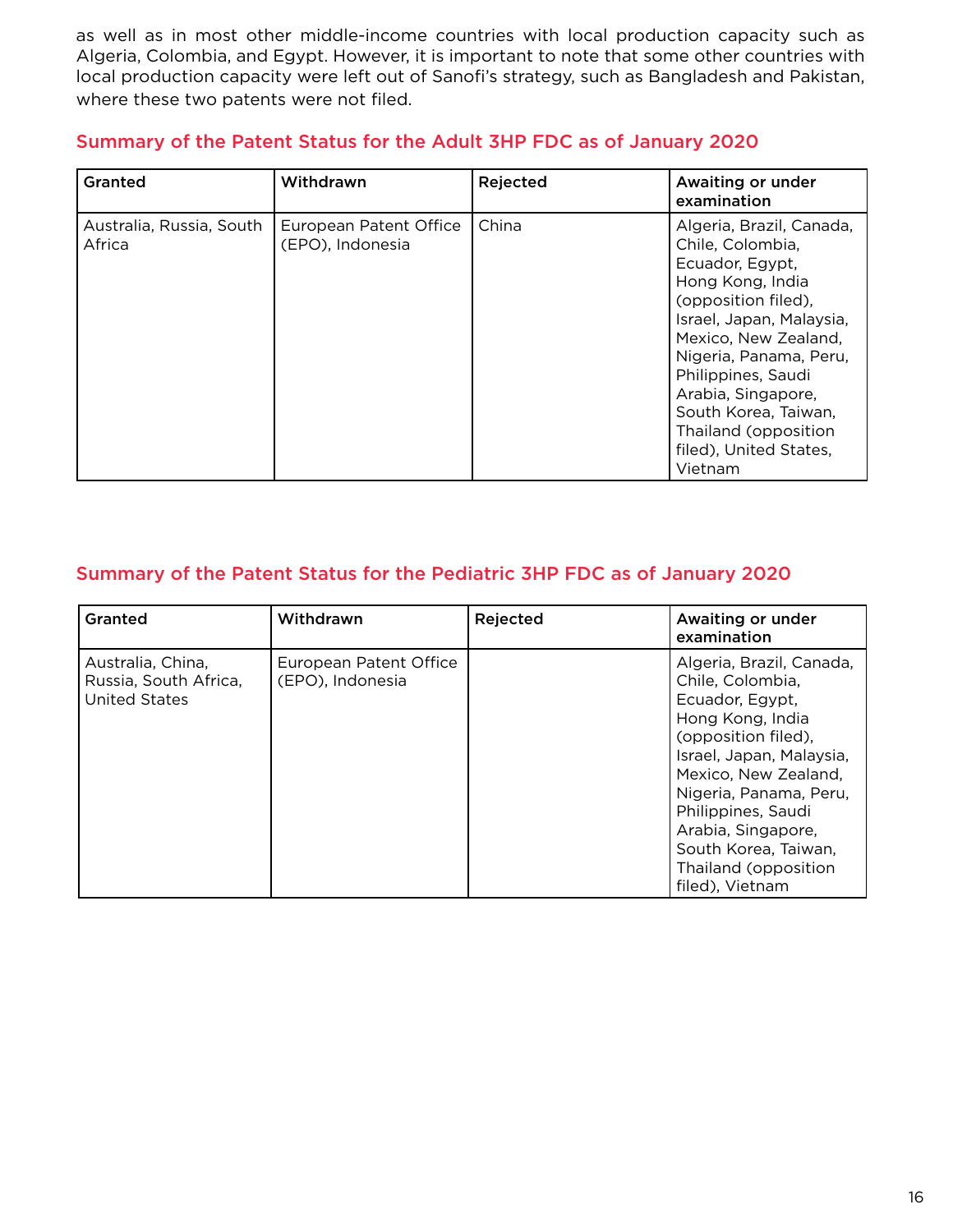as well as in most other middle-income countries with local production capacity such as Algeria, Colombia, and Egypt. However, it is important to note that some other countries with local production capacity were left out of Sanofi's strategy, such as Bangladesh and Pakistan, where these two patents were not filed.

| Granted                            | Withdrawn                                  | Rejected | Awaiting or under<br>examination                                                                                                                                                                                                                                                                                          |
|------------------------------------|--------------------------------------------|----------|---------------------------------------------------------------------------------------------------------------------------------------------------------------------------------------------------------------------------------------------------------------------------------------------------------------------------|
| Australia, Russia, South<br>Africa | European Patent Office<br>(EPO), Indonesia | China    | Algeria, Brazil, Canada,<br>Chile, Colombia,<br>Ecuador, Egypt,<br>Hong Kong, India<br>(opposition filed),<br>Israel, Japan, Malaysia,<br>Mexico, New Zealand,<br>Nigeria, Panama, Peru,<br>Philippines, Saudi<br>Arabia, Singapore,<br>South Korea, Taiwan,<br>Thailand (opposition<br>filed), United States,<br>Vietnam |

#### Summary of the Patent Status for the Adult 3HP FDC as of January 2020

#### Summary of the Patent Status for the Pediatric 3HP FDC as of January 2020

| Granted                                                     | Withdrawn                                  | Rejected | Awaiting or under<br>examination                                                                                                                                                                                                                                                                        |
|-------------------------------------------------------------|--------------------------------------------|----------|---------------------------------------------------------------------------------------------------------------------------------------------------------------------------------------------------------------------------------------------------------------------------------------------------------|
| Australia, China,<br>Russia, South Africa,<br>United States | European Patent Office<br>(EPO), Indonesia |          | Algeria, Brazil, Canada,<br>Chile, Colombia,<br>Ecuador, Egypt,<br>Hong Kong, India<br>(opposition filed),<br>Israel, Japan, Malaysia,<br>Mexico, New Zealand,<br>Nigeria, Panama, Peru,<br>Philippines, Saudi<br>Arabia, Singapore,<br>South Korea, Taiwan,<br>Thailand (opposition<br>filed), Vietnam |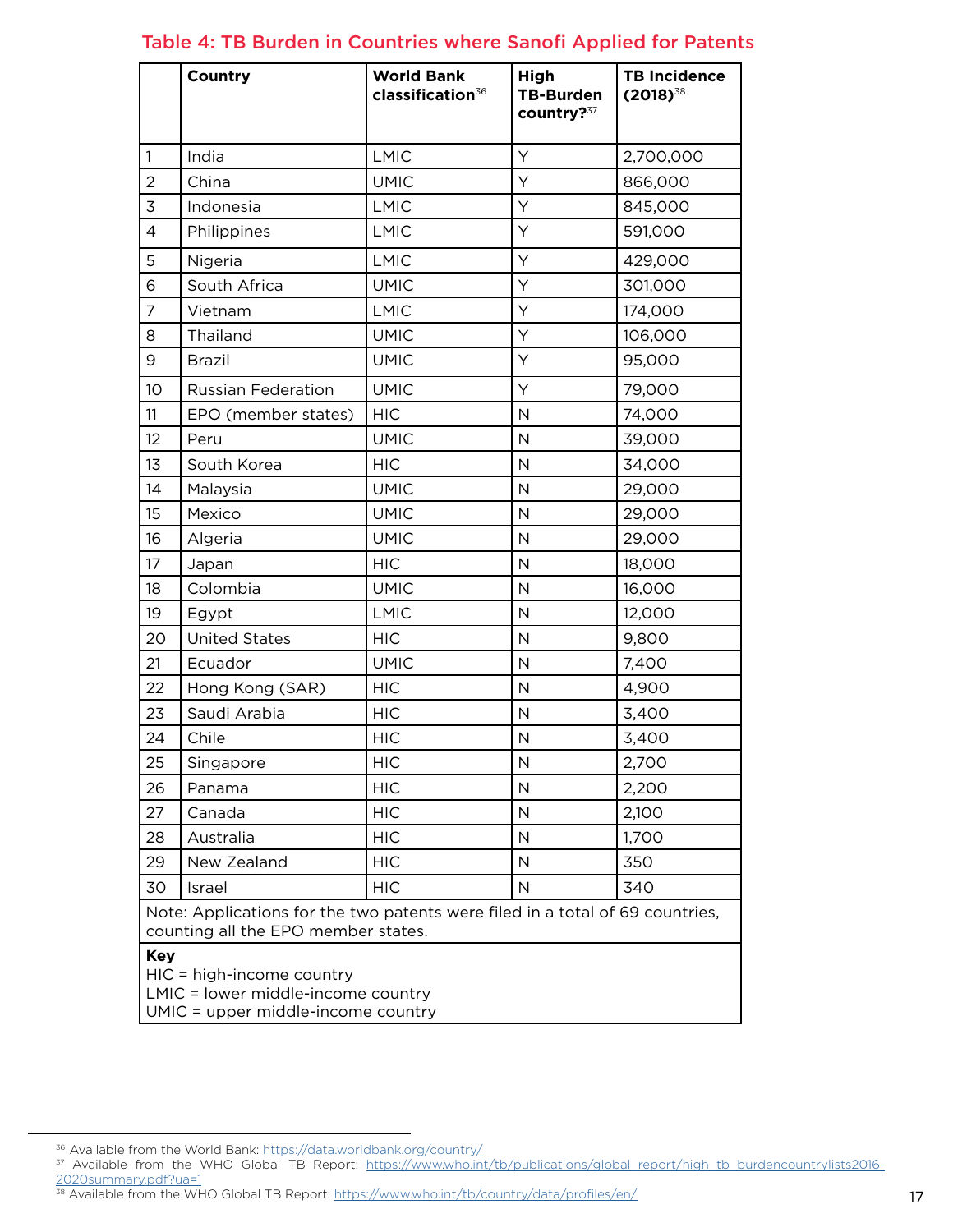|                | Country                                                                                                                                             | <b>World Bank</b><br>classification <sup>36</sup> | High<br><b>TB-Burden</b><br>country?37 | <b>TB Incidence</b><br>$(2018)^{38}$ |  |
|----------------|-----------------------------------------------------------------------------------------------------------------------------------------------------|---------------------------------------------------|----------------------------------------|--------------------------------------|--|
| 1              | India                                                                                                                                               | <b>LMIC</b>                                       | Y                                      | 2,700,000                            |  |
| 2              | China                                                                                                                                               | <b>UMIC</b>                                       | Y                                      | 866,000                              |  |
| 3              | Indonesia                                                                                                                                           | LMIC                                              | Υ                                      | 845,000                              |  |
| $\overline{4}$ | Philippines                                                                                                                                         | <b>LMIC</b>                                       | Υ                                      | 591,000                              |  |
| 5              | Nigeria                                                                                                                                             | <b>LMIC</b>                                       | Υ                                      | 429,000                              |  |
| 6              | South Africa                                                                                                                                        | <b>UMIC</b>                                       | Υ                                      | 301,000                              |  |
| $\overline{7}$ | Vietnam                                                                                                                                             | LMIC                                              | Υ                                      | 174,000                              |  |
| 8              | Thailand                                                                                                                                            | <b>UMIC</b>                                       | Υ                                      | 106,000                              |  |
| 9              | <b>Brazil</b>                                                                                                                                       | <b>UMIC</b>                                       | Υ                                      | 95,000                               |  |
| 10             | <b>Russian Federation</b>                                                                                                                           | <b>UMIC</b>                                       | Υ                                      | 79,000                               |  |
| 11             | EPO (member states)                                                                                                                                 | <b>HIC</b>                                        | $\mathsf{N}$                           | 74,000                               |  |
| 12             | Peru                                                                                                                                                | <b>UMIC</b>                                       | $\mathsf{N}$                           | 39,000                               |  |
| 13             | South Korea                                                                                                                                         | <b>HIC</b>                                        | $\mathsf{N}$                           | 34,000                               |  |
| 14             | Malaysia                                                                                                                                            | <b>UMIC</b>                                       | $\mathsf{N}$                           | 29,000                               |  |
| 15             | Mexico                                                                                                                                              | <b>UMIC</b>                                       | $\mathsf{N}$                           | 29,000                               |  |
| 16             | Algeria                                                                                                                                             | <b>UMIC</b>                                       | $\mathsf{N}$                           | 29,000                               |  |
| 17             | Japan                                                                                                                                               | <b>HIC</b>                                        | $\mathsf{N}$                           | 18,000                               |  |
| 18             | Colombia                                                                                                                                            | <b>UMIC</b>                                       | $\mathsf{N}$                           | 16,000                               |  |
| 19             | Egypt                                                                                                                                               | <b>LMIC</b>                                       | $\mathsf{N}$                           | 12,000                               |  |
| 20             | <b>United States</b>                                                                                                                                | <b>HIC</b>                                        | $\mathsf{N}$                           | 9,800                                |  |
| 21             | Ecuador                                                                                                                                             | <b>UMIC</b>                                       | $\mathsf{N}$                           | 7,400                                |  |
| 22             | Hong Kong (SAR)                                                                                                                                     | <b>HIC</b>                                        | $\mathsf{N}$                           | 4,900                                |  |
| 23             | Saudi Arabia                                                                                                                                        | <b>HIC</b>                                        | $\mathsf{N}$                           | 3,400                                |  |
| 24             | Chile                                                                                                                                               | <b>HIC</b>                                        | $\mathsf N$                            | 3,400                                |  |
| 25             | Singapore                                                                                                                                           | <b>HIC</b>                                        | $\mathsf{N}$                           | 2,700                                |  |
| 26             | Panama                                                                                                                                              | <b>HIC</b>                                        | N                                      | 2,200                                |  |
| 27             | Canada                                                                                                                                              | <b>HIC</b>                                        | N                                      | 2,100                                |  |
| 28             | Australia                                                                                                                                           | <b>HIC</b>                                        | $\mathsf{N}$                           | 1,700                                |  |
| 29             | New Zealand                                                                                                                                         | <b>HIC</b>                                        | $\mathsf{N}$                           | 350                                  |  |
| 30             | Israel                                                                                                                                              | <b>HIC</b>                                        | $\mathsf{N}$                           | 340                                  |  |
| <b>Key</b>     | Note: Applications for the two patents were filed in a total of 69 countries,<br>counting all the EPO member states.<br>$HIC = high-income country$ |                                                   |                                        |                                      |  |
|                | LMIC = lower middle-income country<br>UMIC = upper middle-income country                                                                            |                                                   |                                        |                                      |  |

#### Table 4: TB Burden in Countries where Sanofi Applied for Patents

<sup>36</sup> Available from the World Bank:<https://data.worldbank.org/country/>

<sup>&</sup>lt;sup>37</sup> Available from the WHO Global TB Report: [https://www.who.int/tb/publications/global\\_report/high\\_tb\\_burdencountrylists2016-](https://www.who.int/tb/publications/global_report/high_tb_burdencountrylists2016-2020summary.pdf?ua=1) [2020summary.pdf?ua=1](https://www.who.int/tb/publications/global_report/high_tb_burdencountrylists2016-2020summary.pdf?ua=1)

<sup>&</sup>lt;sup>38</sup> Available from the WHO Global TB Report: <https://www.who.int/tb/country/data/profiles/en/>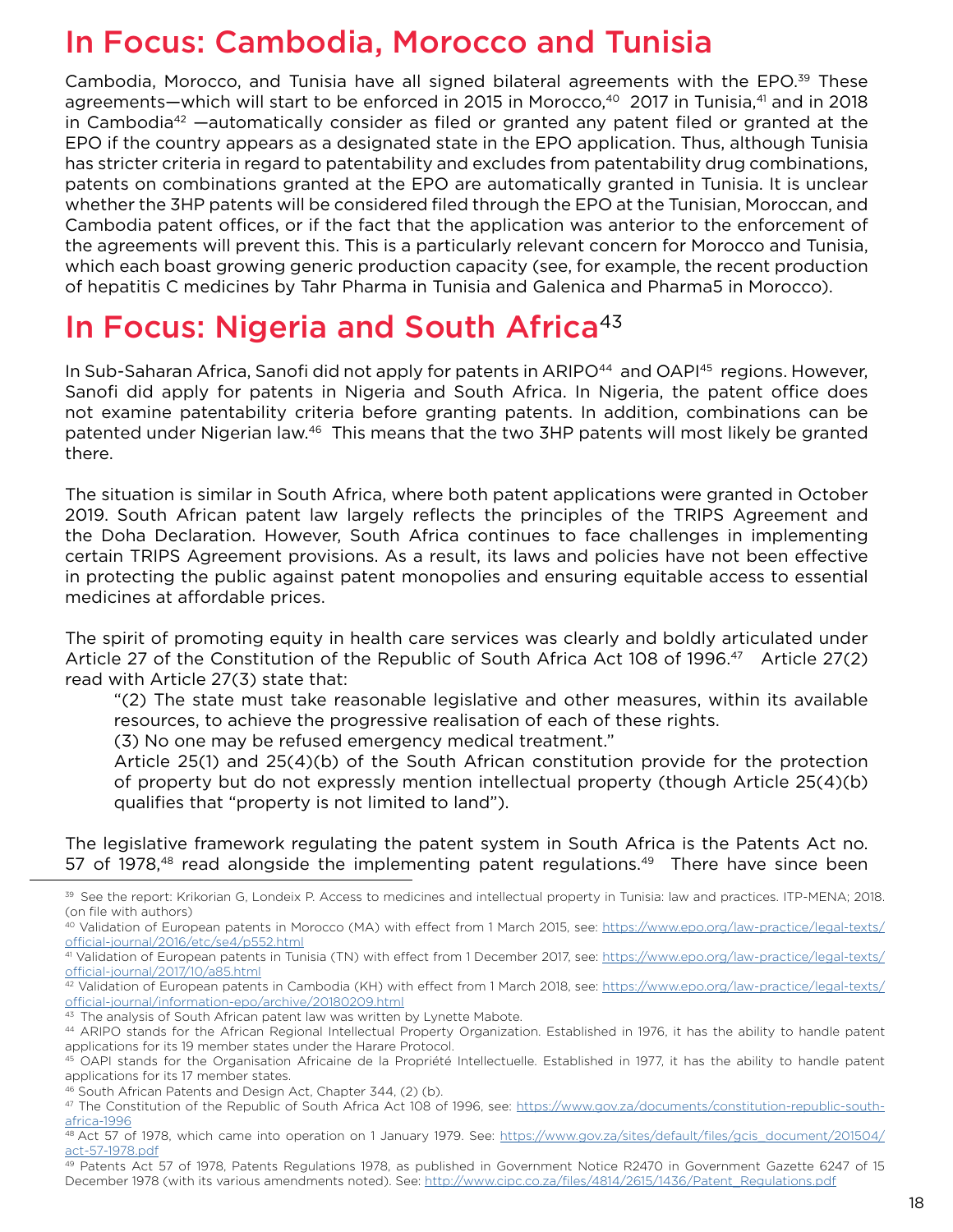### In Focus: Cambodia, Morocco and Tunisia

Cambodia, Morocco, and Tunisia have all signed bilateral agreements with the EPO.<sup>39</sup> These agreements—which will start to be enforced in 2015 in Morocco,<sup>40</sup> 2017 in Tunisia,<sup>41</sup> and in 2018 in Cambodia<sup>42</sup> —automatically consider as filed or granted any patent filed or granted at the EPO if the country appears as a designated state in the EPO application. Thus, although Tunisia has stricter criteria in regard to patentability and excludes from patentability drug combinations, patents on combinations granted at the EPO are automatically granted in Tunisia. It is unclear whether the 3HP patents will be considered filed through the EPO at the Tunisian, Moroccan, and Cambodia patent offices, or if the fact that the application was anterior to the enforcement of the agreements will prevent this. This is a particularly relevant concern for Morocco and Tunisia, which each boast growing generic production capacity (see, for example, the recent production of hepatitis C medicines by Tahr Pharma in Tunisia and Galenica and Pharma5 in Morocco).

### In Focus: Nigeria and South Africa<sup>43</sup>

In Sub-Saharan Africa, Sanofi did not apply for patents in ARIPO<sup>44</sup> and OAPI<sup>45</sup> regions. However, Sanofi did apply for patents in Nigeria and South Africa. In Nigeria, the patent office does not examine patentability criteria before granting patents. In addition, combinations can be patented under Nigerian law.46 This means that the two 3HP patents will most likely be granted there.

The situation is similar in South Africa, where both patent applications were granted in October 2019. South African patent law largely reflects the principles of the TRIPS Agreement and the Doha Declaration. However, South Africa continues to face challenges in implementing certain TRIPS Agreement provisions. As a result, its laws and policies have not been effective in protecting the public against patent monopolies and ensuring equitable access to essential medicines at affordable prices.

The spirit of promoting equity in health care services was clearly and boldly articulated under Article 27 of the Constitution of the Republic of South Africa Act 108 of 1996.<sup>47</sup> Article 27(2) read with Article 27(3) state that:

"(2) The state must take reasonable legislative and other measures, within its available resources, to achieve the progressive realisation of each of these rights.

(3) No one may be refused emergency medical treatment."

Article 25(1) and 25(4)(b) of the South African constitution provide for the protection of property but do not expressly mention intellectual property (though Article 25(4)(b) qualifies that "property is not limited to land").

The legislative framework regulating the patent system in South Africa is the Patents Act no. 57 of 1978, $48$  read alongside the implementing patent regulations. $49$  There have since been

<sup>39</sup> See the report: Krikorian G, Londeix P. Access to medicines and intellectual property in Tunisia: law and practices. ITP-MENA; 2018. (on file with authors)

<sup>40</sup> Validation of European patents in Morocco (MA) with effect from 1 March 2015, see: [https://www.epo.org/law-practice/legal-texts/](https://www.epo.org/law-practice/legal-texts/official-journal/2016/etc/se4/p552.html) [official-journal/2016/etc/se4/p552.html](https://www.epo.org/law-practice/legal-texts/official-journal/2016/etc/se4/p552.html)

<sup>41</sup> Validation of European patents in Tunisia (TN) with effect from 1 December 2017, see: [https://www.epo.org/law-practice/legal-texts/](https://www.epo.org/law-practice/legal-texts/official-journal/2017/10/a85.html) [official-journal/2017/10/a85.html](https://www.epo.org/law-practice/legal-texts/official-journal/2017/10/a85.html)

<sup>42</sup> Validation of European patents in Cambodia (KH) with effect from 1 March 2018, see: [https://www.epo.org/law-practice/legal-texts/](https://www.epo.org/law-practice/legal-texts/official-journal/information-epo/archive/20180209.html) [official-journal/information-epo/archive/20180209.html](https://www.epo.org/law-practice/legal-texts/official-journal/information-epo/archive/20180209.html)

 $43$  The analysis of South African patent law was written by Lynette Mabote.

<sup>44</sup> ARIPO stands for the African Regional Intellectual Property Organization. Established in 1976, it has the ability to handle patent applications for its 19 member states under the Harare Protocol.

<sup>45</sup> OAPI stands for the Organisation Africaine de la Propriété Intellectuelle. Established in 1977, it has the ability to handle patent applications for its 17 member states.

<sup>46</sup> South African Patents and Design Act, Chapter 344, (2) (b).

<sup>47</sup> The Constitution of the Republic of South Africa Act 108 of 1996, see: [https://www.gov.za/documents/constitution-republic-south](https://www.gov.za/documents/constitution-republic-south-africa-1996)[africa-1996](https://www.gov.za/documents/constitution-republic-south-africa-1996)

<sup>48</sup> Act 57 of 1978, which came into operation on 1 January 1979. See: [https://www.gov.za/sites/default/files/gcis\\_document/201504/](https://www.gov.za/sites/default/files/gcis_document/201504/act-57-1978.pdf) [act-57-1978.pdf](https://www.gov.za/sites/default/files/gcis_document/201504/act-57-1978.pdf)

<sup>&</sup>lt;sup>49</sup> Patents Act 57 of 1978, Patents Regulations 1978, as published in Government Notice R2470 in Government Gazette 6247 of 15 December 1978 (with its various amendments noted). See: [http://www.cipc.co.za/files/4814/2615/1436/Patent\\_Regulations.pdf](http://www.cipc.co.za/files/4814/2615/1436/Patent_Regulations.pdf)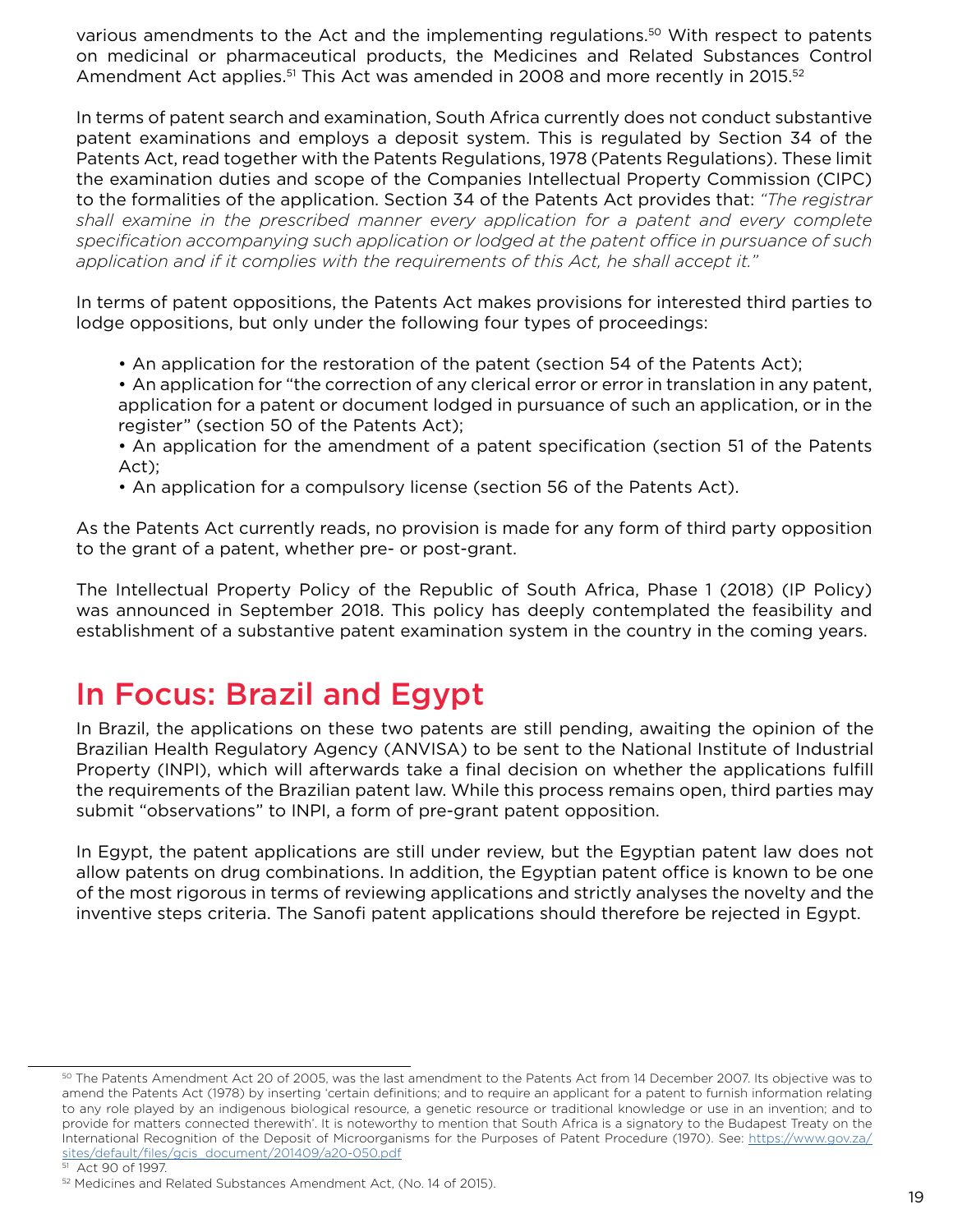various amendments to the Act and the implementing regulations.50 With respect to patents on medicinal or pharmaceutical products, the Medicines and Related Substances Control Amendment Act applies.<sup>51</sup> This Act was amended in 2008 and more recently in 2015.<sup>52</sup>

In terms of patent search and examination, South Africa currently does not conduct substantive patent examinations and employs a deposit system. This is regulated by Section 34 of the Patents Act, read together with the Patents Regulations, 1978 (Patents Regulations). These limit the examination duties and scope of the Companies Intellectual Property Commission (CIPC) to the formalities of the application. Section 34 of the Patents Act provides that: *"The registrar shall examine in the prescribed manner every application for a patent and every complete specification accompanying such application or lodged at the patent office in pursuance of such application and if it complies with the requirements of this Act, he shall accept it."* 

In terms of patent oppositions, the Patents Act makes provisions for interested third parties to lodge oppositions, but only under the following four types of proceedings:

- An application for the restoration of the patent (section 54 of the Patents Act);
- An application for "the correction of any clerical error or error in translation in any patent, application for a patent or document lodged in pursuance of such an application, or in the register" (section 50 of the Patents Act);
- An application for the amendment of a patent specification (section 51 of the Patents Act);
- An application for a compulsory license (section 56 of the Patents Act).

As the Patents Act currently reads, no provision is made for any form of third party opposition to the grant of a patent, whether pre- or post-grant.

The Intellectual Property Policy of the Republic of South Africa, Phase 1 (2018) (IP Policy) was announced in September 2018. This policy has deeply contemplated the feasibility and establishment of a substantive patent examination system in the country in the coming years.

# In Focus: Brazil and Egypt

In Brazil, the applications on these two patents are still pending, awaiting the opinion of the Brazilian Health Regulatory Agency (ANVISA) to be sent to the National Institute of Industrial Property (INPI), which will afterwards take a final decision on whether the applications fulfill the requirements of the Brazilian patent law. While this process remains open, third parties may submit "observations" to INPI, a form of pre-grant patent opposition.

In Egypt, the patent applications are still under review, but the Egyptian patent law does not allow patents on drug combinations. In addition, the Egyptian patent office is known to be one of the most rigorous in terms of reviewing applications and strictly analyses the novelty and the inventive steps criteria. The Sanofi patent applications should therefore be rejected in Egypt.

<sup>50</sup> The Patents Amendment Act 20 of 2005, was the last amendment to the Patents Act from 14 December 2007. Its objective was to amend the Patents Act (1978) by inserting 'certain definitions; and to require an applicant for a patent to furnish information relating to any role played by an indigenous biological resource, a genetic resource or traditional knowledge or use in an invention; and to provide for matters connected therewith'. It is noteworthy to mention that South Africa is a signatory to the Budapest Treaty on the International Recognition of the Deposit of Microorganisms for the Purposes of Patent Procedure (1970). See: [https://www.gov.za/](https://www.gov.za/sites/default/files/gcis_document/201409/a20-050.pdf) [sites/default/files/gcis\\_document/201409/a20-050.pdf](https://www.gov.za/sites/default/files/gcis_document/201409/a20-050.pdf)

<sup>51</sup> Act 90 of 1997.

<sup>52</sup> Medicines and Related Substances Amendment Act, (No. 14 of 2015).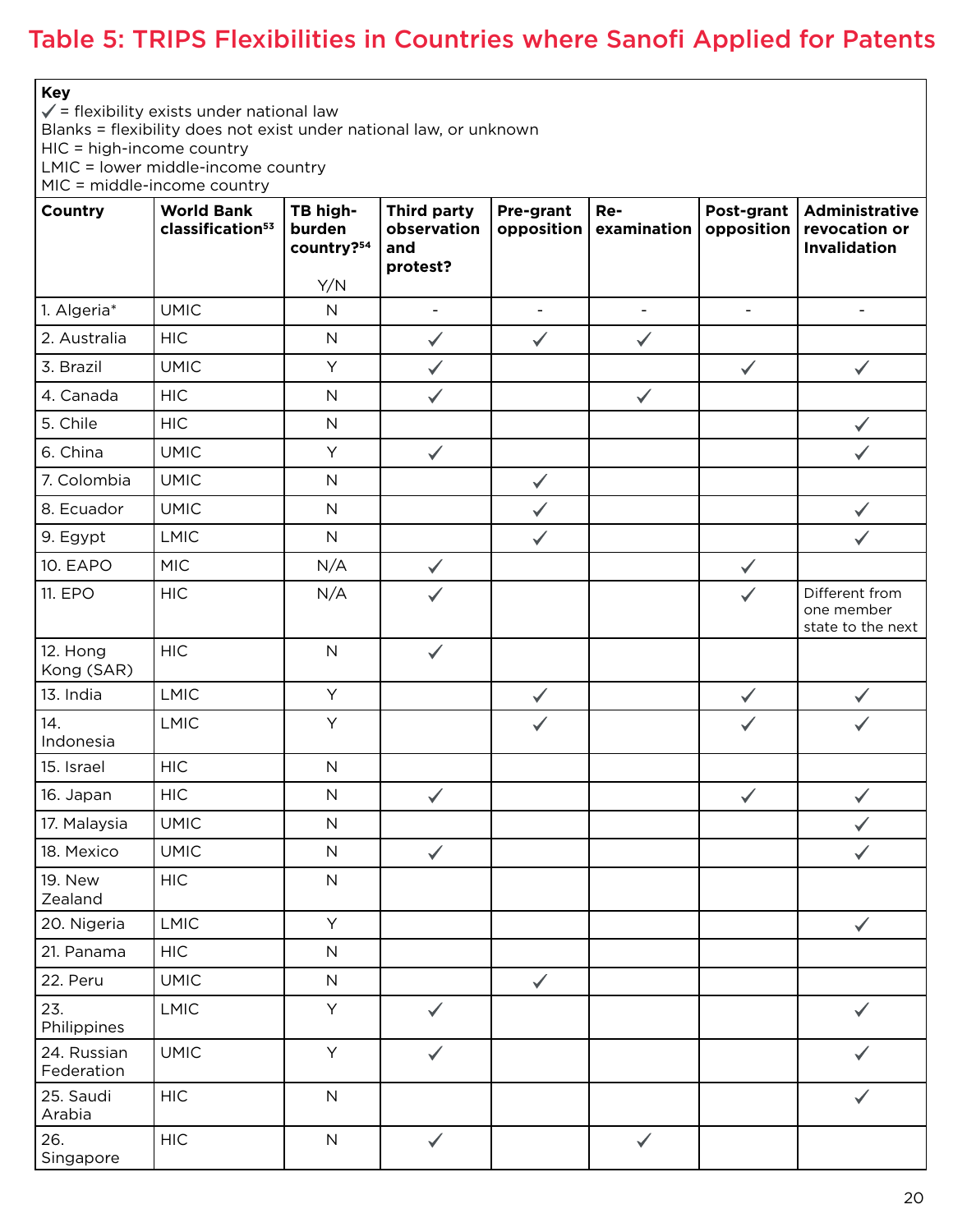### Table 5: TRIPS Flexibilities in Countries where Sanofi Applied for Patents

**Key**

 $\checkmark$  = flexibility exists under national law

Blanks = flexibility does not exist under national law, or unknown

HIC = high-income country

LMIC = lower middle-income country

MIC = middle-income country

| Country                   | <b>World Bank</b><br>classification <sup>53</sup> | TB high-<br>burden<br>country?54<br>Y/N | <b>Third party</b><br>observation<br>and<br>protest? | Pre-grant<br>opposition | Re-<br>examination       | Post-grant<br>opposition | Administrative<br>revocation or<br>Invalidation   |
|---------------------------|---------------------------------------------------|-----------------------------------------|------------------------------------------------------|-------------------------|--------------------------|--------------------------|---------------------------------------------------|
| 1. Algeria*               | <b>UMIC</b>                                       | ${\sf N}$                               | $\frac{1}{2}$                                        | $\blacksquare$          | $\overline{\phantom{a}}$ | $\blacksquare$           | $\blacksquare$                                    |
| 2. Australia              | <b>HIC</b>                                        | ${\sf N}$                               | $\checkmark$                                         | $\checkmark$            | $\checkmark$             |                          |                                                   |
| 3. Brazil                 | <b>UMIC</b>                                       | Y                                       | $\checkmark$                                         |                         |                          | $\checkmark$             | $\checkmark$                                      |
| 4. Canada                 | <b>HIC</b>                                        | ${\sf N}$                               | $\checkmark$                                         |                         | $\checkmark$             |                          |                                                   |
| 5. Chile                  | <b>HIC</b>                                        | ${\sf N}$                               |                                                      |                         |                          |                          | $\checkmark$                                      |
| 6. China                  | <b>UMIC</b>                                       | Y                                       | $\checkmark$                                         |                         |                          |                          | $\checkmark$                                      |
| 7. Colombia               | <b>UMIC</b>                                       | ${\sf N}$                               |                                                      | $\checkmark$            |                          |                          |                                                   |
| 8. Ecuador                | <b>UMIC</b>                                       | ${\sf N}$                               |                                                      | $\checkmark$            |                          |                          | $\checkmark$                                      |
| 9. Egypt                  | <b>LMIC</b>                                       | $\mathsf{N}$                            |                                                      | $\checkmark$            |                          |                          | $\checkmark$                                      |
| <b>10. EAPO</b>           | <b>MIC</b>                                        | N/A                                     | $\checkmark$                                         |                         |                          | $\checkmark$             |                                                   |
| 11. EPO                   | <b>HIC</b>                                        | N/A                                     |                                                      |                         |                          |                          | Different from<br>one member<br>state to the next |
| 12. Hong<br>Kong (SAR)    | <b>HIC</b>                                        | $\mathsf N$                             | $\checkmark$                                         |                         |                          |                          |                                                   |
| 13. India                 | <b>LMIC</b>                                       | Y                                       |                                                      | $\checkmark$            |                          | $\checkmark$             | $\checkmark$                                      |
| 14.<br>Indonesia          | <b>LMIC</b>                                       | Y                                       |                                                      | $\checkmark$            |                          |                          | $\checkmark$                                      |
| 15. Israel                | <b>HIC</b>                                        | $\mathsf N$                             |                                                      |                         |                          |                          |                                                   |
| 16. Japan                 | <b>HIC</b>                                        | ${\sf N}$                               | $\checkmark$                                         |                         |                          | $\checkmark$             | $\checkmark$                                      |
| 17. Malaysia              | <b>UMIC</b>                                       | $\mathsf N$                             |                                                      |                         |                          |                          | $\checkmark$                                      |
| 18. Mexico                | <b>UMIC</b>                                       | ${\sf N}$                               | $\checkmark$                                         |                         |                          |                          | $\checkmark$                                      |
| <b>19. New</b><br>Zealand | <b>HIC</b>                                        | $\mathsf N$                             |                                                      |                         |                          |                          |                                                   |
| 20. Nigeria               | <b>LMIC</b>                                       | Y                                       |                                                      |                         |                          |                          | $\checkmark$                                      |
| 21. Panama                | <b>HIC</b>                                        | ${\sf N}$                               |                                                      |                         |                          |                          |                                                   |
| 22. Peru                  | <b>UMIC</b>                                       | ${\sf N}$                               |                                                      | $\checkmark$            |                          |                          |                                                   |
| 23.<br>Philippines        | LMIC                                              | Y                                       | $\checkmark$                                         |                         |                          |                          |                                                   |
| 24. Russian<br>Federation | <b>UMIC</b>                                       | Y                                       | $\checkmark$                                         |                         |                          |                          |                                                   |
| 25. Saudi<br>Arabia       | <b>HIC</b>                                        | ${\sf N}$                               |                                                      |                         |                          |                          |                                                   |
| 26.<br>Singapore          | <b>HIC</b>                                        | $\mathsf N$                             | $\checkmark$                                         |                         | $\checkmark$             |                          |                                                   |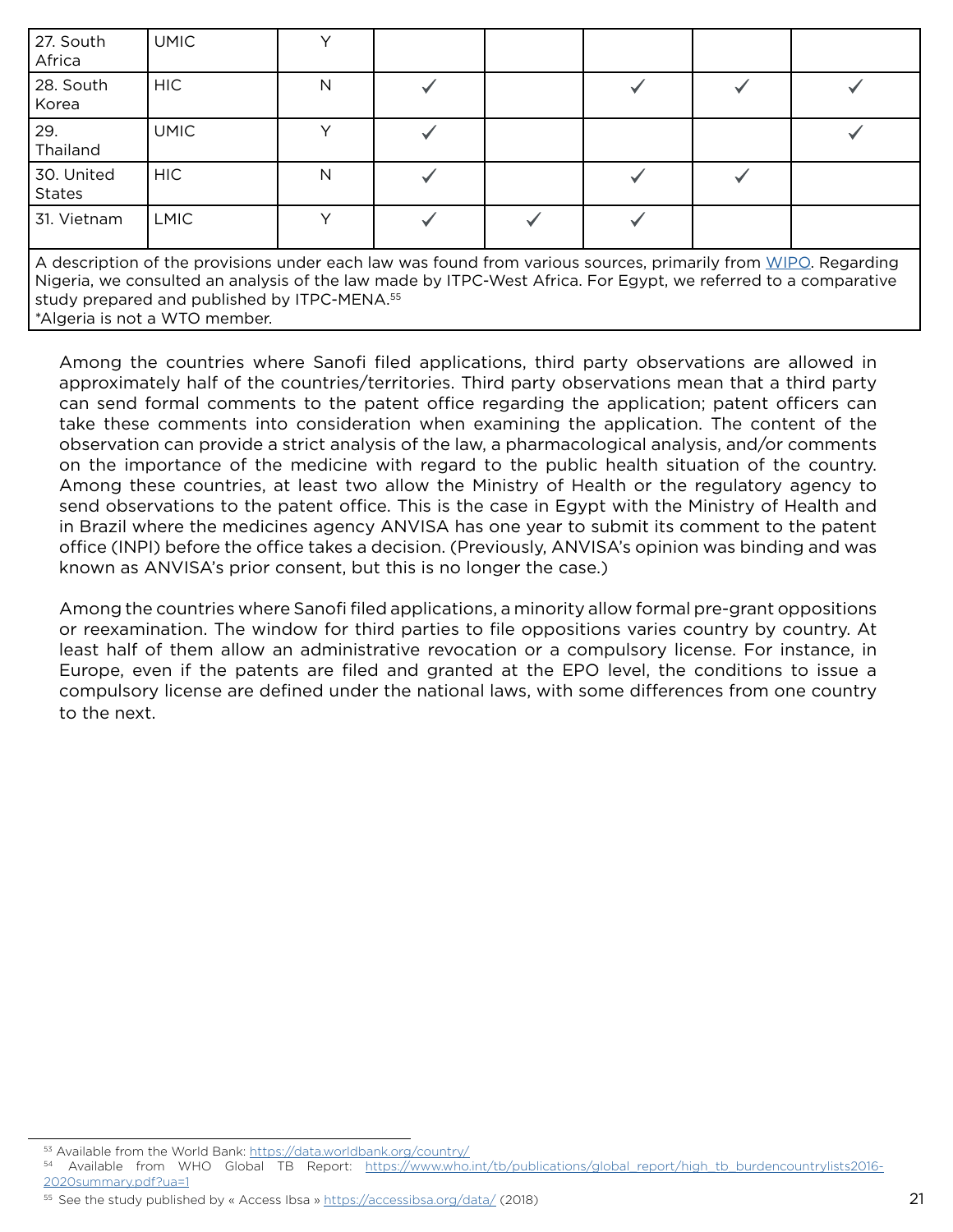| 27. South<br>Africa                                                                                                                                                                                                             | <b>UMIC</b> |  |  |  |  |  |  |
|---------------------------------------------------------------------------------------------------------------------------------------------------------------------------------------------------------------------------------|-------------|--|--|--|--|--|--|
| 28. South<br>Korea                                                                                                                                                                                                              | HIC.        |  |  |  |  |  |  |
| 29.<br>Thailand                                                                                                                                                                                                                 | <b>UMIC</b> |  |  |  |  |  |  |
| 30. United<br><b>States</b>                                                                                                                                                                                                     | HIC.        |  |  |  |  |  |  |
| 31. Vietnam                                                                                                                                                                                                                     | <b>LMIC</b> |  |  |  |  |  |  |
| A description of the provisions under each law was found from various sources, primarily from WIPO. Regarding<br>Nigeria, we consulted an analysis of the law made by ITPC-West Africa. For Egypt, we referred to a comparative |             |  |  |  |  |  |  |

study prepared and published by ITPC-MENA.<sup>55</sup>

Among the countries where Sanofi filed applications, third party observations are allowed in approximately half of the countries/territories. Third party observations mean that a third party can send formal comments to the patent office regarding the application; patent officers can take these comments into consideration when examining the application. The content of the observation can provide a strict analysis of the law, a pharmacological analysis, and/or comments on the importance of the medicine with regard to the public health situation of the country. Among these countries, at least two allow the Ministry of Health or the regulatory agency to send observations to the patent office. This is the case in Egypt with the Ministry of Health and in Brazil where the medicines agency ANVISA has one year to submit its comment to the patent office (INPI) before the office takes a decision. (Previously, ANVISA's opinion was binding and was known as ANVISA's prior consent, but this is no longer the case.)

Among the countries where Sanofi filed applications, a minority allow formal pre-grant oppositions or reexamination. The window for third parties to file oppositions varies country by country. At least half of them allow an administrative revocation or a compulsory license. For instance, in Europe, even if the patents are filed and granted at the EPO level, the conditions to issue a compulsory license are defined under the national laws, with some differences from one country to the next.

<sup>\*</sup>Algeria is not a WTO member.

<sup>53</sup> Available from the World Bank:<https://data.worldbank.org/country/>

<sup>54</sup> Available from WHO Global TB Report: [https://www.who.int/tb/publications/global\\_report/high\\_tb\\_burdencountrylists2016-](https://www.who.int/tb/publications/global_report/high_tb_burdencountrylists2016-2020summary.pdf?ua=1) [2020summary.pdf?ua=1](https://www.who.int/tb/publications/global_report/high_tb_burdencountrylists2016-2020summary.pdf?ua=1)

<sup>55</sup> See the study published by « Access Ibsa »<https://accessibsa.org/data/>(2018)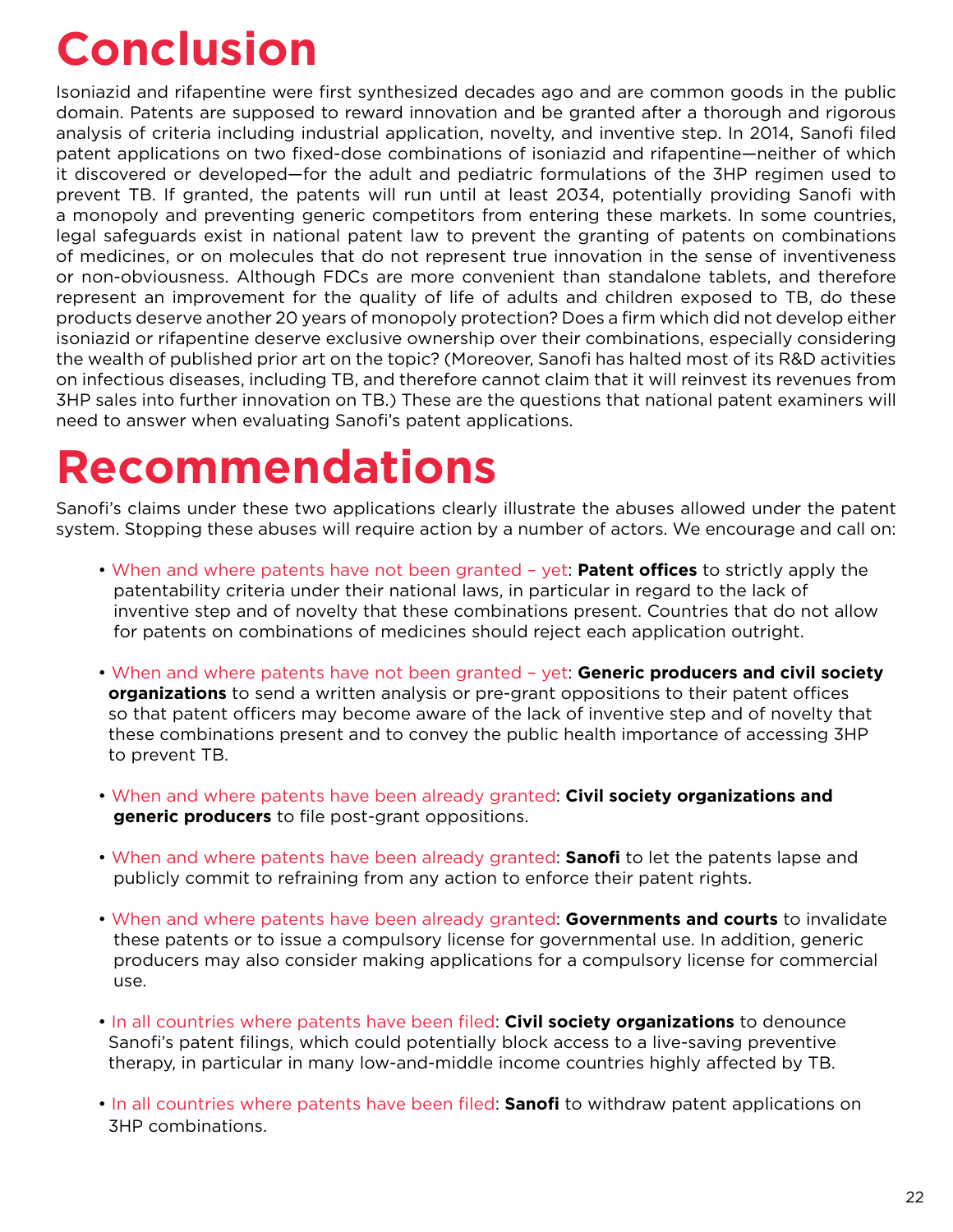# **Conclusion**

Isoniazid and rifapentine were first synthesized decades ago and are common goods in the public domain. Patents are supposed to reward innovation and be granted after a thorough and rigorous analysis of criteria including industrial application, novelty, and inventive step. In 2014, Sanofi filed patent applications on two fixed-dose combinations of isoniazid and rifapentine—neither of which it discovered or developed—for the adult and pediatric formulations of the 3HP regimen used to prevent TB. If granted, the patents will run until at least 2034, potentially providing Sanofi with a monopoly and preventing generic competitors from entering these markets. In some countries, legal safeguards exist in national patent law to prevent the granting of patents on combinations of medicines, or on molecules that do not represent true innovation in the sense of inventiveness or non-obviousness. Although FDCs are more convenient than standalone tablets, and therefore represent an improvement for the quality of life of adults and children exposed to TB, do these products deserve another 20 years of monopoly protection? Does a firm which did not develop either isoniazid or rifapentine deserve exclusive ownership over their combinations, especially considering the wealth of published prior art on the topic? (Moreover, Sanofi has halted most of its R&D activities on infectious diseases, including TB, and therefore cannot claim that it will reinvest its revenues from 3HP sales into further innovation on TB.) These are the questions that national patent examiners will need to answer when evaluating Sanofi's patent applications.

# **Recommendations**

Sanofi's claims under these two applications clearly illustrate the abuses allowed under the patent system. Stopping these abuses will require action by a number of actors. We encourage and call on:

- When and where patents have not been granted yet: **Patent offices** to strictly apply the patentability criteria under their national laws, in particular in regard to the lack of inventive step and of novelty that these combinations present. Countries that do not allow for patents on combinations of medicines should reject each application outright.
- When and where patents have not been granted yet: **Generic producers and civil society organizations** to send a written analysis or pre-grant oppositions to their patent offices so that patent officers may become aware of the lack of inventive step and of novelty that these combinations present and to convey the public health importance of accessing 3HP to prevent TB.
- When and where patents have been already granted: **Civil society organizations and generic producers** to file post-grant oppositions.
- When and where patents have been already granted: **Sanofi** to let the patents lapse and publicly commit to refraining from any action to enforce their patent rights.
- When and where patents have been already granted: **Governments and courts** to invalidate these patents or to issue a compulsory license for governmental use. In addition, generic producers may also consider making applications for a compulsory license for commercial use.
- In all countries where patents have been filed: **Civil society organizations** to denounce Sanofi's patent filings, which could potentially block access to a live-saving preventive therapy, in particular in many low-and-middle income countries highly affected by TB.
- In all countries where patents have been filed: **Sanofi** to withdraw patent applications on 3HP combinations.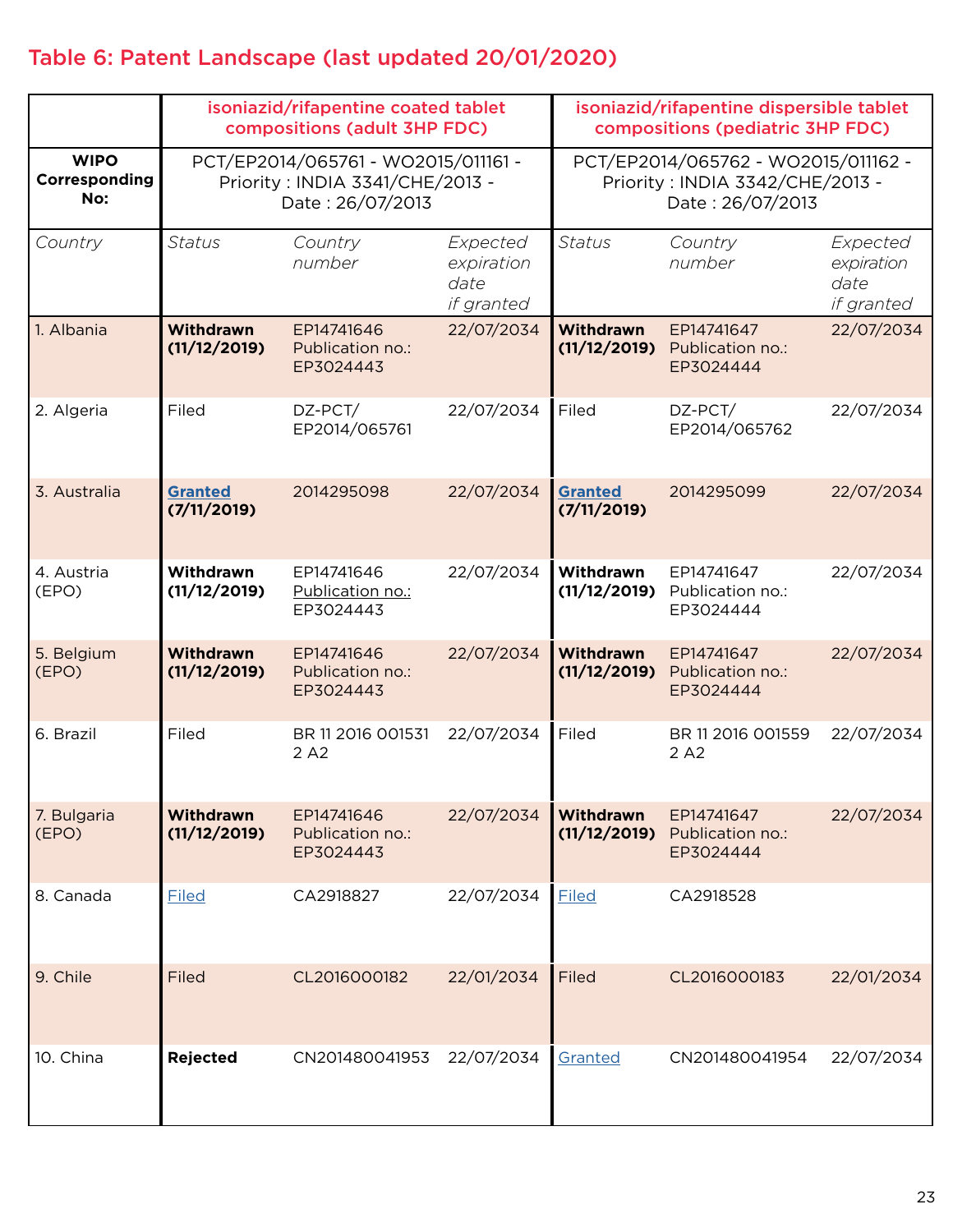### Table 6: Patent Landscape (last updated 20/01/2020)

|                                     | isoniazid/rifapentine coated tablet<br>compositions (adult 3HP FDC)                        |                                             |                                              | isoniazid/rifapentine dispersible tablet<br>compositions (pediatric 3HP FDC)               |                                             |                                              |
|-------------------------------------|--------------------------------------------------------------------------------------------|---------------------------------------------|----------------------------------------------|--------------------------------------------------------------------------------------------|---------------------------------------------|----------------------------------------------|
| <b>WIPO</b><br>Corresponding<br>No: | PCT/EP2014/065761 - WO2015/011161 -<br>Priority: INDIA 3341/CHE/2013 -<br>Date: 26/07/2013 |                                             |                                              | PCT/EP2014/065762 - WO2015/011162 -<br>Priority: INDIA 3342/CHE/2013 -<br>Date: 26/07/2013 |                                             |                                              |
| Country                             | <b>Status</b>                                                                              | Country<br>number                           | Expected<br>expiration<br>date<br>if granted | <b>Status</b>                                                                              | Country<br>number                           | Expected<br>expiration<br>date<br>if granted |
| 1. Albania                          | <b>Withdrawn</b><br>(11/12/2019)                                                           | EP14741646<br>Publication no.:<br>EP3024443 | 22/07/2034                                   | <b>Withdrawn</b><br>(11/12/2019)                                                           | EP14741647<br>Publication no.:<br>EP3024444 | 22/07/2034                                   |
| 2. Algeria                          | Filed                                                                                      | DZ-PCT/<br>EP2014/065761                    | 22/07/2034                                   | Filed                                                                                      | DZ-PCT/<br>EP2014/065762                    | 22/07/2034                                   |
| 3. Australia                        | <b>Granted</b><br>(7/11/2019)                                                              | 2014295098                                  | 22/07/2034                                   | <b>Granted</b><br>(7/11/2019)                                                              | 2014295099                                  | 22/07/2034                                   |
| 4. Austria<br>(EPO)                 | Withdrawn<br>(11/12/2019)                                                                  | EP14741646<br>Publication no.:<br>EP3024443 | 22/07/2034                                   | Withdrawn<br>(11/12/2019)                                                                  | EP14741647<br>Publication no.:<br>EP3024444 | 22/07/2034                                   |
| 5. Belgium<br>(EPO)                 | Withdrawn<br>(11/12/2019)                                                                  | EP14741646<br>Publication no.:<br>EP3024443 | 22/07/2034                                   | <b>Withdrawn</b><br>(11/12/2019)                                                           | EP14741647<br>Publication no.:<br>EP3024444 | 22/07/2034                                   |
| 6. Brazil                           | Filed                                                                                      | BR 11 2016 001531<br>2 A <sub>2</sub>       | 22/07/2034                                   | Filed                                                                                      | BR 11 2016 001559<br>2 A <sub>2</sub>       | 22/07/2034                                   |
| 7. Bulgaria<br>(EPO)                | Withdrawn<br>(11/12/2019)                                                                  | EP14741646<br>Publication no.:<br>EP3024443 | 22/07/2034                                   | <b>Withdrawn</b><br>(11/12/2019)                                                           | EP14741647<br>Publication no.:<br>EP3024444 | 22/07/2034                                   |
| 8. Canada                           | Filed                                                                                      | CA2918827                                   | 22/07/2034                                   | Filed                                                                                      | CA2918528                                   |                                              |
| 9. Chile                            | Filed                                                                                      | CL2016000182                                | 22/01/2034                                   | Filed                                                                                      | CL2016000183                                | 22/01/2034                                   |
| 10. China                           | <b>Rejected</b>                                                                            | CN201480041953                              | 22/07/2034                                   | Granted                                                                                    | CN201480041954                              | 22/07/2034                                   |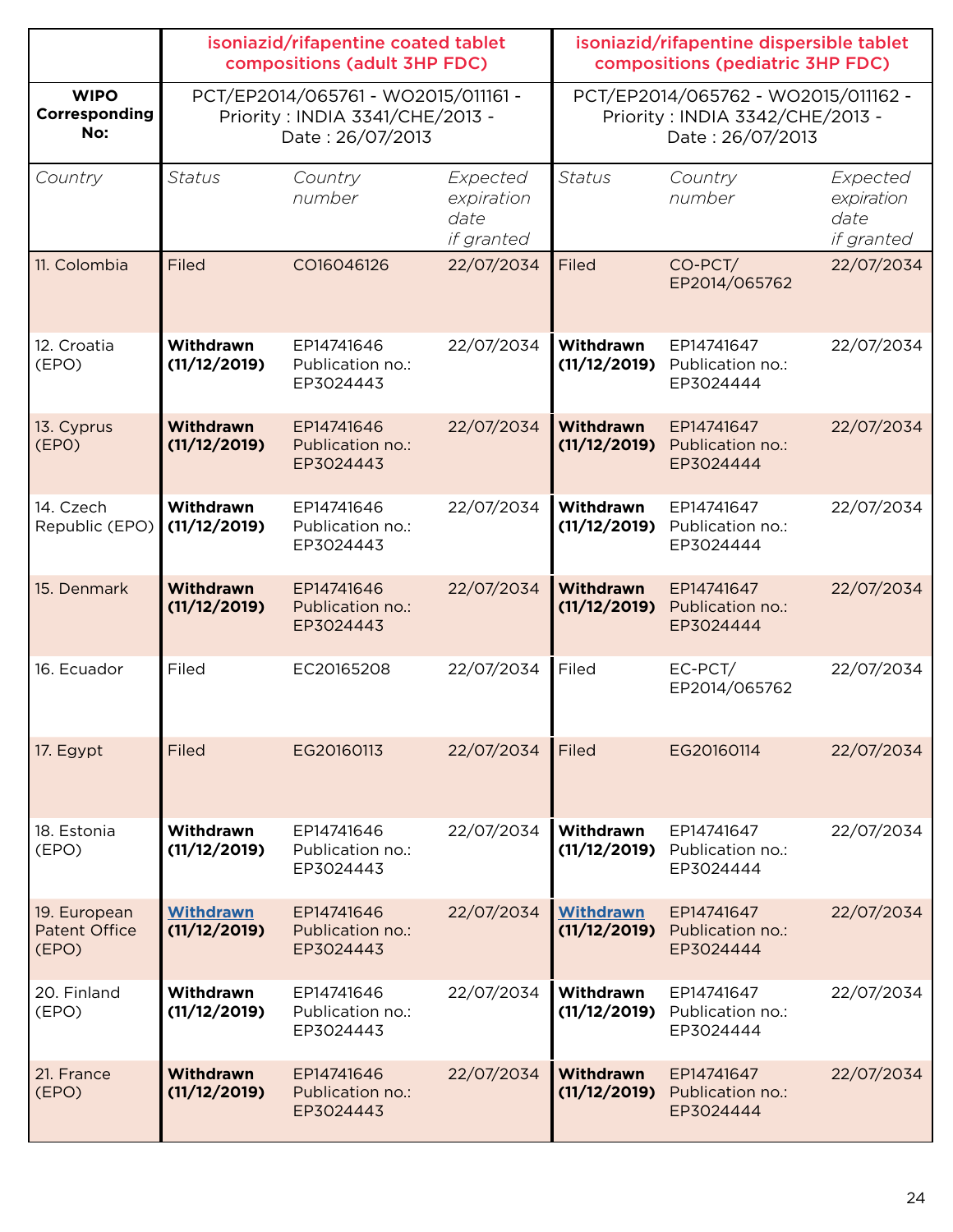|                                               | isoniazid/rifapentine coated tablet<br>compositions (adult 3HP FDC) |                                                                                            |                                              | isoniazid/rifapentine dispersible tablet<br>compositions (pediatric 3HP FDC)               |                                                          |                                              |
|-----------------------------------------------|---------------------------------------------------------------------|--------------------------------------------------------------------------------------------|----------------------------------------------|--------------------------------------------------------------------------------------------|----------------------------------------------------------|----------------------------------------------|
| <b>WIPO</b><br>Corresponding<br>No:           |                                                                     | PCT/EP2014/065761 - WO2015/011161 -<br>Priority: INDIA 3341/CHE/2013 -<br>Date: 26/07/2013 |                                              | PCT/EP2014/065762 - WO2015/011162 -<br>Priority: INDIA 3342/CHE/2013 -<br>Date: 26/07/2013 |                                                          |                                              |
| Country                                       | <b>Status</b>                                                       | Country<br>number                                                                          | Expected<br>expiration<br>date<br>if granted | <b>Status</b>                                                                              | Country<br>number                                        | Expected<br>expiration<br>date<br>if granted |
| 11. Colombia                                  | Filed                                                               | CO16046126                                                                                 | 22/07/2034                                   | Filed                                                                                      | CO-PCT/<br>EP2014/065762                                 | 22/07/2034                                   |
| 12. Croatia<br>(EPO)                          | Withdrawn<br>(11/12/2019)                                           | EP14741646<br>Publication no.:<br>EP3024443                                                | 22/07/2034                                   | Withdrawn<br>(11/12/2019)                                                                  | EP14741647<br>Publication no.:<br>EP3024444              | 22/07/2034                                   |
| 13. Cyprus<br>(EPO)                           | <b>Withdrawn</b><br>(11/12/2019)                                    | EP14741646<br>Publication no.:<br>EP3024443                                                | 22/07/2034                                   | <b>Withdrawn</b><br>(11/12/2019)                                                           | EP14741647<br>Publication no.:<br>EP3024444              | 22/07/2034                                   |
| 14. Czech<br>Republic (EPO)                   | Withdrawn<br>(11/12/2019)                                           | EP14741646<br>Publication no.:<br>EP3024443                                                | 22/07/2034                                   | Withdrawn<br>(11/12/2019)                                                                  | EP14741647<br>Publication no.:<br>EP3024444              | 22/07/2034                                   |
| 15. Denmark                                   | <b>Withdrawn</b><br>(11/12/2019)                                    | EP14741646<br>Publication no.:<br>EP3024443                                                | 22/07/2034                                   | <b>Withdrawn</b><br>(11/12/2019)                                                           | EP14741647<br>Publication no.:<br>EP3024444              | 22/07/2034                                   |
| 16. Ecuador                                   | Filed                                                               | EC20165208                                                                                 | 22/07/2034                                   | Filed                                                                                      | EC-PCT/<br>EP2014/065762                                 | 22/07/2034                                   |
| 17. Egypt                                     | Filed                                                               | EG20160113                                                                                 | 22/07/2034                                   | Filed                                                                                      | EG20160114                                               | 22/07/2034                                   |
| 18. Estonia<br>(EPO)                          | Withdrawn<br>(11/12/2019)                                           | EP14741646<br>Publication no.:<br>EP3024443                                                | 22/07/2034                                   | Withdrawn                                                                                  | EP14741647<br>(11/12/2019) Publication no.:<br>EP3024444 | 22/07/2034                                   |
| 19. European<br><b>Patent Office</b><br>(EPO) | <b>Withdrawn</b><br>(11/12/2019)                                    | EP14741646<br>Publication no.:<br>EP3024443                                                | 22/07/2034                                   | <b>Withdrawn</b>                                                                           | EP14741647<br>(11/12/2019) Publication no.:<br>EP3024444 | 22/07/2034                                   |
| 20. Finland<br>(EPO)                          | Withdrawn<br>(11/12/2019)                                           | EP14741646<br>Publication no.:<br>EP3024443                                                | 22/07/2034                                   | Withdrawn                                                                                  | EP14741647<br>(11/12/2019) Publication no.:<br>EP3024444 | 22/07/2034                                   |
| 21. France<br>(EPO)                           | Withdrawn<br>(11/12/2019)                                           | EP14741646<br>Publication no.:<br>EP3024443                                                | 22/07/2034                                   | <b>Withdrawn</b>                                                                           | EP14741647<br>(11/12/2019) Publication no.:<br>EP3024444 | 22/07/2034                                   |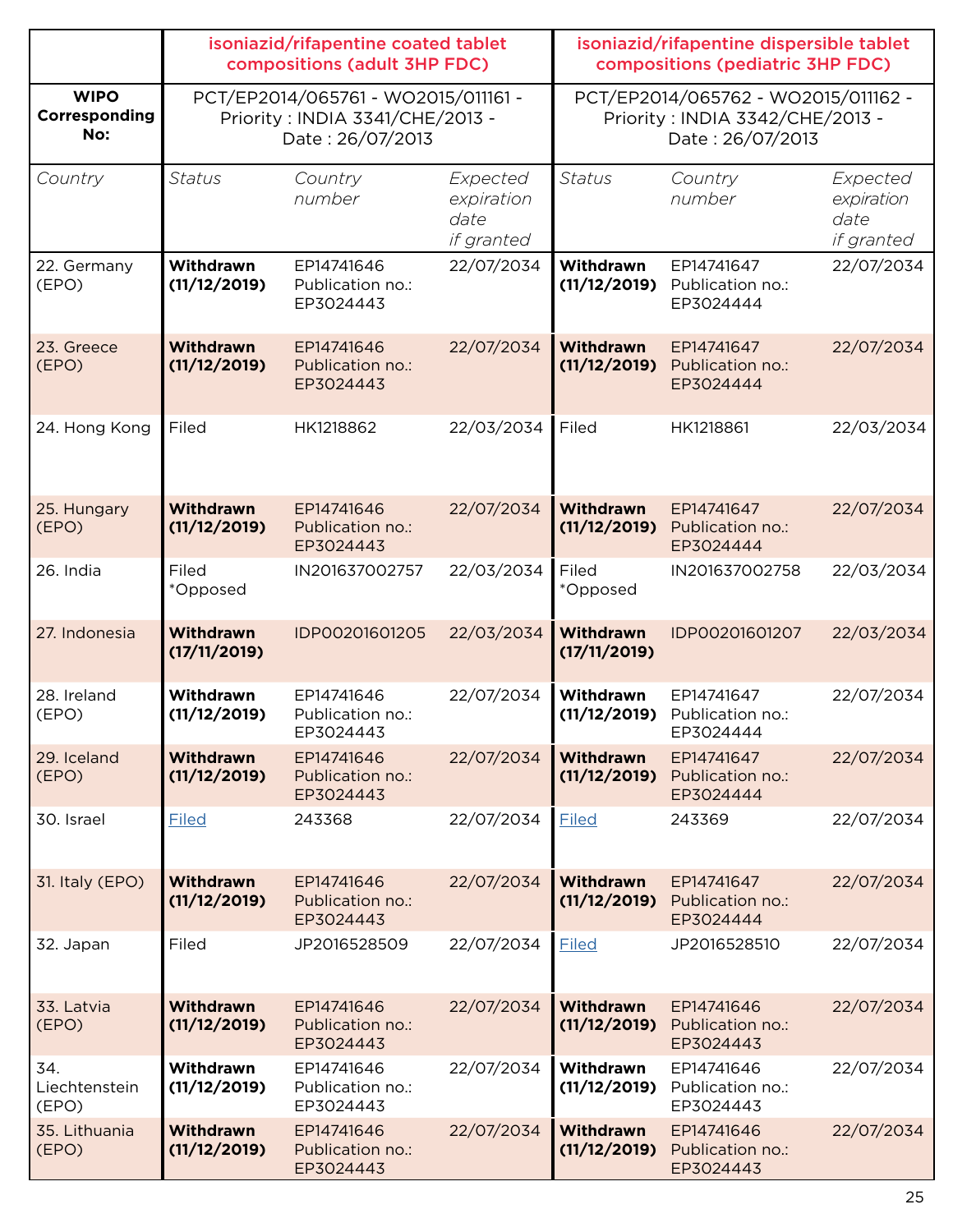|                                     | isoniazid/rifapentine coated tablet<br>compositions (adult 3HP FDC)                                                                                                                      |                                             |                                              | isoniazid/rifapentine dispersible tablet<br>compositions (pediatric 3HP FDC) |                                             |                                              |
|-------------------------------------|------------------------------------------------------------------------------------------------------------------------------------------------------------------------------------------|---------------------------------------------|----------------------------------------------|------------------------------------------------------------------------------|---------------------------------------------|----------------------------------------------|
| <b>WIPO</b><br>Corresponding<br>No: | PCT/EP2014/065761 - WO2015/011161 -<br>PCT/EP2014/065762 - WO2015/011162 -<br>Priority: INDIA 3341/CHE/2013 -<br>Priority: INDIA 3342/CHE/2013 -<br>Date: 26/07/2013<br>Date: 26/07/2013 |                                             |                                              |                                                                              |                                             |                                              |
| Country                             | <b>Status</b>                                                                                                                                                                            | Country<br>number                           | Expected<br>expiration<br>date<br>if granted | <b>Status</b>                                                                | Country<br>number                           | Expected<br>expiration<br>date<br>if granted |
| 22. Germany<br>(EPO)                | Withdrawn<br>(11/12/2019)                                                                                                                                                                | EP14741646<br>Publication no.:<br>EP3024443 | 22/07/2034                                   | Withdrawn<br>(11/12/2019)                                                    | EP14741647<br>Publication no.:<br>EP3024444 | 22/07/2034                                   |
| 23. Greece<br>(EPO)                 | Withdrawn<br>(11/12/2019)                                                                                                                                                                | EP14741646<br>Publication no.:<br>EP3024443 | 22/07/2034                                   | Withdrawn<br>(11/12/2019)                                                    | EP14741647<br>Publication no.:<br>EP3024444 | 22/07/2034                                   |
| 24. Hong Kong                       | Filed                                                                                                                                                                                    | HK1218862                                   | 22/03/2034                                   | Filed                                                                        | HK1218861                                   | 22/03/2034                                   |
| 25. Hungary<br>(EPO)                | Withdrawn<br>(11/12/2019)                                                                                                                                                                | EP14741646<br>Publication no.:<br>EP3024443 | 22/07/2034                                   | Withdrawn<br>(11/12/2019)                                                    | EP14741647<br>Publication no.:<br>EP3024444 | 22/07/2034                                   |
| 26. India                           | Filed<br>*Opposed                                                                                                                                                                        | IN201637002757                              | 22/03/2034                                   | Filed<br>*Opposed                                                            | IN201637002758                              | 22/03/2034                                   |
| 27. Indonesia                       | Withdrawn<br>(17/11/2019)                                                                                                                                                                | IDP00201601205                              | 22/03/2034                                   | Withdrawn<br>(17/11/2019)                                                    | IDP00201601207                              | 22/03/2034                                   |
| 28. Ireland<br>(EPO)                | Withdrawn<br>(11/12/2019)                                                                                                                                                                | EP14741646<br>Publication no.:<br>EP3024443 | 22/07/2034                                   | Withdrawn<br>(11/12/2019)                                                    | EP14741647<br>Publication no.:<br>EP3024444 | 22/07/2034                                   |
| 29. Iceland<br>(EPO)                | Withdrawn<br>(11/12/2019)                                                                                                                                                                | EP14741646<br>Publication no.:<br>EP3024443 | 22/07/2034                                   | Withdrawn<br>(11/12/2019)                                                    | EP14741647<br>Publication no.:<br>EP3024444 | 22/07/2034                                   |
| 30. Israel                          | <b>Filed</b>                                                                                                                                                                             | 243368                                      | 22/07/2034                                   | <b>Filed</b>                                                                 | 243369                                      | 22/07/2034                                   |
| 31. Italy (EPO)                     | Withdrawn<br>(11/12/2019)                                                                                                                                                                | EP14741646<br>Publication no.:<br>EP3024443 | 22/07/2034                                   | <b>Withdrawn</b><br>(11/12/2019)                                             | EP14741647<br>Publication no.:<br>EP3024444 | 22/07/2034                                   |
| 32. Japan                           | Filed                                                                                                                                                                                    | JP2016528509                                | 22/07/2034                                   | <b>Filed</b>                                                                 | JP2016528510                                | 22/07/2034                                   |
| 33. Latvia<br>(EPO)                 | <b>Withdrawn</b><br>(11/12/2019)                                                                                                                                                         | EP14741646<br>Publication no.:<br>EP3024443 | 22/07/2034                                   | Withdrawn<br>(11/12/2019)                                                    | EP14741646<br>Publication no.:<br>EP3024443 | 22/07/2034                                   |
| 34.<br>Liechtenstein<br>(EPO)       | Withdrawn<br>(11/12/2019)                                                                                                                                                                | EP14741646<br>Publication no.:<br>EP3024443 | 22/07/2034                                   | Withdrawn<br>(11/12/2019)                                                    | EP14741646<br>Publication no.:<br>EP3024443 | 22/07/2034                                   |
| 35. Lithuania<br>(EPO)              | Withdrawn<br>(11/12/2019)                                                                                                                                                                | EP14741646<br>Publication no.:<br>EP3024443 | 22/07/2034                                   | Withdrawn<br>(11/12/2019)                                                    | EP14741646<br>Publication no.:<br>EP3024443 | 22/07/2034                                   |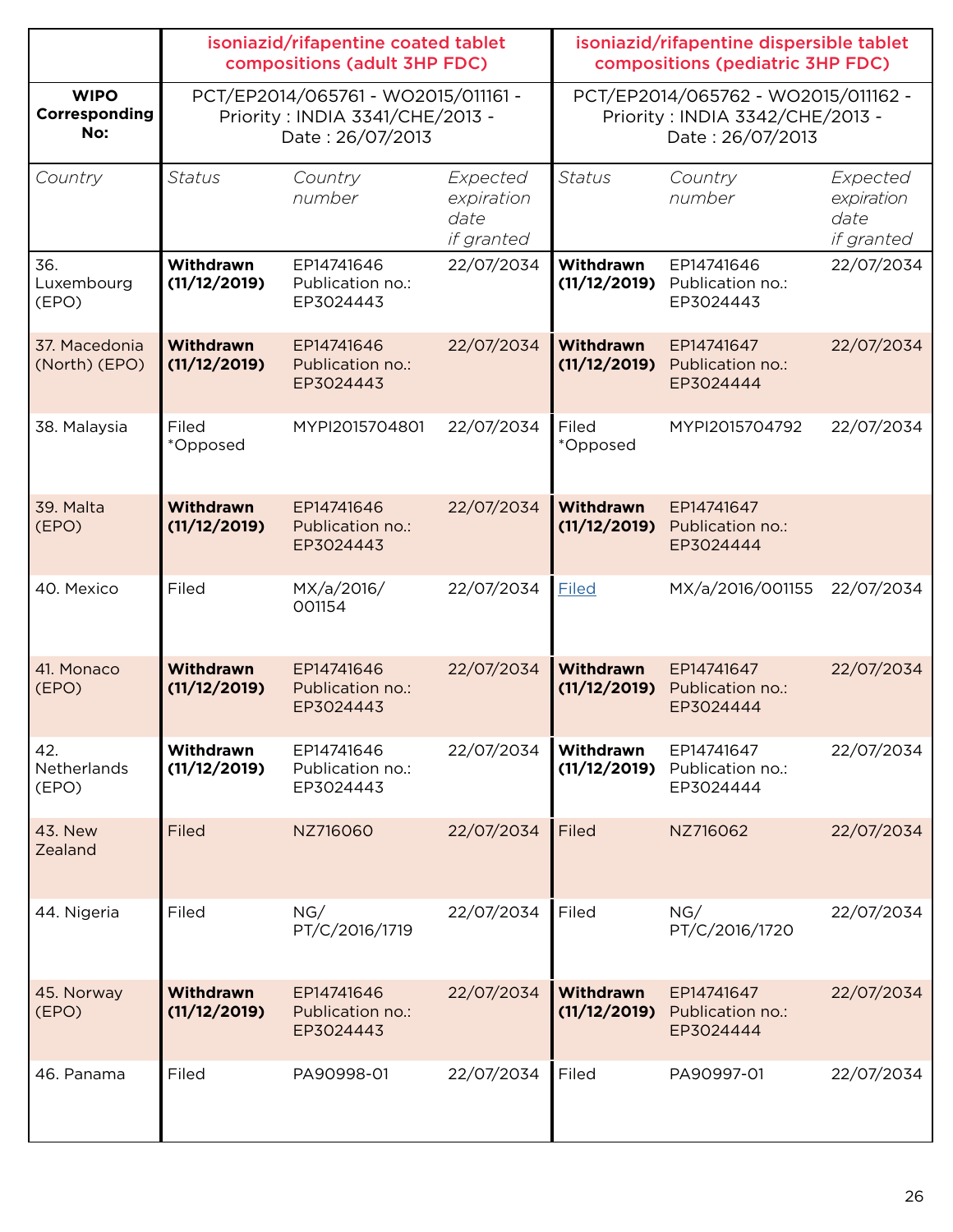|                                     | isoniazid/rifapentine coated tablet<br>compositions (adult 3HP FDC) |                                                                                            |                                              | isoniazid/rifapentine dispersible tablet<br>compositions (pediatric 3HP FDC)               |                                             |                                              |
|-------------------------------------|---------------------------------------------------------------------|--------------------------------------------------------------------------------------------|----------------------------------------------|--------------------------------------------------------------------------------------------|---------------------------------------------|----------------------------------------------|
| <b>WIPO</b><br>Corresponding<br>No: |                                                                     | PCT/EP2014/065761 - WO2015/011161 -<br>Priority: INDIA 3341/CHE/2013 -<br>Date: 26/07/2013 |                                              | PCT/EP2014/065762 - WO2015/011162 -<br>Priority: INDIA 3342/CHE/2013 -<br>Date: 26/07/2013 |                                             |                                              |
| Country                             | <b>Status</b>                                                       | Country<br>number                                                                          | Expected<br>expiration<br>date<br>if granted | <b>Status</b>                                                                              | Country<br>number                           | Expected<br>expiration<br>date<br>if granted |
| 36.<br>Luxembourg<br>(EPO)          | Withdrawn<br>(11/12/2019)                                           | EP14741646<br>Publication no.:<br>EP3024443                                                | 22/07/2034                                   | Withdrawn<br>(11/12/2019)                                                                  | EP14741646<br>Publication no.:<br>EP3024443 | 22/07/2034                                   |
| 37. Macedonia<br>(North) (EPO)      | Withdrawn<br>(11/12/2019)                                           | EP14741646<br>Publication no.:<br>EP3024443                                                | 22/07/2034                                   | Withdrawn<br>(11/12/2019)                                                                  | EP14741647<br>Publication no.:<br>EP3024444 | 22/07/2034                                   |
| 38. Malaysia                        | Filed<br>*Opposed                                                   | MYPI2015704801                                                                             | 22/07/2034                                   | Filed<br>*Opposed                                                                          | MYPI2015704792                              | 22/07/2034                                   |
| 39. Malta<br>(EPO)                  | Withdrawn<br>(11/12/2019)                                           | EP14741646<br>Publication no.:<br>EP3024443                                                | 22/07/2034                                   | Withdrawn<br>(11/12/2019)                                                                  | EP14741647<br>Publication no.:<br>EP3024444 |                                              |
| 40. Mexico                          | Filed                                                               | MX/a/2016/<br>001154                                                                       | 22/07/2034                                   | <b>Filed</b>                                                                               | MX/a/2016/001155                            | 22/07/2034                                   |
| 41. Monaco<br>(EPO)                 | <b>Withdrawn</b><br>(11/12/2019)                                    | EP14741646<br>Publication no.:<br>EP3024443                                                | 22/07/2034                                   | Withdrawn<br>(11/12/2019)                                                                  | EP14741647<br>Publication no.:<br>EP3024444 | 22/07/2034                                   |
| 42.<br>Netherlands<br>(EPO)         | Withdrawn<br>(11/12/2019)                                           | EP14741646<br>Publication no.:<br>EP3024443                                                | 22/07/2034                                   | Withdrawn<br>(11/12/2019)                                                                  | EP14741647<br>Publication no.:<br>EP3024444 | 22/07/2034                                   |
| <b>43. New</b><br>Zealand           | <b>Filed</b>                                                        | NZ716060                                                                                   | 22/07/2034                                   | Filed                                                                                      | NZ716062                                    | 22/07/2034                                   |
| 44. Nigeria                         | Filed                                                               | NG/<br>PT/C/2016/1719                                                                      | 22/07/2034                                   | Filed                                                                                      | NG/<br>PT/C/2016/1720                       | 22/07/2034                                   |
| 45. Norway<br>(EPO)                 | Withdrawn<br>(11/12/2019)                                           | EP14741646<br>Publication no.:<br>EP3024443                                                | 22/07/2034                                   | Withdrawn<br>(11/12/2019)                                                                  | EP14741647<br>Publication no.:<br>EP3024444 | 22/07/2034                                   |
| 46. Panama                          | Filed                                                               | PA90998-01                                                                                 | 22/07/2034                                   | Filed                                                                                      | PA90997-01                                  | 22/07/2034                                   |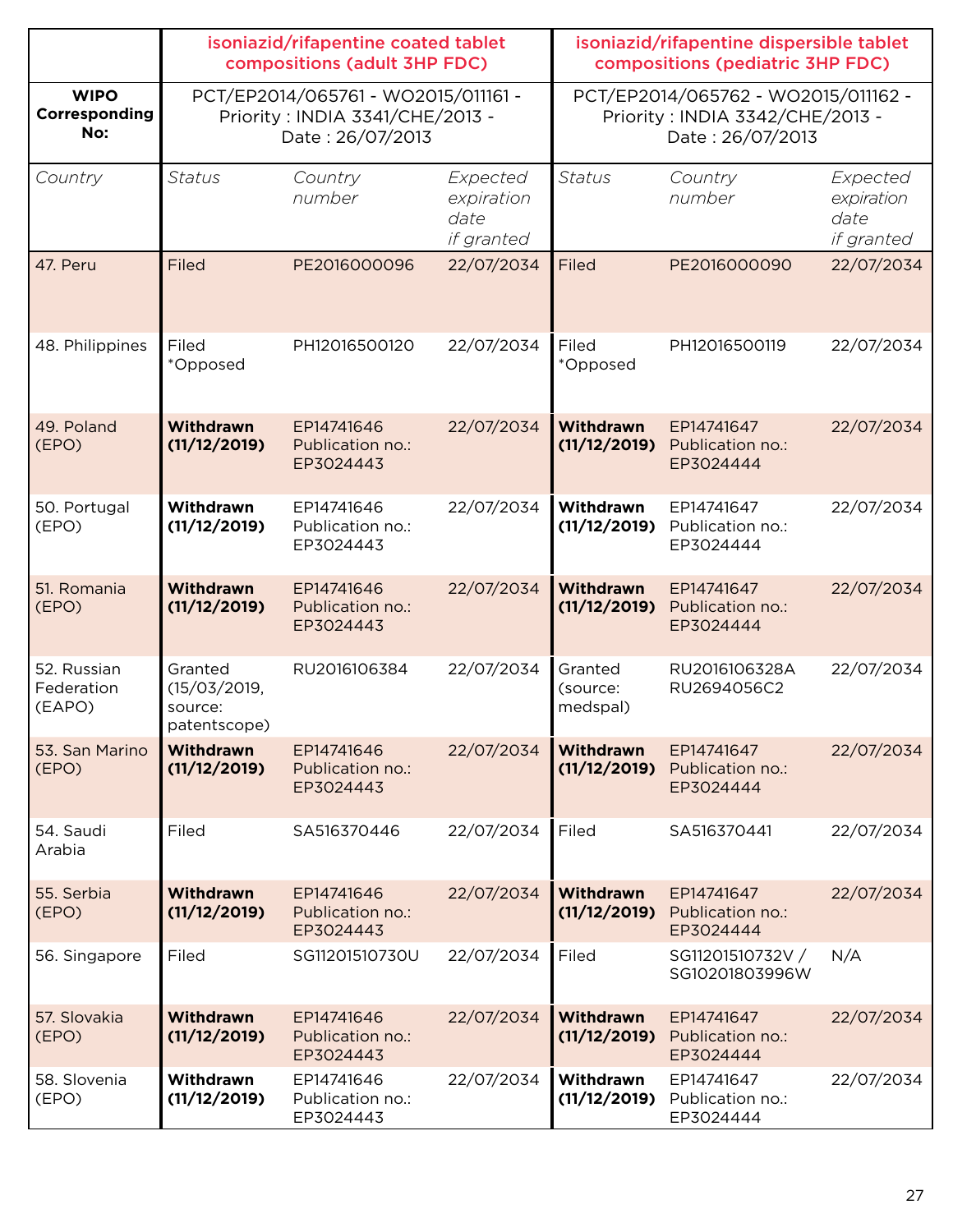|                                     | isoniazid/rifapentine coated tablet<br>compositions (adult 3HP FDC)                        |                                             |                                              | isoniazid/rifapentine dispersible tablet<br>compositions (pediatric 3HP FDC)               |                                             |                                              |
|-------------------------------------|--------------------------------------------------------------------------------------------|---------------------------------------------|----------------------------------------------|--------------------------------------------------------------------------------------------|---------------------------------------------|----------------------------------------------|
| <b>WIPO</b><br>Corresponding<br>No: | PCT/EP2014/065761 - WO2015/011161 -<br>Priority: INDIA 3341/CHE/2013 -<br>Date: 26/07/2013 |                                             |                                              | PCT/EP2014/065762 - WO2015/011162 -<br>Priority: INDIA 3342/CHE/2013 -<br>Date: 26/07/2013 |                                             |                                              |
| Country                             | <b>Status</b>                                                                              | Country<br>number                           | Expected<br>expiration<br>date<br>if granted | <b>Status</b>                                                                              | Country<br>number                           | Expected<br>expiration<br>date<br>if granted |
| 47. Peru                            | Filed                                                                                      | PE2016000096                                | 22/07/2034                                   | Filed                                                                                      | PE2016000090                                | 22/07/2034                                   |
| 48. Philippines                     | Filed<br>*Opposed                                                                          | PH12016500120                               | 22/07/2034                                   | Filed<br>*Opposed                                                                          | PH12016500119                               | 22/07/2034                                   |
| 49. Poland<br>(EPO)                 | <b>Withdrawn</b><br>(11/12/2019)                                                           | EP14741646<br>Publication no.:<br>EP3024443 | 22/07/2034                                   | <b>Withdrawn</b><br>(11/12/2019)                                                           | EP14741647<br>Publication no.:<br>EP3024444 | 22/07/2034                                   |
| 50. Portugal<br>(EPO)               | Withdrawn<br>(11/12/2019)                                                                  | EP14741646<br>Publication no.:<br>EP3024443 | 22/07/2034                                   | Withdrawn<br>(11/12/2019)                                                                  | EP14741647<br>Publication no.:<br>EP3024444 | 22/07/2034                                   |
| 51. Romania<br>(EPO)                | <b>Withdrawn</b><br>(11/12/2019)                                                           | EP14741646<br>Publication no.:<br>EP3024443 | 22/07/2034                                   | <b>Withdrawn</b><br>(11/12/2019)                                                           | EP14741647<br>Publication no.:<br>EP3024444 | 22/07/2034                                   |
| 52. Russian<br>Federation<br>(EAPO) | Granted<br>(15/03/2019,<br>source:<br>patentscope)                                         | RU2016106384                                | 22/07/2034                                   | Granted<br>(source:<br>medspal)                                                            | RU2016106328A<br>RU2694056C2                | 22/07/2034                                   |
| 53. San Marino<br>(EPO)             | <b>Withdrawn</b><br>(11/12/2019)                                                           | EP14741646<br>Publication no.:<br>EP3024443 | 22/07/2034                                   | Withdrawn<br>(11/12/2019)                                                                  | EP14741647<br>Publication no.:<br>EP3024444 | 22/07/2034                                   |
| 54. Saudi<br>Arabia                 | Filed                                                                                      | SA516370446                                 | 22/07/2034                                   | Filed                                                                                      | SA516370441                                 | 22/07/2034                                   |
| 55. Serbia<br>(EPO)                 | <b>Withdrawn</b><br>(11/12/2019)                                                           | EP14741646<br>Publication no.:<br>EP3024443 | 22/07/2034                                   | Withdrawn<br>(11/12/2019)                                                                  | EP14741647<br>Publication no.:<br>EP3024444 | 22/07/2034                                   |
| 56. Singapore                       | Filed                                                                                      | SG11201510730U                              | 22/07/2034                                   | Filed                                                                                      | SG11201510732V /<br>SG10201803996W          | N/A                                          |
| 57. Slovakia<br>(EPO)               | <b>Withdrawn</b><br>(11/12/2019)                                                           | EP14741646<br>Publication no.:<br>EP3024443 | 22/07/2034                                   | <b>Withdrawn</b><br>(11/12/2019)                                                           | EP14741647<br>Publication no.:<br>EP3024444 | 22/07/2034                                   |
| 58. Slovenia<br>(EPO)               | Withdrawn<br>(11/12/2019)                                                                  | EP14741646<br>Publication no.:<br>EP3024443 | 22/07/2034                                   | Withdrawn<br>(11/12/2019)                                                                  | EP14741647<br>Publication no.:<br>EP3024444 | 22/07/2034                                   |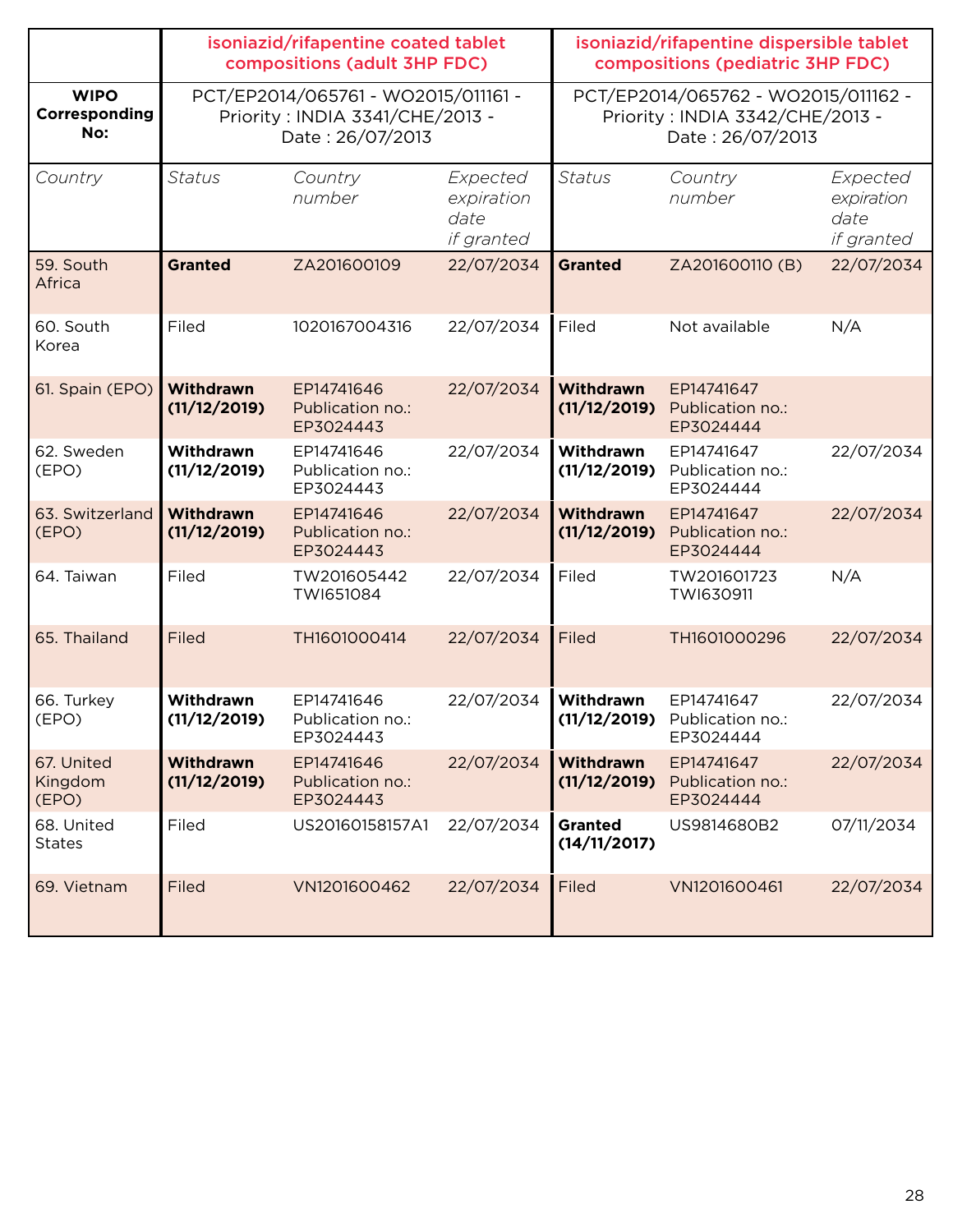|                                     | isoniazid/rifapentine coated tablet<br>compositions (adult 3HP FDC)                        |                                             |                                              | isoniazid/rifapentine dispersible tablet<br>compositions (pediatric 3HP FDC) |                                                                                            |                                              |  |
|-------------------------------------|--------------------------------------------------------------------------------------------|---------------------------------------------|----------------------------------------------|------------------------------------------------------------------------------|--------------------------------------------------------------------------------------------|----------------------------------------------|--|
| <b>WIPO</b><br>Corresponding<br>No: | PCT/EP2014/065761 - WO2015/011161 -<br>Priority: INDIA 3341/CHE/2013 -<br>Date: 26/07/2013 |                                             |                                              |                                                                              | PCT/EP2014/065762 - WO2015/011162 -<br>Priority: INDIA 3342/CHE/2013 -<br>Date: 26/07/2013 |                                              |  |
| Country                             | <b>Status</b>                                                                              | Country<br>number                           | Expected<br>expiration<br>date<br>if granted | <b>Status</b>                                                                | Country<br>number                                                                          | Expected<br>expiration<br>date<br>if granted |  |
| 59. South<br>Africa                 | <b>Granted</b>                                                                             | ZA201600109                                 | 22/07/2034                                   | <b>Granted</b>                                                               | ZA201600110 (B)                                                                            | 22/07/2034                                   |  |
| 60. South<br>Korea                  | Filed                                                                                      | 1020167004316                               | 22/07/2034                                   | Filed                                                                        | Not available                                                                              | N/A                                          |  |
| 61. Spain (EPO)                     | <b>Withdrawn</b><br>(11/12/2019)                                                           | EP14741646<br>Publication no.:<br>EP3024443 | 22/07/2034                                   | <b>Withdrawn</b><br>(11/12/2019)                                             | EP14741647<br>Publication no.:<br>EP3024444                                                |                                              |  |
| 62. Sweden<br>(EPO)                 | Withdrawn<br>(11/12/2019)                                                                  | EP14741646<br>Publication no.:<br>EP3024443 | 22/07/2034                                   | Withdrawn<br>(11/12/2019)                                                    | EP14741647<br>Publication no.:<br>EP3024444                                                | 22/07/2034                                   |  |
| 63. Switzerland<br>(EPO)            | <b>Withdrawn</b><br>(11/12/2019)                                                           | EP14741646<br>Publication no.:<br>EP3024443 | 22/07/2034                                   | <b>Withdrawn</b><br>(11/12/2019)                                             | EP14741647<br>Publication no.:<br>EP3024444                                                | 22/07/2034                                   |  |
| 64. Taiwan                          | Filed                                                                                      | TW201605442<br>TWI651084                    | 22/07/2034                                   | Filed                                                                        | TW201601723<br>TWI630911                                                                   | N/A                                          |  |
| 65. Thailand                        | Filed                                                                                      | TH1601000414                                | 22/07/2034                                   | Filed                                                                        | TH1601000296                                                                               | 22/07/2034                                   |  |
| 66. Turkey<br>(EPO)                 | Withdrawn<br>(11/12/2019)                                                                  | EP14741646<br>Publication no.:<br>EP3024443 | 22/07/2034                                   | Withdrawn<br>(11/12/2019)                                                    | EP14741647<br>Publication no.:<br>EP3024444                                                | 22/07/2034                                   |  |
| 67. United<br>Kingdom<br>(EPO)      | Withdrawn<br>(11/12/2019)                                                                  | EP14741646<br>Publication no.:<br>EP3024443 | 22/07/2034                                   | <b>Withdrawn</b><br>(11/12/2019)                                             | EP14741647<br>Publication no.:<br>EP3024444                                                | 22/07/2034                                   |  |
| 68. United<br><b>States</b>         | Filed                                                                                      | US20160158157A1                             | 22/07/2034                                   | <b>Granted</b><br>(14/11/2017)                                               | US9814680B2                                                                                | 07/11/2034                                   |  |
| 69. Vietnam                         | Filed                                                                                      | VN1201600462                                | 22/07/2034                                   | Filed                                                                        | VN1201600461                                                                               | 22/07/2034                                   |  |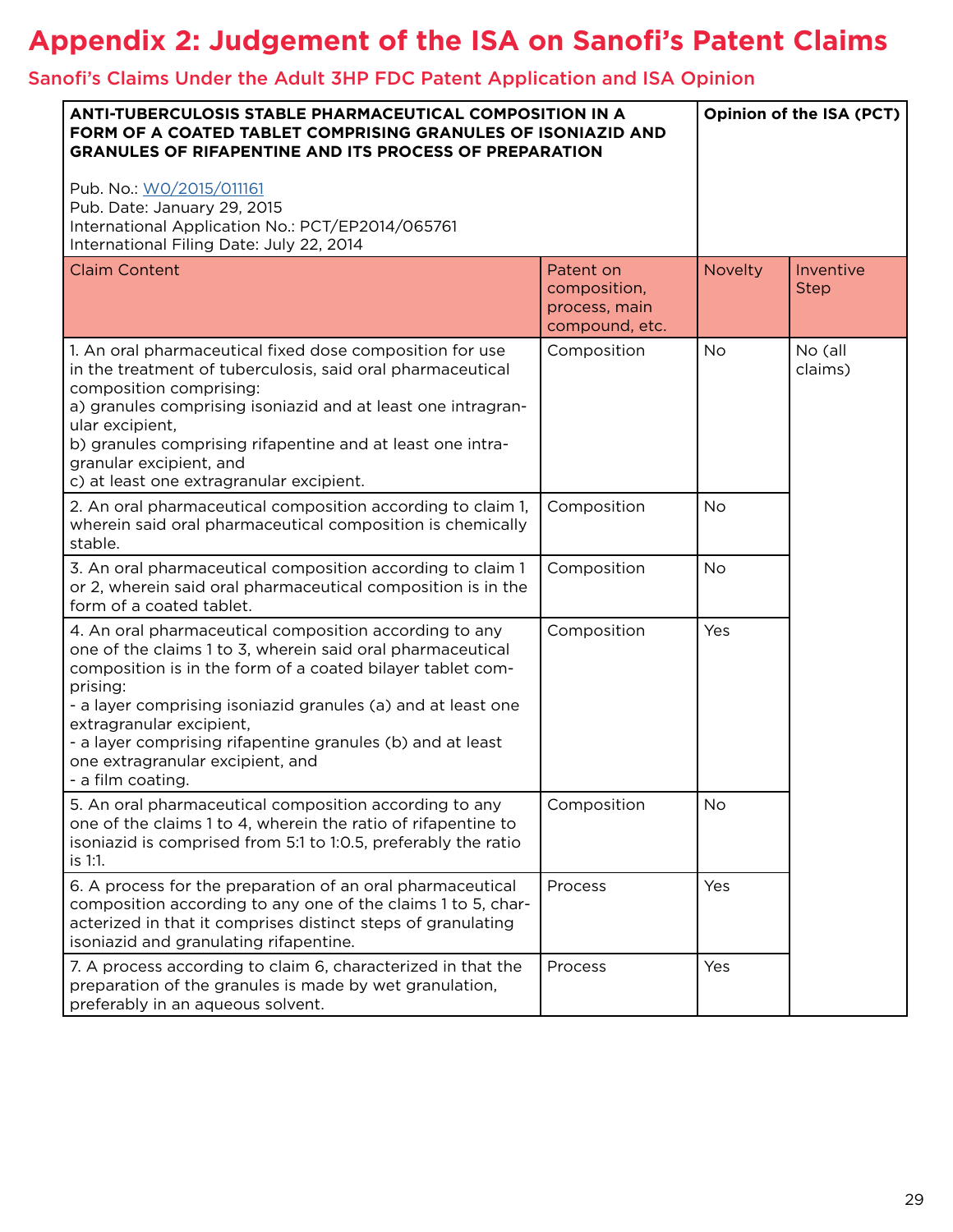### **Appendix 2: Judgement of the ISA on Sanofi's Patent Claims**

#### Sanofi's Claims Under the Adult 3HP FDC Patent Application and ISA Opinion

| <b>ANTI-TUBERCULOSIS STABLE PHARMACEUTICAL COMPOSITION IN A</b><br>FORM OF A COATED TABLET COMPRISING GRANULES OF ISONIAZID AND<br><b>GRANULES OF RIFAPENTINE AND ITS PROCESS OF PREPARATION</b>                                                                                                                                                                                                                  |                                                              | Opinion of the ISA (PCT) |                          |
|-------------------------------------------------------------------------------------------------------------------------------------------------------------------------------------------------------------------------------------------------------------------------------------------------------------------------------------------------------------------------------------------------------------------|--------------------------------------------------------------|--------------------------|--------------------------|
| Pub. No.: W0/2015/011161<br>Pub. Date: January 29, 2015<br>International Application No.: PCT/EP2014/065761<br>International Filing Date: July 22, 2014                                                                                                                                                                                                                                                           |                                                              |                          |                          |
| <b>Claim Content</b>                                                                                                                                                                                                                                                                                                                                                                                              | Patent on<br>composition,<br>process, main<br>compound, etc. | <b>Novelty</b>           | Inventive<br><b>Step</b> |
| 1. An oral pharmaceutical fixed dose composition for use<br>in the treatment of tuberculosis, said oral pharmaceutical<br>composition comprising:<br>a) granules comprising isoniazid and at least one intragran-<br>ular excipient,<br>b) granules comprising rifapentine and at least one intra-<br>granular excipient, and<br>c) at least one extragranular excipient.                                         | Composition                                                  | <b>No</b>                | No (all<br>claims)       |
| 2. An oral pharmaceutical composition according to claim 1,<br>wherein said oral pharmaceutical composition is chemically<br>stable.                                                                                                                                                                                                                                                                              | Composition                                                  | <b>No</b>                |                          |
| 3. An oral pharmaceutical composition according to claim 1<br>or 2, wherein said oral pharmaceutical composition is in the<br>form of a coated tablet.                                                                                                                                                                                                                                                            | Composition                                                  | <b>No</b>                |                          |
| 4. An oral pharmaceutical composition according to any<br>one of the claims 1 to 3, wherein said oral pharmaceutical<br>composition is in the form of a coated bilayer tablet com-<br>prising:<br>- a layer comprising isoniazid granules (a) and at least one<br>extragranular excipient,<br>- a layer comprising rifapentine granules (b) and at least<br>one extragranular excipient, and<br>- a film coating. | Composition                                                  | Yes                      |                          |
| 5. An oral pharmaceutical composition according to any<br>one of the claims 1 to 4, wherein the ratio of rifapentine to<br>isoniazid is comprised from 5:1 to 1:0.5, preferably the ratio<br>is 1:1.                                                                                                                                                                                                              | Composition                                                  | No                       |                          |
| 6. A process for the preparation of an oral pharmaceutical<br>composition according to any one of the claims 1 to 5, char-<br>acterized in that it comprises distinct steps of granulating<br>isoniazid and granulating rifapentine.                                                                                                                                                                              | Process                                                      | Yes                      |                          |
| 7. A process according to claim 6, characterized in that the<br>preparation of the granules is made by wet granulation,<br>preferably in an aqueous solvent.                                                                                                                                                                                                                                                      | Process                                                      | Yes                      |                          |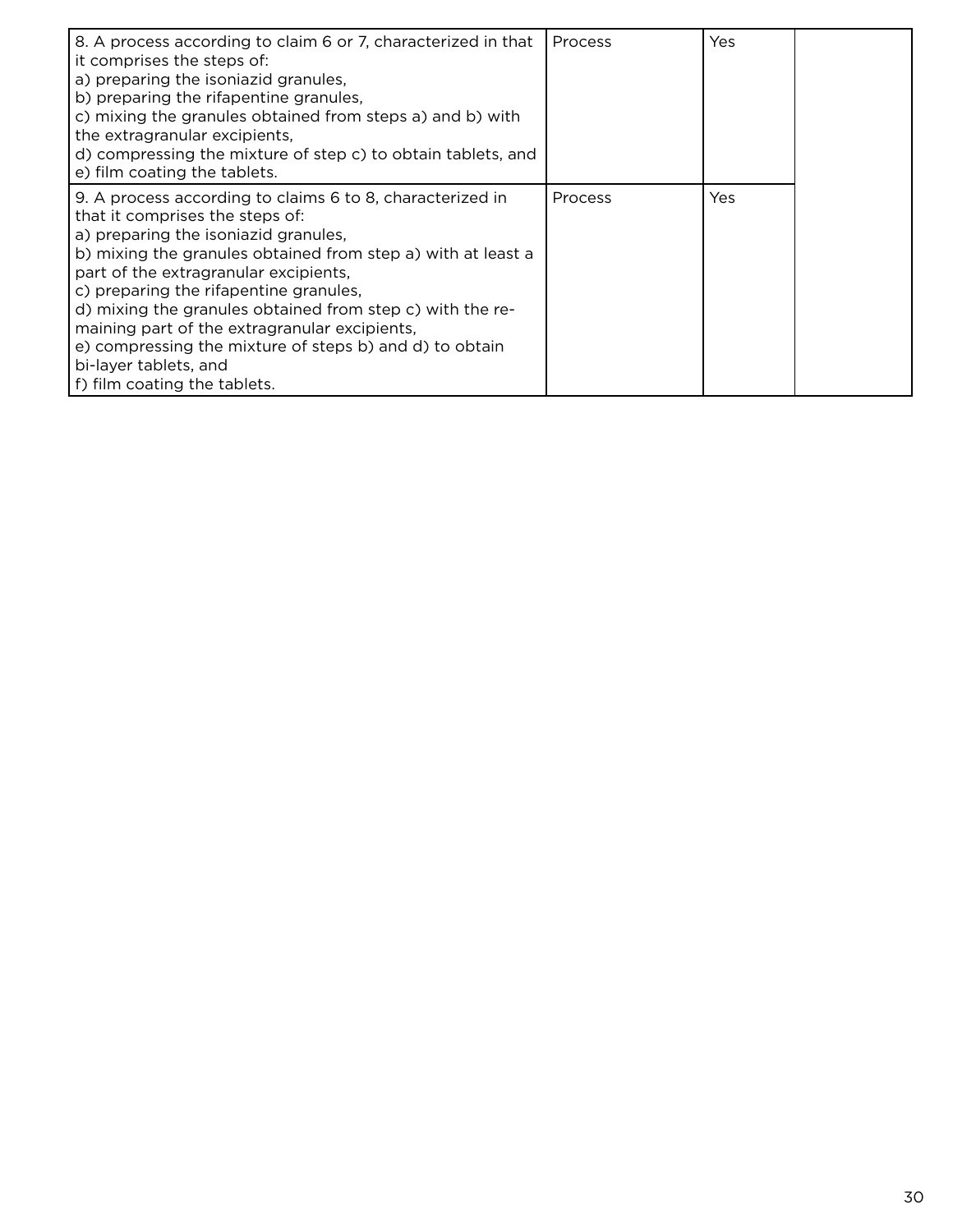| 8. A process according to claim 6 or 7, characterized in that<br>it comprises the steps of:<br>a) preparing the isoniazid granules,<br>b) preparing the rifapentine granules,<br>c) mixing the granules obtained from steps a) and b) with<br>the extragranular excipients,<br>d) compressing the mixture of step c) to obtain tablets, and<br>e) film coating the tablets.                                                                                                                                               | Process        | Yes |  |
|---------------------------------------------------------------------------------------------------------------------------------------------------------------------------------------------------------------------------------------------------------------------------------------------------------------------------------------------------------------------------------------------------------------------------------------------------------------------------------------------------------------------------|----------------|-----|--|
| 9. A process according to claims 6 to 8, characterized in<br>that it comprises the steps of:<br>a) preparing the isoniazid granules,<br>b) mixing the granules obtained from step a) with at least a<br>part of the extragranular excipients,<br>c) preparing the rifapentine granules,<br>d) mixing the granules obtained from step c) with the re-<br>maining part of the extragranular excipients,<br>e) compressing the mixture of steps b) and d) to obtain<br>bi-layer tablets, and<br>f) film coating the tablets. | <b>Process</b> | Yes |  |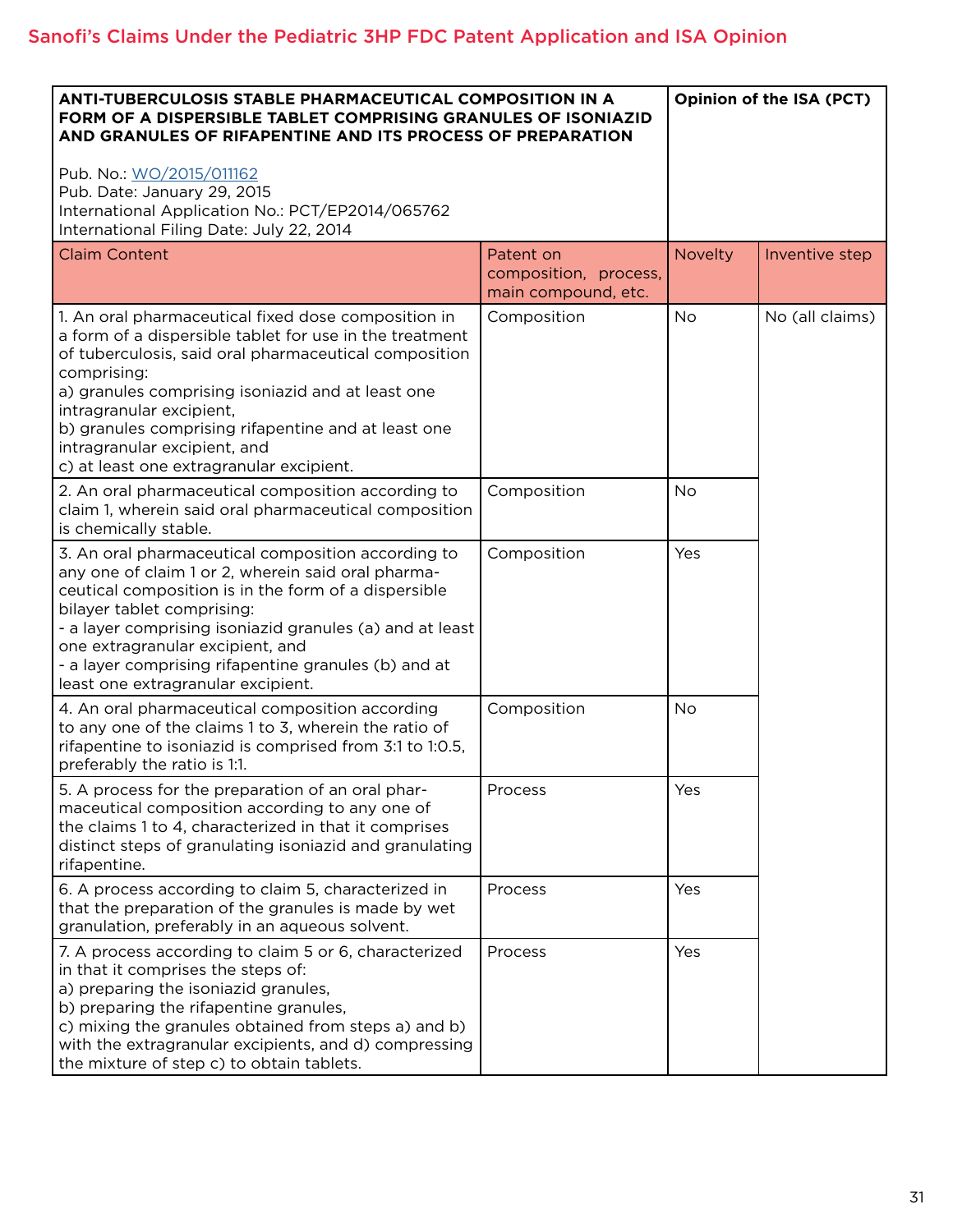| <b>ANTI-TUBERCULOSIS STABLE PHARMACEUTICAL COMPOSITION IN A</b><br>FORM OF A DISPERSIBLE TABLET COMPRISING GRANULES OF ISONIAZID<br>AND GRANULES OF RIFAPENTINE AND ITS PROCESS OF PREPARATION<br>Pub. No.: WO/2015/011162<br>Pub. Date: January 29, 2015<br>International Application No.: PCT/EP2014/065762<br>International Filing Date: July 22, 2014                                                  |                                                           | Opinion of the ISA (PCT) |                 |
|------------------------------------------------------------------------------------------------------------------------------------------------------------------------------------------------------------------------------------------------------------------------------------------------------------------------------------------------------------------------------------------------------------|-----------------------------------------------------------|--------------------------|-----------------|
| <b>Claim Content</b>                                                                                                                                                                                                                                                                                                                                                                                       | Patent on<br>composition, process,<br>main compound, etc. | <b>Novelty</b>           | Inventive step  |
| 1. An oral pharmaceutical fixed dose composition in<br>a form of a dispersible tablet for use in the treatment<br>of tuberculosis, said oral pharmaceutical composition<br>comprising:<br>a) granules comprising isoniazid and at least one<br>intragranular excipient,<br>b) granules comprising rifapentine and at least one<br>intragranular excipient, and<br>c) at least one extragranular excipient. | Composition                                               | <b>No</b>                | No (all claims) |
| 2. An oral pharmaceutical composition according to<br>claim 1, wherein said oral pharmaceutical composition<br>is chemically stable.                                                                                                                                                                                                                                                                       | Composition                                               | <b>No</b>                |                 |
| 3. An oral pharmaceutical composition according to<br>any one of claim 1 or 2, wherein said oral pharma-<br>ceutical composition is in the form of a dispersible<br>bilayer tablet comprising:<br>- a layer comprising isoniazid granules (a) and at least<br>one extragranular excipient, and<br>- a layer comprising rifapentine granules (b) and at<br>least one extragranular excipient.               | Composition                                               | Yes                      |                 |
| 4. An oral pharmaceutical composition according<br>to any one of the claims 1 to 3, wherein the ratio of<br>rifapentine to isoniazid is comprised from 3:1 to 1:0.5,<br>preferably the ratio is 1:1.                                                                                                                                                                                                       | Composition                                               | <b>No</b>                |                 |
| 5. A process for the preparation of an oral phar-<br>maceutical composition according to any one of<br>the claims 1 to 4, characterized in that it comprises<br>distinct steps of granulating isoniazid and granulating<br>rifapentine.                                                                                                                                                                    | Process                                                   | Yes                      |                 |
| 6. A process according to claim 5, characterized in<br>that the preparation of the granules is made by wet<br>granulation, preferably in an aqueous solvent.                                                                                                                                                                                                                                               | Process                                                   | Yes                      |                 |
| 7. A process according to claim 5 or 6, characterized<br>in that it comprises the steps of:<br>a) preparing the isoniazid granules,<br>b) preparing the rifapentine granules,<br>c) mixing the granules obtained from steps a) and b)<br>with the extragranular excipients, and d) compressing<br>the mixture of step c) to obtain tablets.                                                                | Process                                                   | Yes                      |                 |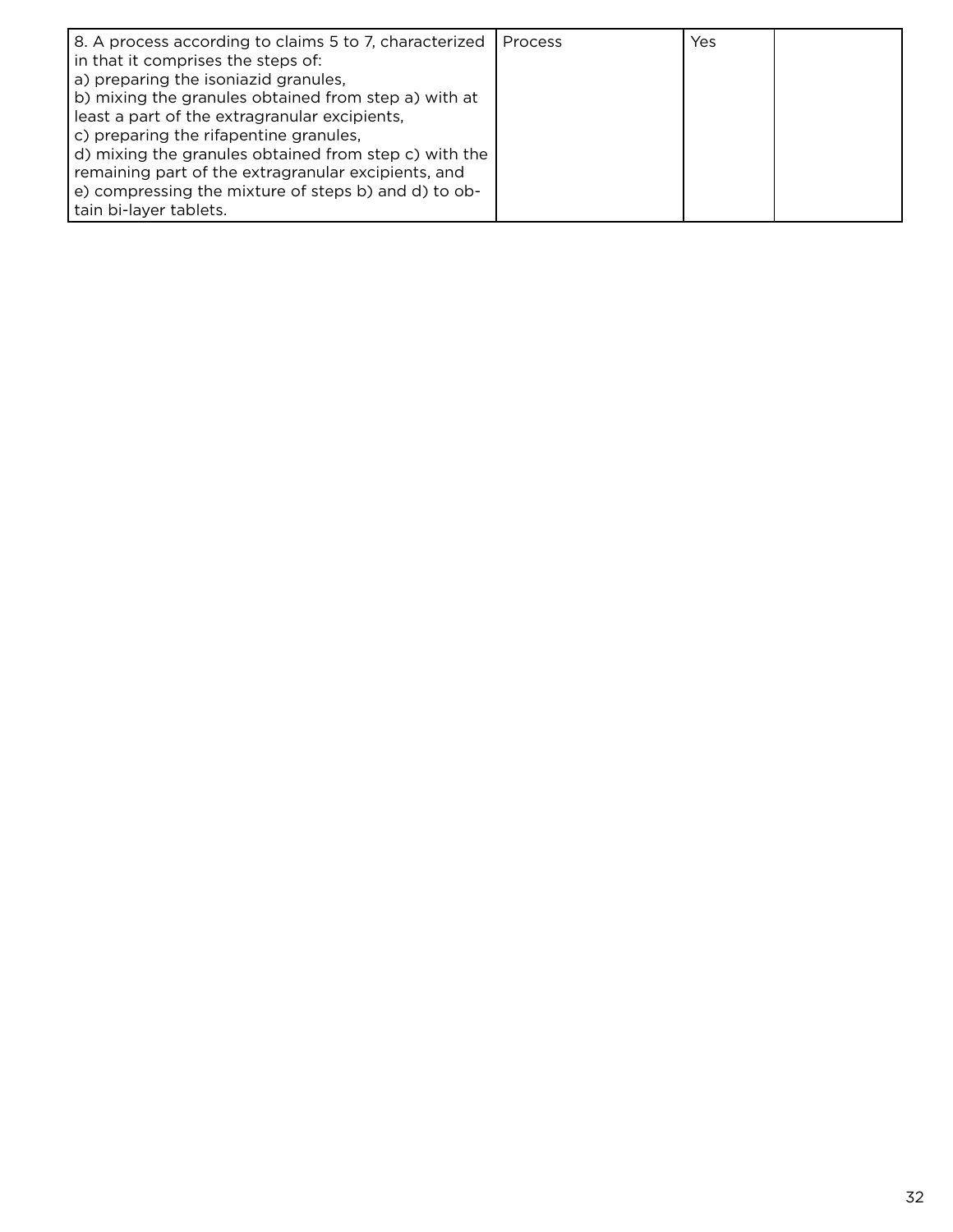| 8. A process according to claims 5 to 7, characterized<br>in that it comprises the steps of:<br>a) preparing the isoniazid granules,<br>b) mixing the granules obtained from step a) with at<br>least a part of the extragranular excipients,<br>c) preparing the rifapentine granules, | l Process | Yes |  |
|-----------------------------------------------------------------------------------------------------------------------------------------------------------------------------------------------------------------------------------------------------------------------------------------|-----------|-----|--|
| d) mixing the granules obtained from step c) with the<br>remaining part of the extragranular excipients, and<br>e) compressing the mixture of steps b) and d) to ob-<br>tain bi-layer tablets.                                                                                          |           |     |  |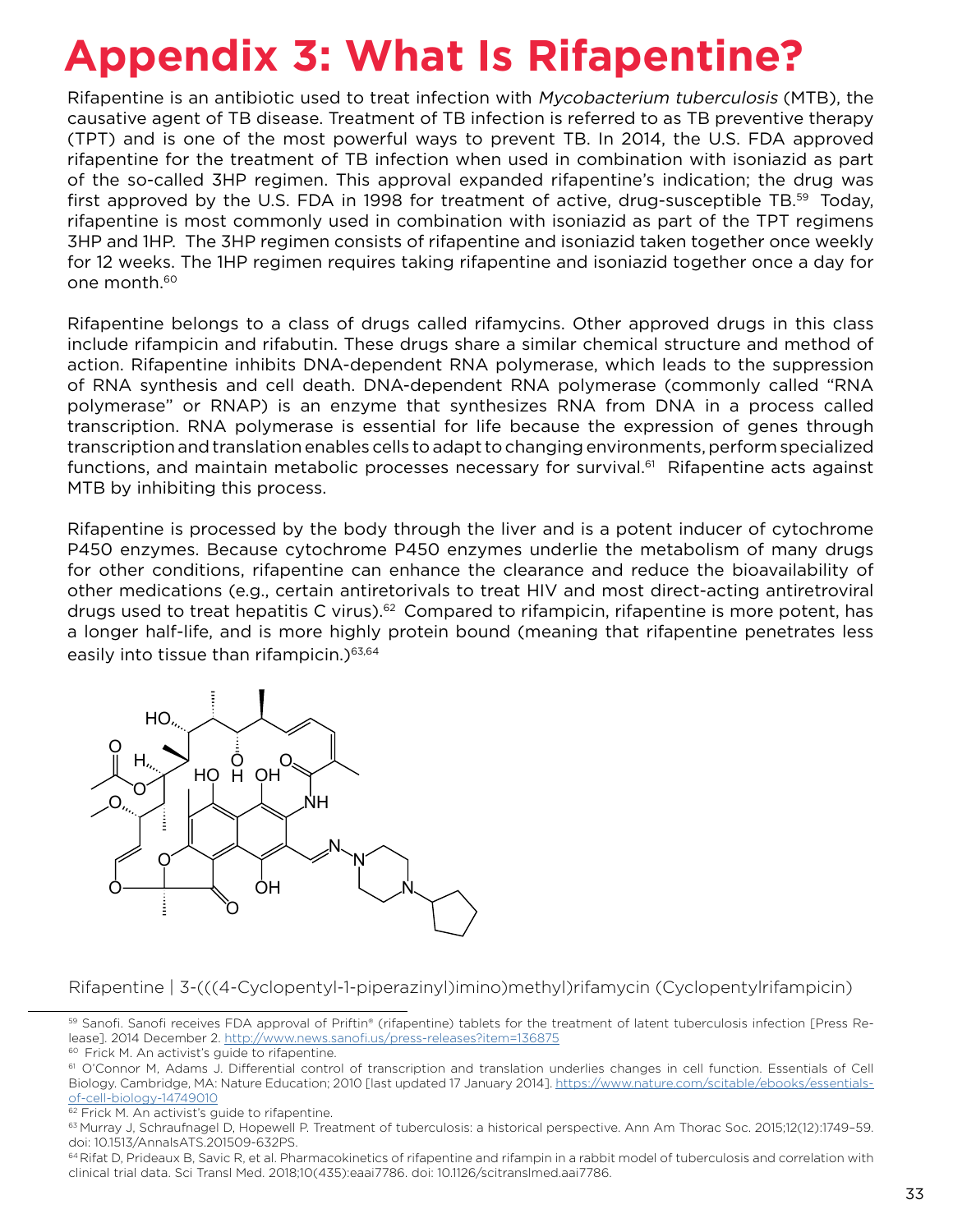# **Appendix 3: What Is Rifapentine?**

Rifapentine is an antibiotic used to treat infection with Mycobacterium tuberculosis (MTB), the causative agent of TB disease. Treatment of TB infection is referred to as TB preventive therapy (TPT) and is one of the most powerful ways to prevent TB. In 2014, the U.S. FDA approved rifapentine for the treatment of TB infection when used in combination with isoniazid as part of the so-called 3HP regimen. This approval expanded rifapentine's indication; the drug was first approved by the U.S. FDA in 1998 for treatment of active, drug-susceptible TB.59 Today, rifapentine is most commonly used in combination with isoniazid as part of the TPT regimens 3HP and 1HP. The 3HP regimen consists of rifapentine and isoniazid taken together once weekly for 12 weeks. The 1HP regimen requires taking rifapentine and isoniazid together once a day for one month.60

Rifapentine belongs to a class of drugs called rifamycins. Other approved drugs in this class include rifampicin and rifabutin. These drugs share a similar chemical structure and method of action. Rifapentine inhibits DNA-dependent RNA polymerase, which leads to the suppression of RNA synthesis and cell death. DNA-dependent RNA polymerase (commonly called "RNA polymerase" or RNAP) is an enzyme that synthesizes RNA from DNA in a process called transcription. RNA polymerase is essential for life because the expression of genes through transcription and translation enables cells to adapt to changing environments, perform specialized functions, and maintain metabolic processes necessary for survival.<sup>61</sup> Rifapentine acts against MTB by inhibiting this process.

Rifapentine is processed by the body through the liver and is a potent inducer of cytochrome P450 enzymes. Because cytochrome P450 enzymes underlie the metabolism of many drugs for other conditions, rifapentine can enhance the clearance and reduce the bioavailability of other medications (e.g., certain antiretorivals to treat HIV and most direct-acting antiretroviral drugs used to treat hepatitis C virus).<sup>62</sup> Compared to rifampicin, rifapentine is more potent, has a longer half-life, and is more highly protein bound (meaning that rifapentine penetrates less easily into tissue than rifampicin.)<sup>63,64</sup>



Rifapentine | 3-(((4-Cyclopentyl-1-piperazinyl)imino)methyl)rifamycin (Cyclopentylrifampicin)

<sup>59</sup> Sanofi. Sanofi receives FDA approval of Priftin® (rifapentine) tablets for the treatment of latent tuberculosis infection [Press Release]. 2014 December 2.<http://www.news.sanofi.us/press-releases?item=136875>

<sup>60</sup> Frick M. An activist's guide to rifapentine.

<sup>61</sup> O'Connor M, Adams J. Differential control of transcription and translation underlies changes in cell function. Essentials of Cell Biology. Cambridge, MA: Nature Education; 2010 [last updated 17 January 2014]. [https://www.nature.com/scitable/ebooks/essentials](https://www.nature.com/scitable/ebooks/essentials-of-cell-biology-14749010)[of-cell-biology-14749010](https://www.nature.com/scitable/ebooks/essentials-of-cell-biology-14749010)

<sup>&</sup>lt;sup>62</sup> Frick M. An activist's guide to rifapentine.

<sup>63</sup> Murray J, Schraufnagel D, Hopewell P. Treatment of tuberculosis: a historical perspective. Ann Am Thorac Soc. 2015;12(12):1749–59. doi: 10.1513/AnnalsATS.201509-632PS.

<sup>&</sup>lt;sup>64</sup> Rifat D, Prideaux B, Savic R, et al. Pharmacokinetics of rifapentine and rifampin in a rabbit model of tuberculosis and correlation with clinical trial data. Sci Transl Med. 2018;10(435):eaai7786. doi: 10.1126/scitranslmed.aai7786.